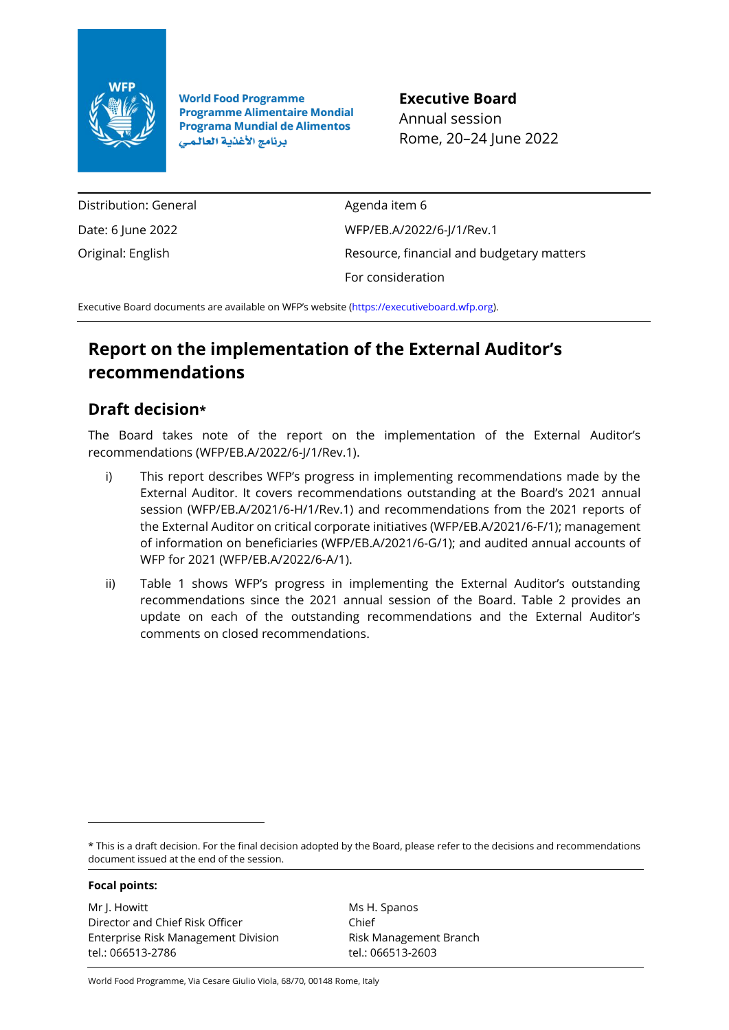

**World Food Programme Programme Alimentaire Mondial Programa Mundial de Alimentos** برنامج الأغذية العالمي

**Executive Board** Annual session Rome, 20–24 June 2022

Distribution: General Date: 6 June 2022 Original: English

Agenda item 6 WFP/EB.A/2022/6-J/1/Rev.1 Resource, financial and budgetary matters For consideration

Executive Board documents are available on WFP's website [\(https://executiveboard.wfp.org\)](https://executiveboard.wfp.org/).

## **Report on the implementation of the External Auditor's recommendations**

## **Draft decision\***

The Board takes note of the report on the implementation of the External Auditor's recommendations (WFP/EB.A/2022/6-J/1/Rev.1).

- i) This report describes WFP's progress in implementing recommendations made by the External Auditor. It covers recommendations outstanding at the Board's 2021 annual session (WFP/EB.A/2021/6-H/1/Rev.1) and recommendations from the 2021 reports of the External Auditor on critical corporate initiatives (WFP/EB.A/2021/6-F/1); management of information on beneficiaries (WFP/EB.A/2021/6-G/1); and audited annual accounts of WFP for 2021 (WFP/EB.A/2022/6-A/1).
- ii) Table 1 shows WFP's progress in implementing the External Auditor's outstanding recommendations since the 2021 annual session of the Board. Table 2 provides an update on each of the outstanding recommendations and the External Auditor's comments on closed recommendations.

\* This is a draft decision. For the final decision adopted by the Board, please refer to the decisions and recommendations document issued at the end of the session.

**Focal points:**

Mr J. Howitt Director and Chief Risk Officer Enterprise Risk Management Division tel.: 066513-2786

Ms H. Spanos Chief Risk Management Branch tel.: 066513-2603

World Food Programme, Via Cesare Giulio Viola, 68/70, 00148 Rome, Italy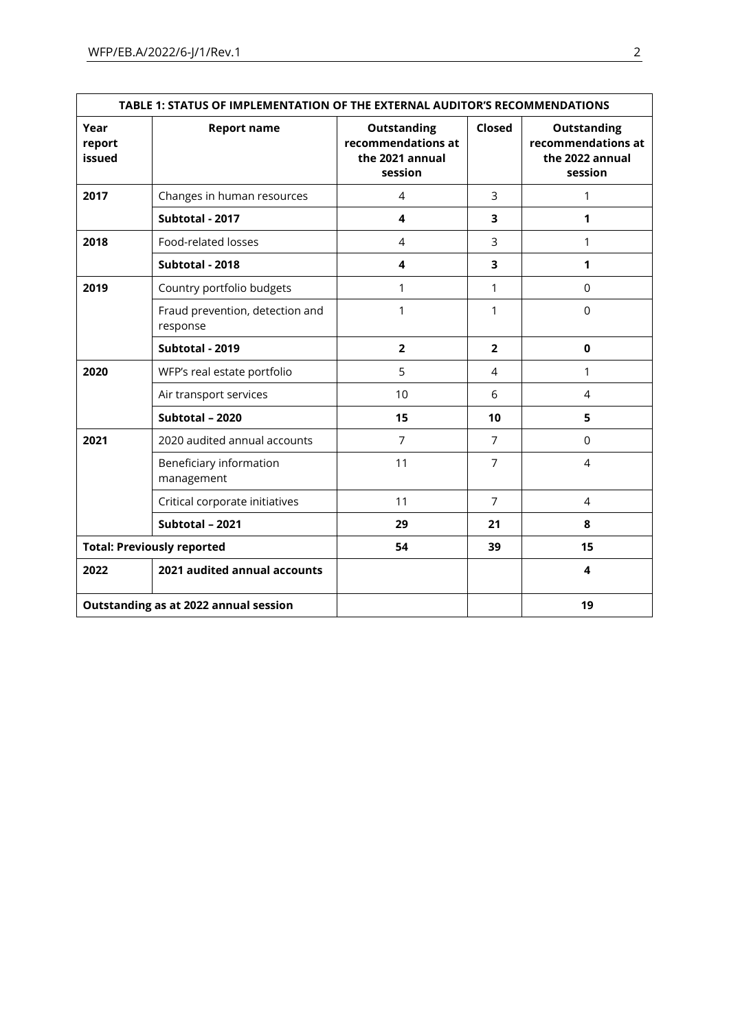| TABLE 1: STATUS OF IMPLEMENTATION OF THE EXTERNAL AUDITOR'S RECOMMENDATIONS |                                             |                                                                        |                |                                                                        |  |  |
|-----------------------------------------------------------------------------|---------------------------------------------|------------------------------------------------------------------------|----------------|------------------------------------------------------------------------|--|--|
| Year<br>report<br>issued                                                    | <b>Report name</b>                          | <b>Outstanding</b><br>recommendations at<br>the 2021 annual<br>session | Closed         | <b>Outstanding</b><br>recommendations at<br>the 2022 annual<br>session |  |  |
| 2017                                                                        | Changes in human resources                  | 4                                                                      | 3              | 1                                                                      |  |  |
|                                                                             | Subtotal - 2017                             | 4                                                                      | 3              | 1                                                                      |  |  |
| 2018                                                                        | Food-related losses                         | 4                                                                      | 3              | 1                                                                      |  |  |
|                                                                             | Subtotal - 2018                             | 4                                                                      | 3              | 1                                                                      |  |  |
| 2019                                                                        | Country portfolio budgets                   | 1                                                                      | 1              | 0                                                                      |  |  |
|                                                                             | Fraud prevention, detection and<br>response | 1                                                                      | 1              | $\Omega$                                                               |  |  |
|                                                                             | Subtotal - 2019                             | $\overline{2}$                                                         | $\overline{2}$ | $\mathbf 0$                                                            |  |  |
| 2020                                                                        | WFP's real estate portfolio                 | 5                                                                      | 4              | 1                                                                      |  |  |
|                                                                             | Air transport services                      | 10                                                                     | 6              | 4                                                                      |  |  |
|                                                                             | Subtotal - 2020                             | 15                                                                     | 10             | 5                                                                      |  |  |
| 2021                                                                        | 2020 audited annual accounts                | $\overline{7}$                                                         | $\overline{7}$ | $\Omega$                                                               |  |  |
|                                                                             | Beneficiary information<br>management       | 11                                                                     | $\overline{7}$ | 4                                                                      |  |  |
|                                                                             | Critical corporate initiatives              | 11                                                                     | $\overline{7}$ | $\overline{4}$                                                         |  |  |
|                                                                             | Subtotal - 2021                             | 29                                                                     | 21             | 8                                                                      |  |  |
|                                                                             | <b>Total: Previously reported</b>           | 54                                                                     | 39             | 15                                                                     |  |  |
| 2022                                                                        | 2021 audited annual accounts                |                                                                        |                | 4                                                                      |  |  |
|                                                                             | Outstanding as at 2022 annual session       |                                                                        |                | 19                                                                     |  |  |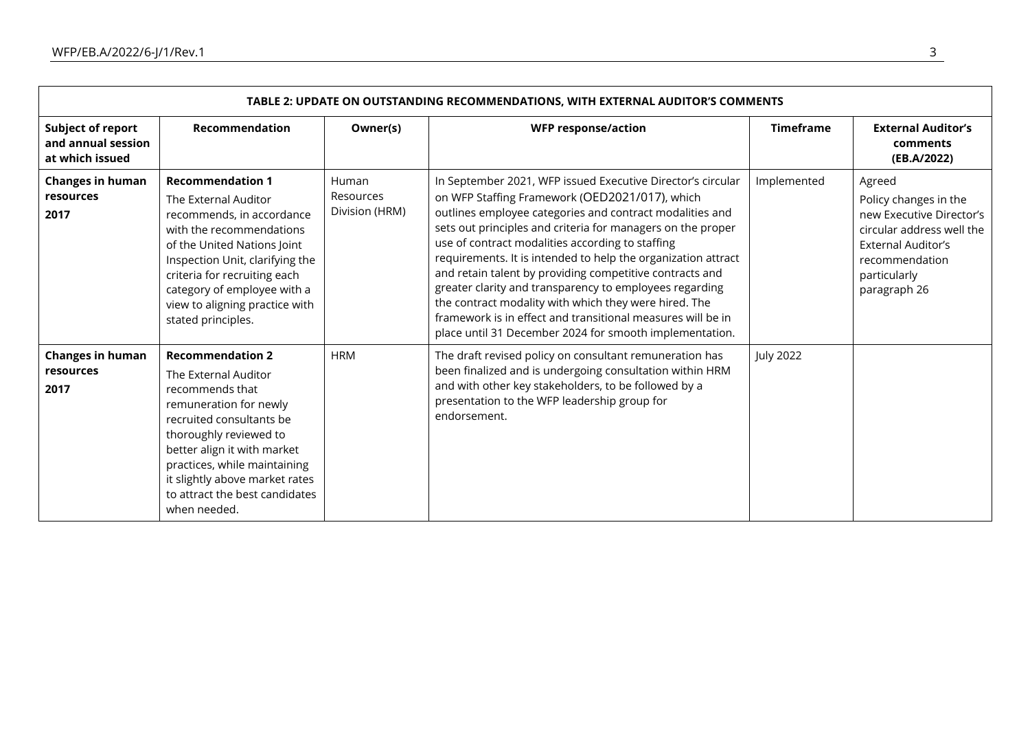| TABLE 2: UPDATE ON OUTSTANDING RECOMMENDATIONS, WITH EXTERNAL AUDITOR'S COMMENTS |                                                                                                                                                                                                                                                                                                       |                                      |                                                                                                                                                                                                                                                                                                                                                                                                                                                                                                                                                                                                                                                                         |                  |                                                                                                                                                                  |  |  |
|----------------------------------------------------------------------------------|-------------------------------------------------------------------------------------------------------------------------------------------------------------------------------------------------------------------------------------------------------------------------------------------------------|--------------------------------------|-------------------------------------------------------------------------------------------------------------------------------------------------------------------------------------------------------------------------------------------------------------------------------------------------------------------------------------------------------------------------------------------------------------------------------------------------------------------------------------------------------------------------------------------------------------------------------------------------------------------------------------------------------------------------|------------------|------------------------------------------------------------------------------------------------------------------------------------------------------------------|--|--|
| Subject of report<br>and annual session<br>at which issued                       | <b>Recommendation</b>                                                                                                                                                                                                                                                                                 | Owner(s)                             | <b>WFP response/action</b>                                                                                                                                                                                                                                                                                                                                                                                                                                                                                                                                                                                                                                              | <b>Timeframe</b> | <b>External Auditor's</b><br>comments<br>(EB.A/2022)                                                                                                             |  |  |
| <b>Changes in human</b><br>resources<br>2017                                     | <b>Recommendation 1</b><br>The External Auditor<br>recommends, in accordance<br>with the recommendations<br>of the United Nations Joint<br>Inspection Unit, clarifying the<br>criteria for recruiting each<br>category of employee with a<br>view to aligning practice with<br>stated principles.     | Human<br>Resources<br>Division (HRM) | In September 2021, WFP issued Executive Director's circular<br>on WFP Staffing Framework (OED2021/017), which<br>outlines employee categories and contract modalities and<br>sets out principles and criteria for managers on the proper<br>use of contract modalities according to staffing<br>requirements. It is intended to help the organization attract<br>and retain talent by providing competitive contracts and<br>greater clarity and transparency to employees regarding<br>the contract modality with which they were hired. The<br>framework is in effect and transitional measures will be in<br>place until 31 December 2024 for smooth implementation. | Implemented      | Agreed<br>Policy changes in the<br>new Executive Director's<br>circular address well the<br>External Auditor's<br>recommendation<br>particularly<br>paragraph 26 |  |  |
| <b>Changes in human</b><br>resources<br>2017                                     | <b>Recommendation 2</b><br>The External Auditor<br>recommends that<br>remuneration for newly<br>recruited consultants be<br>thoroughly reviewed to<br>better align it with market<br>practices, while maintaining<br>it slightly above market rates<br>to attract the best candidates<br>when needed. | <b>HRM</b>                           | The draft revised policy on consultant remuneration has<br>been finalized and is undergoing consultation within HRM<br>and with other key stakeholders, to be followed by a<br>presentation to the WFP leadership group for<br>endorsement.                                                                                                                                                                                                                                                                                                                                                                                                                             | <b>July 2022</b> |                                                                                                                                                                  |  |  |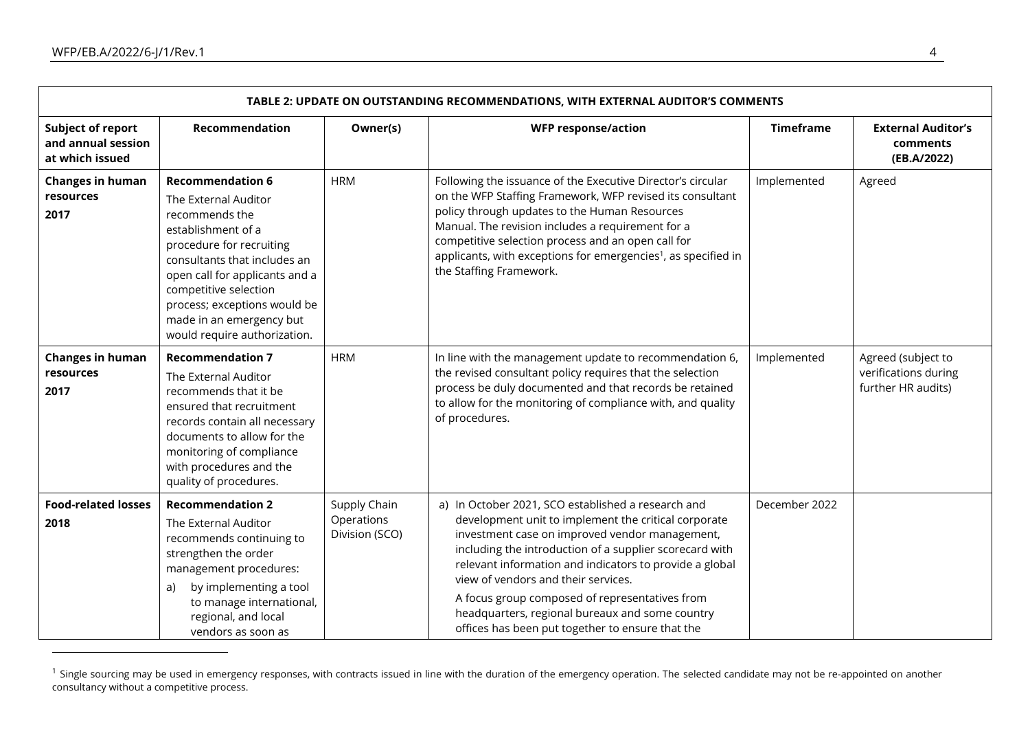| TABLE 2: UPDATE ON OUTSTANDING RECOMMENDATIONS, WITH EXTERNAL AUDITOR'S COMMENTS |                                                                                                                                                                                                                                                                                                            |                                              |                                                                                                                                                                                                                                                                                                                                                                                                                                                                                    |                  |                                                                  |  |  |
|----------------------------------------------------------------------------------|------------------------------------------------------------------------------------------------------------------------------------------------------------------------------------------------------------------------------------------------------------------------------------------------------------|----------------------------------------------|------------------------------------------------------------------------------------------------------------------------------------------------------------------------------------------------------------------------------------------------------------------------------------------------------------------------------------------------------------------------------------------------------------------------------------------------------------------------------------|------------------|------------------------------------------------------------------|--|--|
| Subject of report<br>and annual session<br>at which issued                       | Recommendation                                                                                                                                                                                                                                                                                             | Owner(s)                                     | <b>WFP response/action</b>                                                                                                                                                                                                                                                                                                                                                                                                                                                         | <b>Timeframe</b> | <b>External Auditor's</b><br>comments<br>(EB.A/2022)             |  |  |
| <b>Changes in human</b><br>resources<br>2017                                     | <b>Recommendation 6</b><br>The External Auditor<br>recommends the<br>establishment of a<br>procedure for recruiting<br>consultants that includes an<br>open call for applicants and a<br>competitive selection<br>process; exceptions would be<br>made in an emergency but<br>would require authorization. | <b>HRM</b>                                   | Following the issuance of the Executive Director's circular<br>on the WFP Staffing Framework, WFP revised its consultant<br>policy through updates to the Human Resources<br>Manual. The revision includes a requirement for a<br>competitive selection process and an open call for<br>applicants, with exceptions for emergencies <sup>1</sup> , as specified in<br>the Staffing Framework.                                                                                      | Implemented      | Agreed                                                           |  |  |
| <b>Changes in human</b><br>resources<br>2017                                     | <b>Recommendation 7</b><br>The External Auditor<br>recommends that it be<br>ensured that recruitment<br>records contain all necessary<br>documents to allow for the<br>monitoring of compliance<br>with procedures and the<br>quality of procedures.                                                       | <b>HRM</b>                                   | In line with the management update to recommendation 6,<br>the revised consultant policy requires that the selection<br>process be duly documented and that records be retained<br>to allow for the monitoring of compliance with, and quality<br>of procedures.                                                                                                                                                                                                                   | Implemented      | Agreed (subject to<br>verifications during<br>further HR audits) |  |  |
| <b>Food-related losses</b><br>2018                                               | <b>Recommendation 2</b><br>The External Auditor<br>recommends continuing to<br>strengthen the order<br>management procedures:<br>by implementing a tool<br>a)<br>to manage international,<br>regional, and local<br>vendors as soon as                                                                     | Supply Chain<br>Operations<br>Division (SCO) | a) In October 2021, SCO established a research and<br>development unit to implement the critical corporate<br>investment case on improved vendor management,<br>including the introduction of a supplier scorecard with<br>relevant information and indicators to provide a global<br>view of vendors and their services.<br>A focus group composed of representatives from<br>headquarters, regional bureaux and some country<br>offices has been put together to ensure that the | December 2022    |                                                                  |  |  |

<sup>&</sup>lt;sup>1</sup> Single sourcing may be used in emergency responses, with contracts issued in line with the duration of the emergency operation. The selected candidate may not be re-appointed on another consultancy without a competitive process.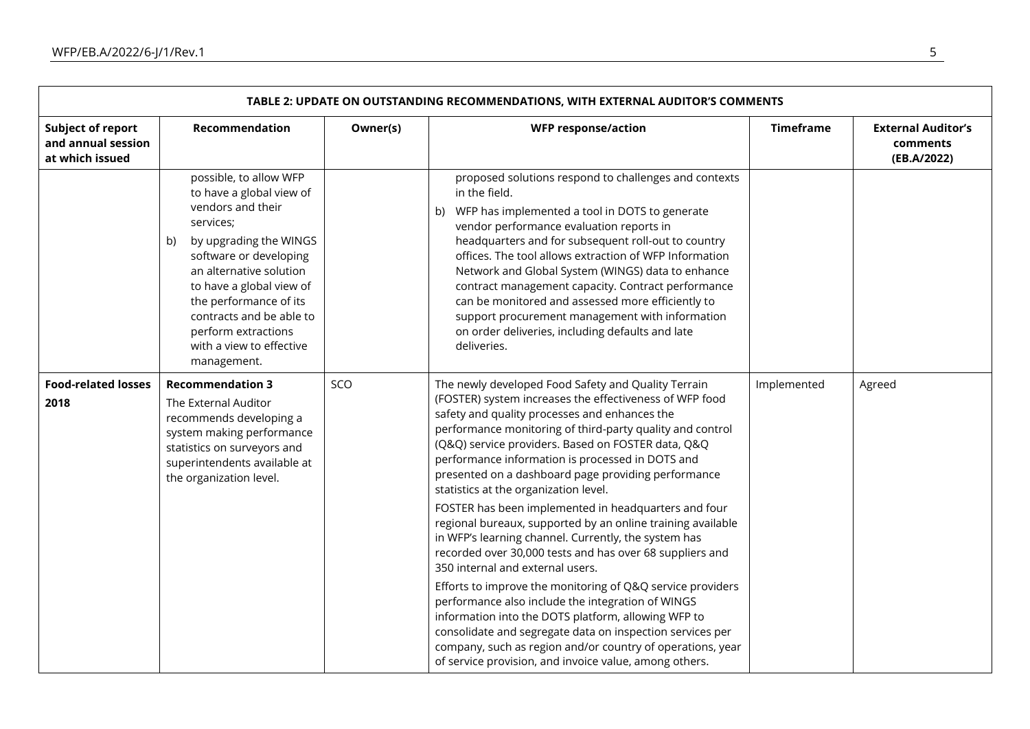|                                                                   | TABLE 2: UPDATE ON OUTSTANDING RECOMMENDATIONS, WITH EXTERNAL AUDITOR'S COMMENTS                                                                                                                                                                                                                                              |          |                                                                                                                                                                                                                                                                                                                                                                                                                                                                                                                                                                                                                                                                                                                                                                                                                                                                                                                                                                                                                                                                                      |                  |                                                      |  |  |  |
|-------------------------------------------------------------------|-------------------------------------------------------------------------------------------------------------------------------------------------------------------------------------------------------------------------------------------------------------------------------------------------------------------------------|----------|--------------------------------------------------------------------------------------------------------------------------------------------------------------------------------------------------------------------------------------------------------------------------------------------------------------------------------------------------------------------------------------------------------------------------------------------------------------------------------------------------------------------------------------------------------------------------------------------------------------------------------------------------------------------------------------------------------------------------------------------------------------------------------------------------------------------------------------------------------------------------------------------------------------------------------------------------------------------------------------------------------------------------------------------------------------------------------------|------------------|------------------------------------------------------|--|--|--|
| <b>Subject of report</b><br>and annual session<br>at which issued | Recommendation                                                                                                                                                                                                                                                                                                                | Owner(s) | <b>WFP response/action</b>                                                                                                                                                                                                                                                                                                                                                                                                                                                                                                                                                                                                                                                                                                                                                                                                                                                                                                                                                                                                                                                           | <b>Timeframe</b> | <b>External Auditor's</b><br>comments<br>(EB.A/2022) |  |  |  |
|                                                                   | possible, to allow WFP<br>to have a global view of<br>vendors and their<br>services;<br>by upgrading the WINGS<br>b)<br>software or developing<br>an alternative solution<br>to have a global view of<br>the performance of its<br>contracts and be able to<br>perform extractions<br>with a view to effective<br>management. |          | proposed solutions respond to challenges and contexts<br>in the field.<br>b) WFP has implemented a tool in DOTS to generate<br>vendor performance evaluation reports in<br>headquarters and for subsequent roll-out to country<br>offices. The tool allows extraction of WFP Information<br>Network and Global System (WINGS) data to enhance<br>contract management capacity. Contract performance<br>can be monitored and assessed more efficiently to<br>support procurement management with information<br>on order deliveries, including defaults and late<br>deliveries.                                                                                                                                                                                                                                                                                                                                                                                                                                                                                                       |                  |                                                      |  |  |  |
| <b>Food-related losses</b><br>2018                                | <b>Recommendation 3</b><br>The External Auditor<br>recommends developing a<br>system making performance<br>statistics on surveyors and<br>superintendents available at<br>the organization level.                                                                                                                             | SCO      | The newly developed Food Safety and Quality Terrain<br>(FOSTER) system increases the effectiveness of WFP food<br>safety and quality processes and enhances the<br>performance monitoring of third-party quality and control<br>(Q&Q) service providers. Based on FOSTER data, Q&Q<br>performance information is processed in DOTS and<br>presented on a dashboard page providing performance<br>statistics at the organization level.<br>FOSTER has been implemented in headquarters and four<br>regional bureaux, supported by an online training available<br>in WFP's learning channel. Currently, the system has<br>recorded over 30,000 tests and has over 68 suppliers and<br>350 internal and external users.<br>Efforts to improve the monitoring of Q&Q service providers<br>performance also include the integration of WINGS<br>information into the DOTS platform, allowing WFP to<br>consolidate and segregate data on inspection services per<br>company, such as region and/or country of operations, year<br>of service provision, and invoice value, among others. | Implemented      | Agreed                                               |  |  |  |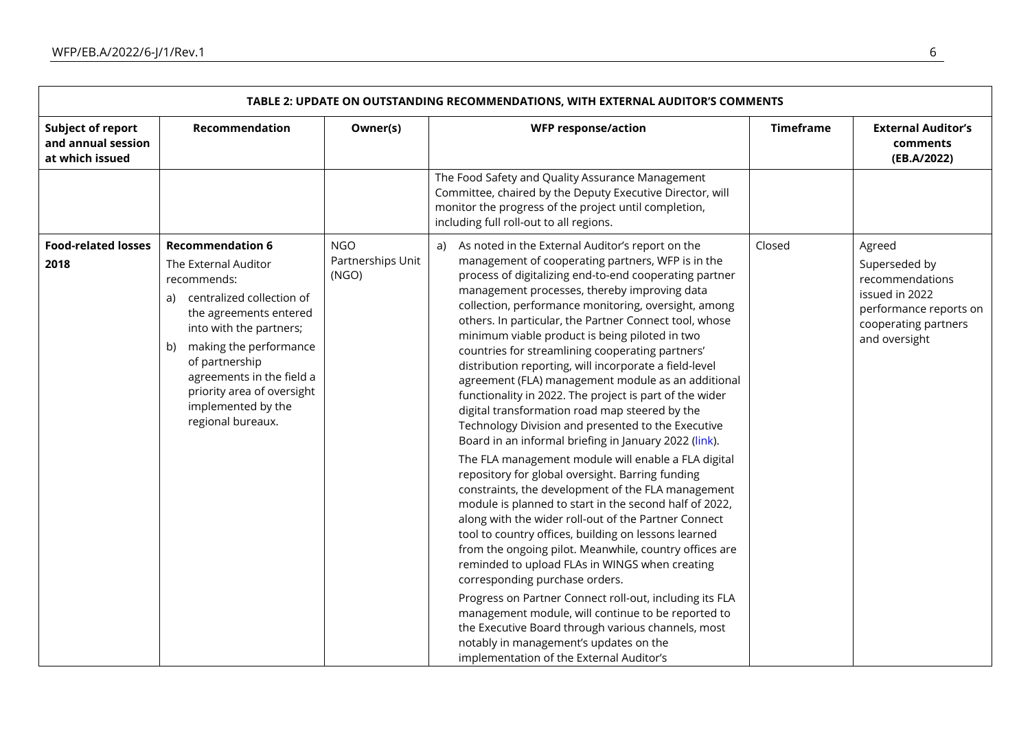| TABLE 2: UPDATE ON OUTSTANDING RECOMMENDATIONS, WITH EXTERNAL AUDITOR'S COMMENTS |                                                                                                                                                                                                                                                                                                                |                                          |                                                                                                                                                                                                                                                                                                                                                                                                                                                                                                                                                                                                                                                                                                                                                                                                                                                                                                                                                                                                                                                                                                                                                                                                                                                                                                                                                                                                                                                                                                  |                  |                                                                                                                                 |  |  |
|----------------------------------------------------------------------------------|----------------------------------------------------------------------------------------------------------------------------------------------------------------------------------------------------------------------------------------------------------------------------------------------------------------|------------------------------------------|--------------------------------------------------------------------------------------------------------------------------------------------------------------------------------------------------------------------------------------------------------------------------------------------------------------------------------------------------------------------------------------------------------------------------------------------------------------------------------------------------------------------------------------------------------------------------------------------------------------------------------------------------------------------------------------------------------------------------------------------------------------------------------------------------------------------------------------------------------------------------------------------------------------------------------------------------------------------------------------------------------------------------------------------------------------------------------------------------------------------------------------------------------------------------------------------------------------------------------------------------------------------------------------------------------------------------------------------------------------------------------------------------------------------------------------------------------------------------------------------------|------------------|---------------------------------------------------------------------------------------------------------------------------------|--|--|
| <b>Subject of report</b><br>and annual session<br>at which issued                | Recommendation                                                                                                                                                                                                                                                                                                 | Owner(s)                                 | <b>WFP response/action</b>                                                                                                                                                                                                                                                                                                                                                                                                                                                                                                                                                                                                                                                                                                                                                                                                                                                                                                                                                                                                                                                                                                                                                                                                                                                                                                                                                                                                                                                                       | <b>Timeframe</b> | <b>External Auditor's</b><br>comments<br>(EB.A/2022)                                                                            |  |  |
|                                                                                  |                                                                                                                                                                                                                                                                                                                |                                          | The Food Safety and Quality Assurance Management<br>Committee, chaired by the Deputy Executive Director, will<br>monitor the progress of the project until completion,<br>including full roll-out to all regions.                                                                                                                                                                                                                                                                                                                                                                                                                                                                                                                                                                                                                                                                                                                                                                                                                                                                                                                                                                                                                                                                                                                                                                                                                                                                                |                  |                                                                                                                                 |  |  |
| <b>Food-related losses</b><br>2018                                               | <b>Recommendation 6</b><br>The External Auditor<br>recommends:<br>centralized collection of<br>a)<br>the agreements entered<br>into with the partners;<br>making the performance<br>b)<br>of partnership<br>agreements in the field a<br>priority area of oversight<br>implemented by the<br>regional bureaux. | <b>NGO</b><br>Partnerships Unit<br>(NGO) | a) As noted in the External Auditor's report on the<br>management of cooperating partners, WFP is in the<br>process of digitalizing end-to-end cooperating partner<br>management processes, thereby improving data<br>collection, performance monitoring, oversight, among<br>others. In particular, the Partner Connect tool, whose<br>minimum viable product is being piloted in two<br>countries for streamlining cooperating partners'<br>distribution reporting, will incorporate a field-level<br>agreement (FLA) management module as an additional<br>functionality in 2022. The project is part of the wider<br>digital transformation road map steered by the<br>Technology Division and presented to the Executive<br>Board in an informal briefing in January 2022 (link).<br>The FLA management module will enable a FLA digital<br>repository for global oversight. Barring funding<br>constraints, the development of the FLA management<br>module is planned to start in the second half of 2022,<br>along with the wider roll-out of the Partner Connect<br>tool to country offices, building on lessons learned<br>from the ongoing pilot. Meanwhile, country offices are<br>reminded to upload FLAs in WINGS when creating<br>corresponding purchase orders.<br>Progress on Partner Connect roll-out, including its FLA<br>management module, will continue to be reported to<br>the Executive Board through various channels, most<br>notably in management's updates on the | Closed           | Agreed<br>Superseded by<br>recommendations<br>issued in 2022<br>performance reports on<br>cooperating partners<br>and oversight |  |  |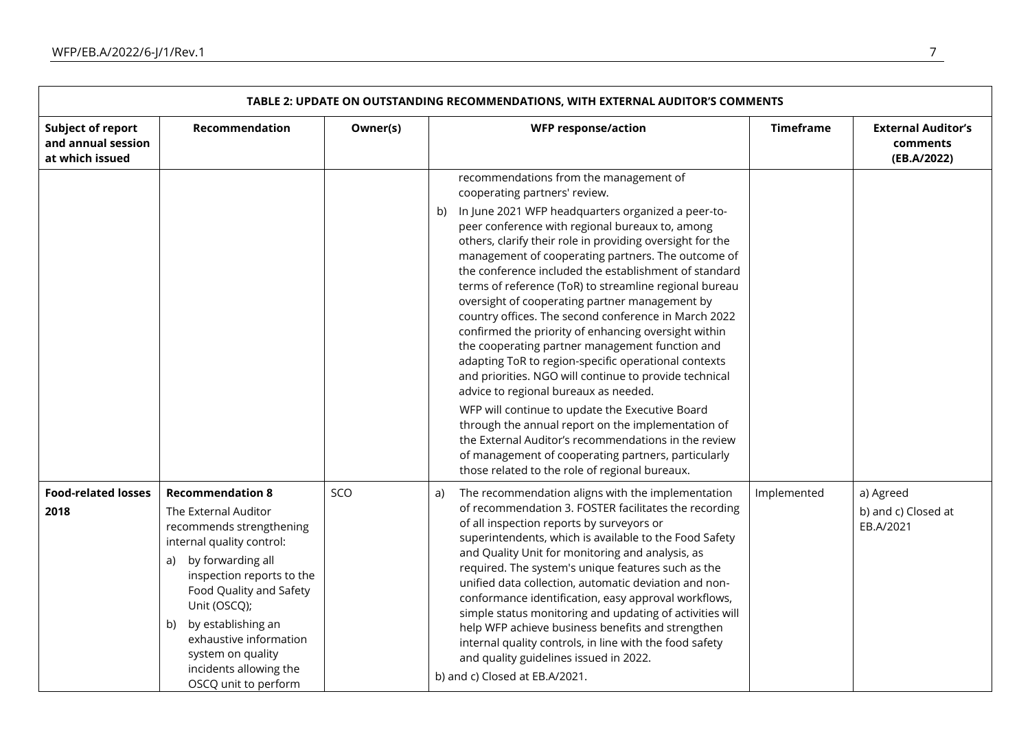| TABLE 2: UPDATE ON OUTSTANDING RECOMMENDATIONS, WITH EXTERNAL AUDITOR'S COMMENTS |                                                                                                                                                                                                                                                                                                                                          |          |                                                                                                                                                                                                                                                                                                                                                                                                                                                                                                                                                                                                                                                                                                                                                                                                                                                                                                                                                                                                                                                                                        |                  |                                                      |  |  |
|----------------------------------------------------------------------------------|------------------------------------------------------------------------------------------------------------------------------------------------------------------------------------------------------------------------------------------------------------------------------------------------------------------------------------------|----------|----------------------------------------------------------------------------------------------------------------------------------------------------------------------------------------------------------------------------------------------------------------------------------------------------------------------------------------------------------------------------------------------------------------------------------------------------------------------------------------------------------------------------------------------------------------------------------------------------------------------------------------------------------------------------------------------------------------------------------------------------------------------------------------------------------------------------------------------------------------------------------------------------------------------------------------------------------------------------------------------------------------------------------------------------------------------------------------|------------------|------------------------------------------------------|--|--|
| <b>Subject of report</b><br>and annual session<br>at which issued                | Recommendation                                                                                                                                                                                                                                                                                                                           | Owner(s) | <b>WFP response/action</b>                                                                                                                                                                                                                                                                                                                                                                                                                                                                                                                                                                                                                                                                                                                                                                                                                                                                                                                                                                                                                                                             | <b>Timeframe</b> | <b>External Auditor's</b><br>comments<br>(EB.A/2022) |  |  |
|                                                                                  |                                                                                                                                                                                                                                                                                                                                          |          | recommendations from the management of<br>cooperating partners' review.<br>In June 2021 WFP headquarters organized a peer-to-<br>b)<br>peer conference with regional bureaux to, among<br>others, clarify their role in providing oversight for the<br>management of cooperating partners. The outcome of<br>the conference included the establishment of standard<br>terms of reference (ToR) to streamline regional bureau<br>oversight of cooperating partner management by<br>country offices. The second conference in March 2022<br>confirmed the priority of enhancing oversight within<br>the cooperating partner management function and<br>adapting ToR to region-specific operational contexts<br>and priorities. NGO will continue to provide technical<br>advice to regional bureaux as needed.<br>WFP will continue to update the Executive Board<br>through the annual report on the implementation of<br>the External Auditor's recommendations in the review<br>of management of cooperating partners, particularly<br>those related to the role of regional bureaux. |                  |                                                      |  |  |
| <b>Food-related losses</b><br>2018                                               | <b>Recommendation 8</b><br>The External Auditor<br>recommends strengthening<br>internal quality control:<br>by forwarding all<br>a)<br>inspection reports to the<br>Food Quality and Safety<br>Unit (OSCQ);<br>by establishing an<br>b)<br>exhaustive information<br>system on quality<br>incidents allowing the<br>OSCQ unit to perform | SCO      | The recommendation aligns with the implementation<br>a)<br>of recommendation 3. FOSTER facilitates the recording<br>of all inspection reports by surveyors or<br>superintendents, which is available to the Food Safety<br>and Quality Unit for monitoring and analysis, as<br>required. The system's unique features such as the<br>unified data collection, automatic deviation and non-<br>conformance identification, easy approval workflows,<br>simple status monitoring and updating of activities will<br>help WFP achieve business benefits and strengthen<br>internal quality controls, in line with the food safety<br>and quality guidelines issued in 2022.<br>b) and c) Closed at EB.A/2021.                                                                                                                                                                                                                                                                                                                                                                             | Implemented      | a) Agreed<br>b) and c) Closed at<br>EB.A/2021        |  |  |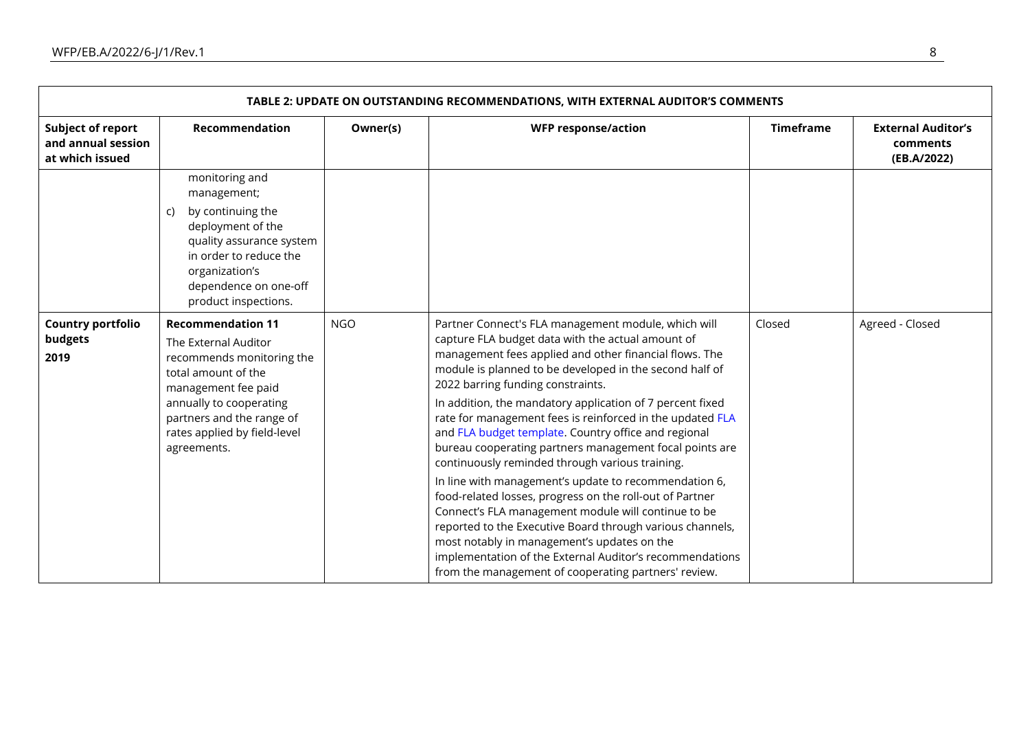| TABLE 2: UPDATE ON OUTSTANDING RECOMMENDATIONS, WITH EXTERNAL AUDITOR'S COMMENTS |                                                                                                                                                                                                                                    |            |                                                                                                                                                                                                                                                                                                                                                                                                                                                                                                                                                                                                                                                                                                                                                                                                                                                                                                                                                                                |                  |                                                      |  |  |
|----------------------------------------------------------------------------------|------------------------------------------------------------------------------------------------------------------------------------------------------------------------------------------------------------------------------------|------------|--------------------------------------------------------------------------------------------------------------------------------------------------------------------------------------------------------------------------------------------------------------------------------------------------------------------------------------------------------------------------------------------------------------------------------------------------------------------------------------------------------------------------------------------------------------------------------------------------------------------------------------------------------------------------------------------------------------------------------------------------------------------------------------------------------------------------------------------------------------------------------------------------------------------------------------------------------------------------------|------------------|------------------------------------------------------|--|--|
| <b>Subject of report</b><br>and annual session<br>at which issued                | Recommendation                                                                                                                                                                                                                     | Owner(s)   | <b>WFP response/action</b>                                                                                                                                                                                                                                                                                                                                                                                                                                                                                                                                                                                                                                                                                                                                                                                                                                                                                                                                                     | <b>Timeframe</b> | <b>External Auditor's</b><br>comments<br>(EB.A/2022) |  |  |
|                                                                                  | monitoring and<br>management;<br>by continuing the<br>C)<br>deployment of the<br>quality assurance system<br>in order to reduce the<br>organization's<br>dependence on one-off<br>product inspections.                             |            |                                                                                                                                                                                                                                                                                                                                                                                                                                                                                                                                                                                                                                                                                                                                                                                                                                                                                                                                                                                |                  |                                                      |  |  |
| <b>Country portfolio</b><br>budgets<br>2019                                      | <b>Recommendation 11</b><br>The External Auditor<br>recommends monitoring the<br>total amount of the<br>management fee paid<br>annually to cooperating<br>partners and the range of<br>rates applied by field-level<br>agreements. | <b>NGO</b> | Partner Connect's FLA management module, which will<br>capture FLA budget data with the actual amount of<br>management fees applied and other financial flows. The<br>module is planned to be developed in the second half of<br>2022 barring funding constraints.<br>In addition, the mandatory application of 7 percent fixed<br>rate for management fees is reinforced in the updated FLA<br>and FLA budget template. Country office and regional<br>bureau cooperating partners management focal points are<br>continuously reminded through various training.<br>In line with management's update to recommendation 6,<br>food-related losses, progress on the roll-out of Partner<br>Connect's FLA management module will continue to be<br>reported to the Executive Board through various channels,<br>most notably in management's updates on the<br>implementation of the External Auditor's recommendations<br>from the management of cooperating partners' review. | Closed           | Agreed - Closed                                      |  |  |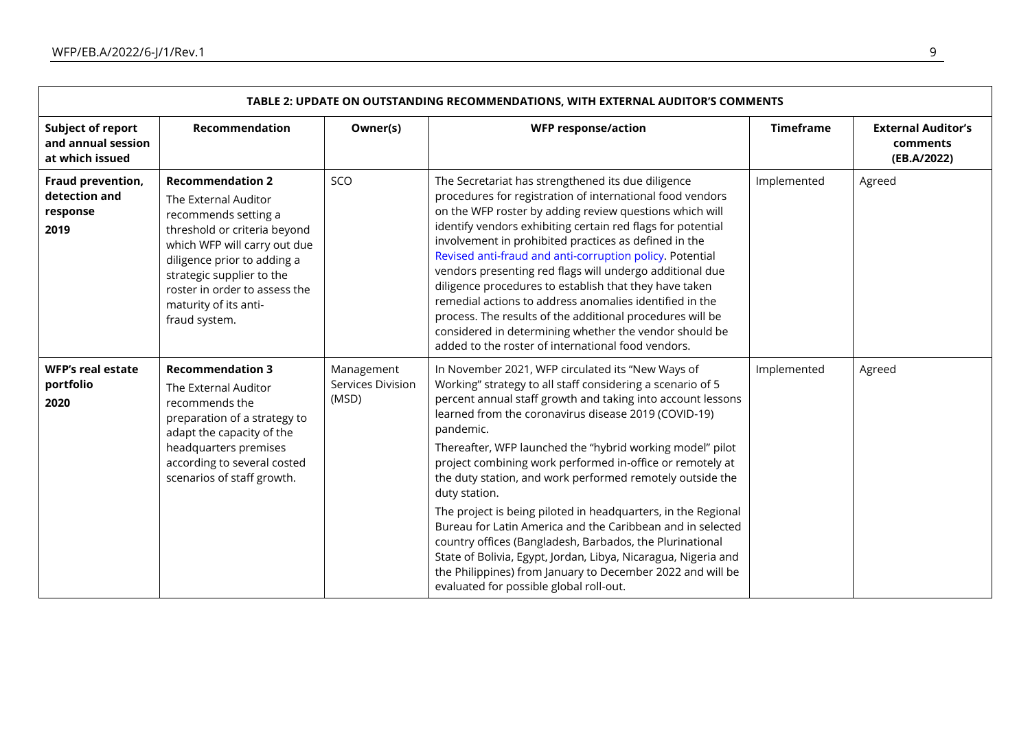| TABLE 2: UPDATE ON OUTSTANDING RECOMMENDATIONS, WITH EXTERNAL AUDITOR'S COMMENTS |                                                                                                                                                                                                                                                                                |                                          |                                                                                                                                                                                                                                                                                                                                                                                                                                                                                                                                                                                                                                                                                                                                                                                                                                   |                  |                                                      |  |  |
|----------------------------------------------------------------------------------|--------------------------------------------------------------------------------------------------------------------------------------------------------------------------------------------------------------------------------------------------------------------------------|------------------------------------------|-----------------------------------------------------------------------------------------------------------------------------------------------------------------------------------------------------------------------------------------------------------------------------------------------------------------------------------------------------------------------------------------------------------------------------------------------------------------------------------------------------------------------------------------------------------------------------------------------------------------------------------------------------------------------------------------------------------------------------------------------------------------------------------------------------------------------------------|------------------|------------------------------------------------------|--|--|
| <b>Subject of report</b><br>and annual session<br>at which issued                | Recommendation                                                                                                                                                                                                                                                                 | Owner(s)                                 | <b>WFP response/action</b>                                                                                                                                                                                                                                                                                                                                                                                                                                                                                                                                                                                                                                                                                                                                                                                                        | <b>Timeframe</b> | <b>External Auditor's</b><br>comments<br>(EB.A/2022) |  |  |
| Fraud prevention,<br>detection and<br>response<br>2019                           | <b>Recommendation 2</b><br>The External Auditor<br>recommends setting a<br>threshold or criteria beyond<br>which WFP will carry out due<br>diligence prior to adding a<br>strategic supplier to the<br>roster in order to assess the<br>maturity of its anti-<br>fraud system. | SCO                                      | The Secretariat has strengthened its due diligence<br>procedures for registration of international food vendors<br>on the WFP roster by adding review questions which will<br>identify vendors exhibiting certain red flags for potential<br>involvement in prohibited practices as defined in the<br>Revised anti-fraud and anti-corruption policy. Potential<br>vendors presenting red flags will undergo additional due<br>diligence procedures to establish that they have taken<br>remedial actions to address anomalies identified in the<br>process. The results of the additional procedures will be<br>considered in determining whether the vendor should be<br>added to the roster of international food vendors.                                                                                                      | Implemented      | Agreed                                               |  |  |
| <b>WFP's real estate</b><br>portfolio<br>2020                                    | <b>Recommendation 3</b><br>The External Auditor<br>recommends the<br>preparation of a strategy to<br>adapt the capacity of the<br>headquarters premises<br>according to several costed<br>scenarios of staff growth.                                                           | Management<br>Services Division<br>(MSD) | In November 2021, WFP circulated its "New Ways of<br>Working" strategy to all staff considering a scenario of 5<br>percent annual staff growth and taking into account lessons<br>learned from the coronavirus disease 2019 (COVID-19)<br>pandemic.<br>Thereafter, WFP launched the "hybrid working model" pilot<br>project combining work performed in-office or remotely at<br>the duty station, and work performed remotely outside the<br>duty station.<br>The project is being piloted in headquarters, in the Regional<br>Bureau for Latin America and the Caribbean and in selected<br>country offices (Bangladesh, Barbados, the Plurinational<br>State of Bolivia, Egypt, Jordan, Libya, Nicaragua, Nigeria and<br>the Philippines) from January to December 2022 and will be<br>evaluated for possible global roll-out. | Implemented      | Agreed                                               |  |  |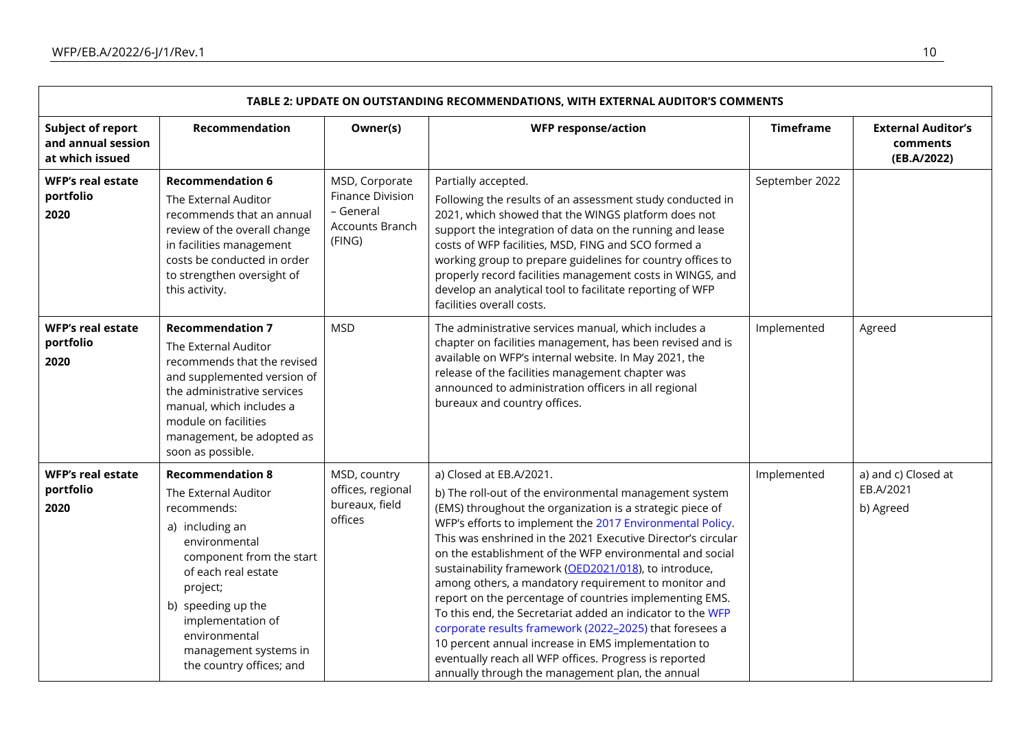| TABLE 2: UPDATE ON OUTSTANDING RECOMMENDATIONS, WITH EXTERNAL AUDITOR'S COMMENTS |                                                                                                                                                                                                                                                                                    |                                                                                     |                                                                                                                                                                                                                                                                                                                                                                                                                                                                                                                                                                                                                                                                                                                                                                                                                   |                  |                                                      |  |  |
|----------------------------------------------------------------------------------|------------------------------------------------------------------------------------------------------------------------------------------------------------------------------------------------------------------------------------------------------------------------------------|-------------------------------------------------------------------------------------|-------------------------------------------------------------------------------------------------------------------------------------------------------------------------------------------------------------------------------------------------------------------------------------------------------------------------------------------------------------------------------------------------------------------------------------------------------------------------------------------------------------------------------------------------------------------------------------------------------------------------------------------------------------------------------------------------------------------------------------------------------------------------------------------------------------------|------------------|------------------------------------------------------|--|--|
| <b>Subject of report</b><br>and annual session<br>at which issued                | Recommendation                                                                                                                                                                                                                                                                     | Owner(s)                                                                            | <b>WFP response/action</b>                                                                                                                                                                                                                                                                                                                                                                                                                                                                                                                                                                                                                                                                                                                                                                                        | <b>Timeframe</b> | <b>External Auditor's</b><br>comments<br>(EB.A/2022) |  |  |
| <b>WFP's real estate</b><br>portfolio<br>2020                                    | <b>Recommendation 6</b><br>The External Auditor<br>recommends that an annual<br>review of the overall change<br>in facilities management<br>costs be conducted in order<br>to strengthen oversight of<br>this activity.                                                            | MSD, Corporate<br><b>Finance Division</b><br>- General<br>Accounts Branch<br>(FING) | Partially accepted.<br>Following the results of an assessment study conducted in<br>2021, which showed that the WINGS platform does not<br>support the integration of data on the running and lease<br>costs of WFP facilities, MSD, FING and SCO formed a<br>working group to prepare guidelines for country offices to<br>properly record facilities management costs in WINGS, and<br>develop an analytical tool to facilitate reporting of WFP<br>facilities overall costs.                                                                                                                                                                                                                                                                                                                                   | September 2022   |                                                      |  |  |
| <b>WFP's real estate</b><br>portfolio<br>2020                                    | <b>Recommendation 7</b><br>The External Auditor<br>recommends that the revised<br>and supplemented version of<br>the administrative services<br>manual, which includes a<br>module on facilities<br>management, be adopted as<br>soon as possible.                                 | <b>MSD</b>                                                                          | The administrative services manual, which includes a<br>chapter on facilities management, has been revised and is<br>available on WFP's internal website. In May 2021, the<br>release of the facilities management chapter was<br>announced to administration officers in all regional<br>bureaux and country offices.                                                                                                                                                                                                                                                                                                                                                                                                                                                                                            | Implemented      | Agreed                                               |  |  |
| <b>WFP's real estate</b><br>portfolio<br>2020                                    | <b>Recommendation 8</b><br>The External Auditor<br>recommends:<br>a) including an<br>environmental<br>component from the start<br>of each real estate<br>project;<br>b) speeding up the<br>implementation of<br>environmental<br>management systems in<br>the country offices; and | MSD, country<br>offices, regional<br>bureaux, field<br>offices                      | a) Closed at EB.A/2021.<br>b) The roll-out of the environmental management system<br>(EMS) throughout the organization is a strategic piece of<br>WFP's efforts to implement the 2017 Environmental Policy.<br>This was enshrined in the 2021 Executive Director's circular<br>on the establishment of the WFP environmental and social<br>sustainability framework (OED2021/018), to introduce,<br>among others, a mandatory requirement to monitor and<br>report on the percentage of countries implementing EMS.<br>To this end, the Secretariat added an indicator to the WFP<br>corporate results framework (2022-2025) that foresees a<br>10 percent annual increase in EMS implementation to<br>eventually reach all WFP offices. Progress is reported<br>annually through the management plan, the annual | Implemented      | a) and c) Closed at<br>EB.A/2021<br>b) Agreed        |  |  |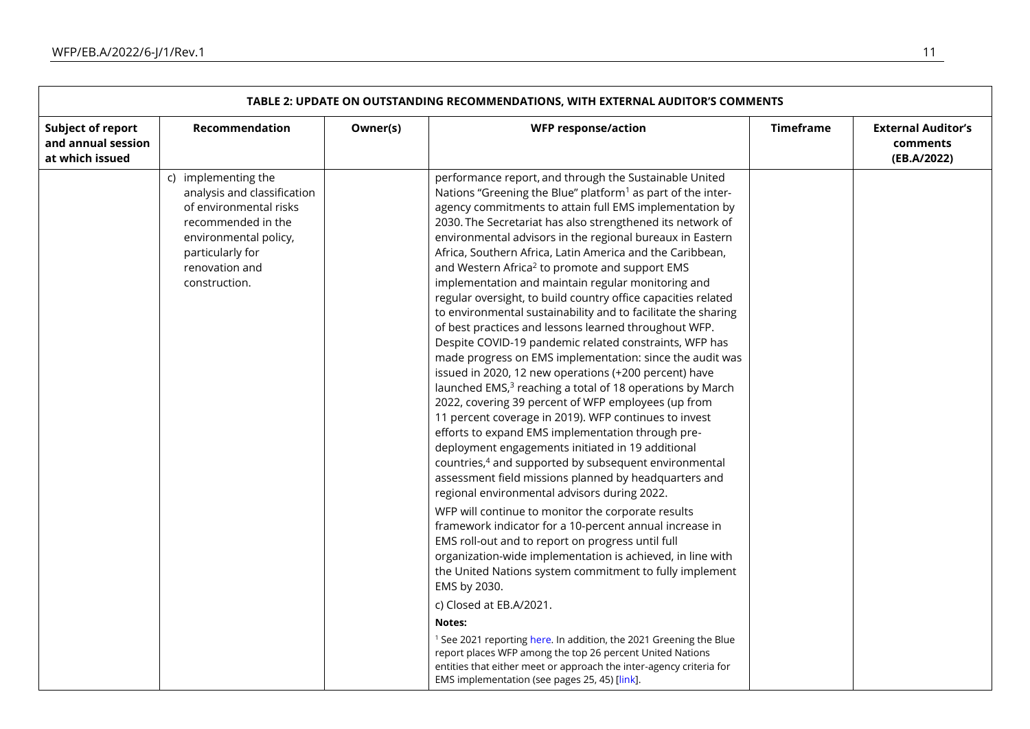| TABLE 2: UPDATE ON OUTSTANDING RECOMMENDATIONS, WITH EXTERNAL AUDITOR'S COMMENTS |                                                                                                                                                                                    |          |                                                                                                                                                                                                                                                                                                                                                                                                                                                                                                                                                                                                                                                                                                                                                                                                                                                                                                                                                                                                                                                                                                                                                                                                                                                                                                                                                                                                                                                                                                                                                                                                                                                                                                                                                                                                                                                                                                                                                                                               |                  |                                                      |  |  |
|----------------------------------------------------------------------------------|------------------------------------------------------------------------------------------------------------------------------------------------------------------------------------|----------|-----------------------------------------------------------------------------------------------------------------------------------------------------------------------------------------------------------------------------------------------------------------------------------------------------------------------------------------------------------------------------------------------------------------------------------------------------------------------------------------------------------------------------------------------------------------------------------------------------------------------------------------------------------------------------------------------------------------------------------------------------------------------------------------------------------------------------------------------------------------------------------------------------------------------------------------------------------------------------------------------------------------------------------------------------------------------------------------------------------------------------------------------------------------------------------------------------------------------------------------------------------------------------------------------------------------------------------------------------------------------------------------------------------------------------------------------------------------------------------------------------------------------------------------------------------------------------------------------------------------------------------------------------------------------------------------------------------------------------------------------------------------------------------------------------------------------------------------------------------------------------------------------------------------------------------------------------------------------------------------------|------------------|------------------------------------------------------|--|--|
| Subject of report<br>and annual session<br>at which issued                       | Recommendation                                                                                                                                                                     | Owner(s) | <b>WFP response/action</b>                                                                                                                                                                                                                                                                                                                                                                                                                                                                                                                                                                                                                                                                                                                                                                                                                                                                                                                                                                                                                                                                                                                                                                                                                                                                                                                                                                                                                                                                                                                                                                                                                                                                                                                                                                                                                                                                                                                                                                    | <b>Timeframe</b> | <b>External Auditor's</b><br>comments<br>(EB.A/2022) |  |  |
|                                                                                  | c) implementing the<br>analysis and classification<br>of environmental risks<br>recommended in the<br>environmental policy,<br>particularly for<br>renovation and<br>construction. |          | performance report, and through the Sustainable United<br>Nations "Greening the Blue" platform <sup>1</sup> as part of the inter-<br>agency commitments to attain full EMS implementation by<br>2030. The Secretariat has also strengthened its network of<br>environmental advisors in the regional bureaux in Eastern<br>Africa, Southern Africa, Latin America and the Caribbean,<br>and Western Africa <sup>2</sup> to promote and support EMS<br>implementation and maintain regular monitoring and<br>regular oversight, to build country office capacities related<br>to environmental sustainability and to facilitate the sharing<br>of best practices and lessons learned throughout WFP.<br>Despite COVID-19 pandemic related constraints, WFP has<br>made progress on EMS implementation: since the audit was<br>issued in 2020, 12 new operations (+200 percent) have<br>launched EMS, <sup>3</sup> reaching a total of 18 operations by March<br>2022, covering 39 percent of WFP employees (up from<br>11 percent coverage in 2019). WFP continues to invest<br>efforts to expand EMS implementation through pre-<br>deployment engagements initiated in 19 additional<br>countries, <sup>4</sup> and supported by subsequent environmental<br>assessment field missions planned by headquarters and<br>regional environmental advisors during 2022.<br>WFP will continue to monitor the corporate results<br>framework indicator for a 10-percent annual increase in<br>EMS roll-out and to report on progress until full<br>organization-wide implementation is achieved, in line with<br>the United Nations system commitment to fully implement<br>EMS by 2030.<br>c) Closed at EB.A/2021.<br>Notes:<br><sup>1</sup> See 2021 reporting here. In addition, the 2021 Greening the Blue<br>report places WFP among the top 26 percent United Nations<br>entities that either meet or approach the inter-agency criteria for<br>EMS implementation (see pages 25, 45) [link]. |                  |                                                      |  |  |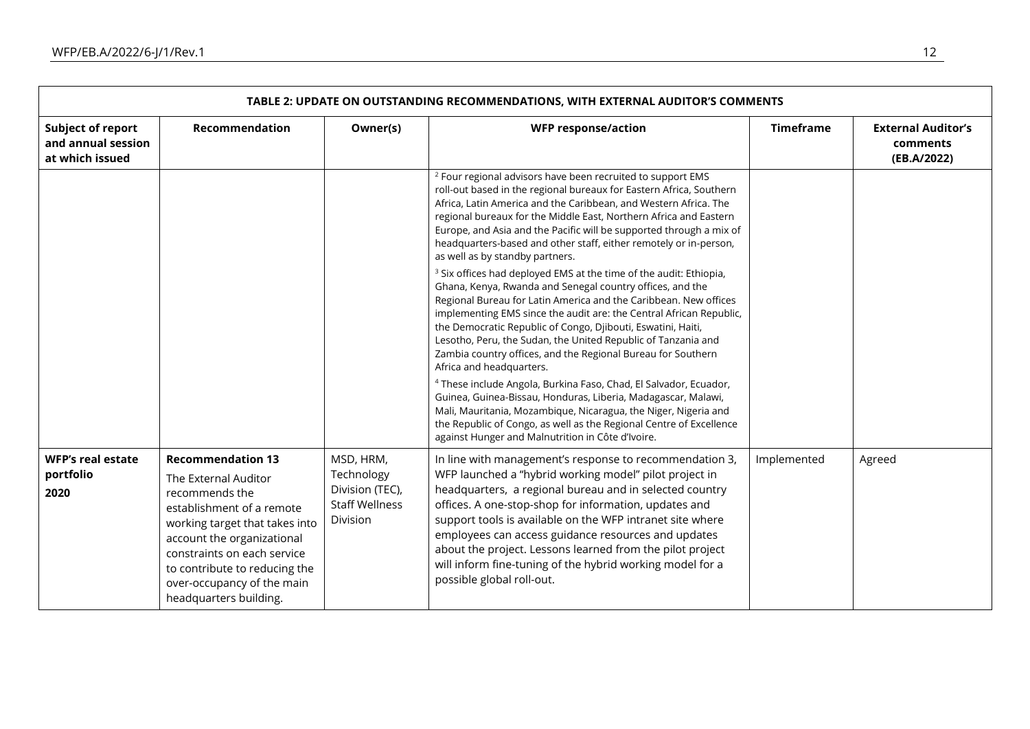|                                                            | <b>TABLE 2: UPDATE ON OUTSTANDING RECOMMENDATIONS, WITH EXTERNAL AUDITOR'S COMMENTS</b>                                                                                                                                                                                                 |                                                                                 |                                                                                                                                                                                                                                                                                                                                                                                                                                                                                                                    |                  |                                                      |  |  |  |
|------------------------------------------------------------|-----------------------------------------------------------------------------------------------------------------------------------------------------------------------------------------------------------------------------------------------------------------------------------------|---------------------------------------------------------------------------------|--------------------------------------------------------------------------------------------------------------------------------------------------------------------------------------------------------------------------------------------------------------------------------------------------------------------------------------------------------------------------------------------------------------------------------------------------------------------------------------------------------------------|------------------|------------------------------------------------------|--|--|--|
| Subject of report<br>and annual session<br>at which issued | Recommendation                                                                                                                                                                                                                                                                          | Owner(s)                                                                        | <b>WFP response/action</b>                                                                                                                                                                                                                                                                                                                                                                                                                                                                                         | <b>Timeframe</b> | <b>External Auditor's</b><br>comments<br>(EB.A/2022) |  |  |  |
|                                                            |                                                                                                                                                                                                                                                                                         |                                                                                 | <sup>2</sup> Four regional advisors have been recruited to support EMS<br>roll-out based in the regional bureaux for Eastern Africa, Southern<br>Africa, Latin America and the Caribbean, and Western Africa. The<br>regional bureaux for the Middle East, Northern Africa and Eastern<br>Europe, and Asia and the Pacific will be supported through a mix of<br>headquarters-based and other staff, either remotely or in-person,<br>as well as by standby partners.                                              |                  |                                                      |  |  |  |
|                                                            |                                                                                                                                                                                                                                                                                         |                                                                                 | <sup>3</sup> Six offices had deployed EMS at the time of the audit: Ethiopia,<br>Ghana, Kenya, Rwanda and Senegal country offices, and the<br>Regional Bureau for Latin America and the Caribbean. New offices<br>implementing EMS since the audit are: the Central African Republic,<br>the Democratic Republic of Congo, Djibouti, Eswatini, Haiti,<br>Lesotho, Peru, the Sudan, the United Republic of Tanzania and<br>Zambia country offices, and the Regional Bureau for Southern<br>Africa and headquarters. |                  |                                                      |  |  |  |
|                                                            |                                                                                                                                                                                                                                                                                         |                                                                                 | <sup>4</sup> These include Angola, Burkina Faso, Chad, El Salvador, Ecuador,<br>Guinea, Guinea-Bissau, Honduras, Liberia, Madagascar, Malawi,<br>Mali, Mauritania, Mozambique, Nicaragua, the Niger, Nigeria and<br>the Republic of Congo, as well as the Regional Centre of Excellence<br>against Hunger and Malnutrition in Côte d'Ivoire.                                                                                                                                                                       |                  |                                                      |  |  |  |
| <b>WFP's real estate</b><br>portfolio<br>2020              | <b>Recommendation 13</b><br>The External Auditor<br>recommends the<br>establishment of a remote<br>working target that takes into<br>account the organizational<br>constraints on each service<br>to contribute to reducing the<br>over-occupancy of the main<br>headquarters building. | MSD, HRM,<br>Technology<br>Division (TEC),<br><b>Staff Wellness</b><br>Division | In line with management's response to recommendation 3,<br>WFP launched a "hybrid working model" pilot project in<br>headquarters, a regional bureau and in selected country<br>offices. A one-stop-shop for information, updates and<br>support tools is available on the WFP intranet site where<br>employees can access guidance resources and updates<br>about the project. Lessons learned from the pilot project<br>will inform fine-tuning of the hybrid working model for a<br>possible global roll-out.   | Implemented      | Agreed                                               |  |  |  |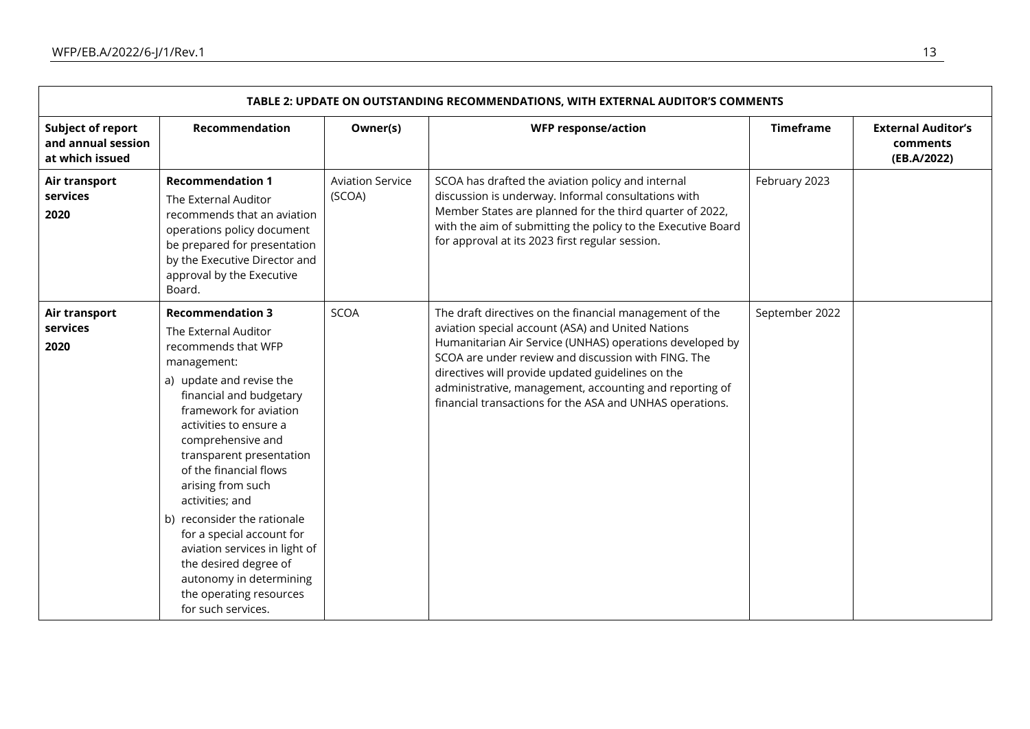| <b>TABLE 2: UPDATE ON OUTSTANDING RECOMMENDATIONS, WITH EXTERNAL AUDITOR'S COMMENTS</b> |                                                                                                                                                                                                                                                                                                                                                                                                                                                                                                                       |                                   |                                                                                                                                                                                                                                                                                                                                                                                                             |                  |                                                      |  |  |  |
|-----------------------------------------------------------------------------------------|-----------------------------------------------------------------------------------------------------------------------------------------------------------------------------------------------------------------------------------------------------------------------------------------------------------------------------------------------------------------------------------------------------------------------------------------------------------------------------------------------------------------------|-----------------------------------|-------------------------------------------------------------------------------------------------------------------------------------------------------------------------------------------------------------------------------------------------------------------------------------------------------------------------------------------------------------------------------------------------------------|------------------|------------------------------------------------------|--|--|--|
| <b>Subject of report</b><br>and annual session<br>at which issued                       | Recommendation                                                                                                                                                                                                                                                                                                                                                                                                                                                                                                        | Owner(s)                          | <b>WFP response/action</b>                                                                                                                                                                                                                                                                                                                                                                                  | <b>Timeframe</b> | <b>External Auditor's</b><br>comments<br>(EB.A/2022) |  |  |  |
| Air transport<br>services<br>2020                                                       | <b>Recommendation 1</b><br>The External Auditor<br>recommends that an aviation<br>operations policy document<br>be prepared for presentation<br>by the Executive Director and<br>approval by the Executive<br>Board.                                                                                                                                                                                                                                                                                                  | <b>Aviation Service</b><br>(SCOA) | SCOA has drafted the aviation policy and internal<br>discussion is underway. Informal consultations with<br>Member States are planned for the third quarter of 2022,<br>with the aim of submitting the policy to the Executive Board<br>for approval at its 2023 first regular session.                                                                                                                     | February 2023    |                                                      |  |  |  |
| Air transport<br>services<br>2020                                                       | <b>Recommendation 3</b><br>The External Auditor<br>recommends that WFP<br>management:<br>a) update and revise the<br>financial and budgetary<br>framework for aviation<br>activities to ensure a<br>comprehensive and<br>transparent presentation<br>of the financial flows<br>arising from such<br>activities; and<br>b) reconsider the rationale<br>for a special account for<br>aviation services in light of<br>the desired degree of<br>autonomy in determining<br>the operating resources<br>for such services. | <b>SCOA</b>                       | The draft directives on the financial management of the<br>aviation special account (ASA) and United Nations<br>Humanitarian Air Service (UNHAS) operations developed by<br>SCOA are under review and discussion with FING. The<br>directives will provide updated guidelines on the<br>administrative, management, accounting and reporting of<br>financial transactions for the ASA and UNHAS operations. | September 2022   |                                                      |  |  |  |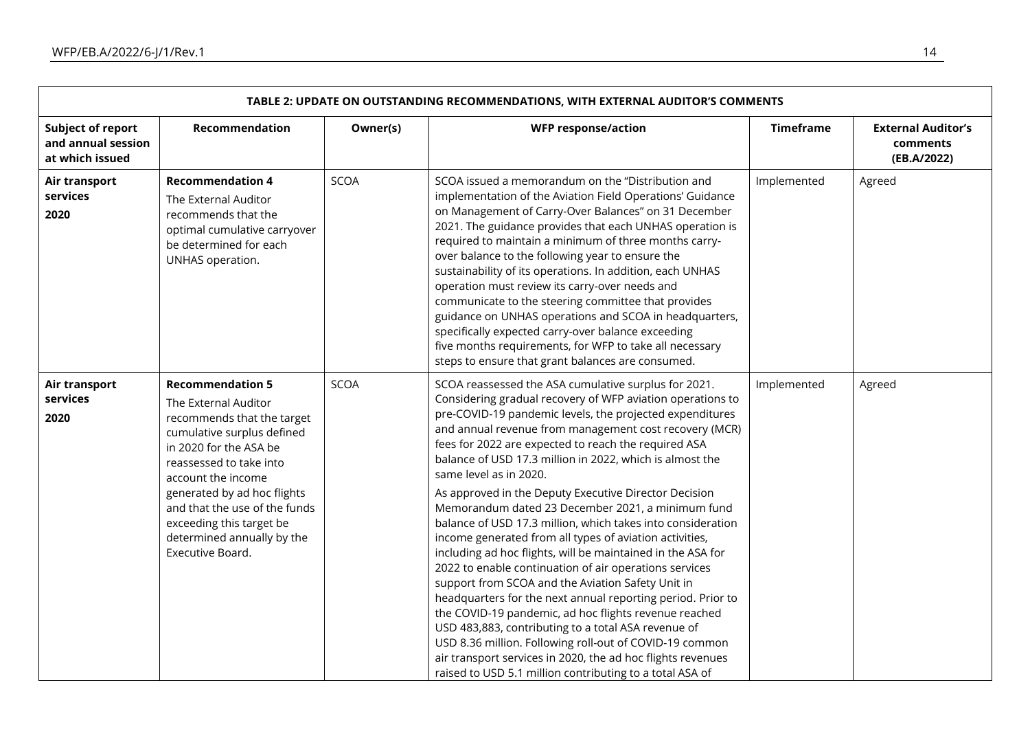| TABLE 2: UPDATE ON OUTSTANDING RECOMMENDATIONS, WITH EXTERNAL AUDITOR'S COMMENTS |                                                                                                                                                                                                                                                                                                                                      |             |                                                                                                                                                                                                                                                                                                                                                                                                                                                                                                                                                                                                                                                                                                                                                                                                                                                                                                                                                                                                                                                                                                                                                                                   |                  |                                                      |  |  |  |
|----------------------------------------------------------------------------------|--------------------------------------------------------------------------------------------------------------------------------------------------------------------------------------------------------------------------------------------------------------------------------------------------------------------------------------|-------------|-----------------------------------------------------------------------------------------------------------------------------------------------------------------------------------------------------------------------------------------------------------------------------------------------------------------------------------------------------------------------------------------------------------------------------------------------------------------------------------------------------------------------------------------------------------------------------------------------------------------------------------------------------------------------------------------------------------------------------------------------------------------------------------------------------------------------------------------------------------------------------------------------------------------------------------------------------------------------------------------------------------------------------------------------------------------------------------------------------------------------------------------------------------------------------------|------------------|------------------------------------------------------|--|--|--|
| <b>Subject of report</b><br>and annual session<br>at which issued                | Recommendation                                                                                                                                                                                                                                                                                                                       | Owner(s)    | <b>WFP response/action</b>                                                                                                                                                                                                                                                                                                                                                                                                                                                                                                                                                                                                                                                                                                                                                                                                                                                                                                                                                                                                                                                                                                                                                        | <b>Timeframe</b> | <b>External Auditor's</b><br>comments<br>(EB.A/2022) |  |  |  |
| Air transport<br>services<br>2020                                                | <b>Recommendation 4</b><br>The External Auditor<br>recommends that the<br>optimal cumulative carryover<br>be determined for each<br>UNHAS operation.                                                                                                                                                                                 | <b>SCOA</b> | SCOA issued a memorandum on the "Distribution and<br>implementation of the Aviation Field Operations' Guidance<br>on Management of Carry-Over Balances" on 31 December<br>2021. The guidance provides that each UNHAS operation is<br>required to maintain a minimum of three months carry-<br>over balance to the following year to ensure the<br>sustainability of its operations. In addition, each UNHAS<br>operation must review its carry-over needs and<br>communicate to the steering committee that provides<br>guidance on UNHAS operations and SCOA in headquarters,<br>specifically expected carry-over balance exceeding<br>five months requirements, for WFP to take all necessary<br>steps to ensure that grant balances are consumed.                                                                                                                                                                                                                                                                                                                                                                                                                             | Implemented      | Agreed                                               |  |  |  |
| Air transport<br>services<br>2020                                                | <b>Recommendation 5</b><br>The External Auditor<br>recommends that the target<br>cumulative surplus defined<br>in 2020 for the ASA be<br>reassessed to take into<br>account the income<br>generated by ad hoc flights<br>and that the use of the funds<br>exceeding this target be<br>determined annually by the<br>Executive Board. | <b>SCOA</b> | SCOA reassessed the ASA cumulative surplus for 2021.<br>Considering gradual recovery of WFP aviation operations to<br>pre-COVID-19 pandemic levels, the projected expenditures<br>and annual revenue from management cost recovery (MCR)<br>fees for 2022 are expected to reach the required ASA<br>balance of USD 17.3 million in 2022, which is almost the<br>same level as in 2020.<br>As approved in the Deputy Executive Director Decision<br>Memorandum dated 23 December 2021, a minimum fund<br>balance of USD 17.3 million, which takes into consideration<br>income generated from all types of aviation activities,<br>including ad hoc flights, will be maintained in the ASA for<br>2022 to enable continuation of air operations services<br>support from SCOA and the Aviation Safety Unit in<br>headquarters for the next annual reporting period. Prior to<br>the COVID-19 pandemic, ad hoc flights revenue reached<br>USD 483,883, contributing to a total ASA revenue of<br>USD 8.36 million. Following roll-out of COVID-19 common<br>air transport services in 2020, the ad hoc flights revenues<br>raised to USD 5.1 million contributing to a total ASA of | Implemented      | Agreed                                               |  |  |  |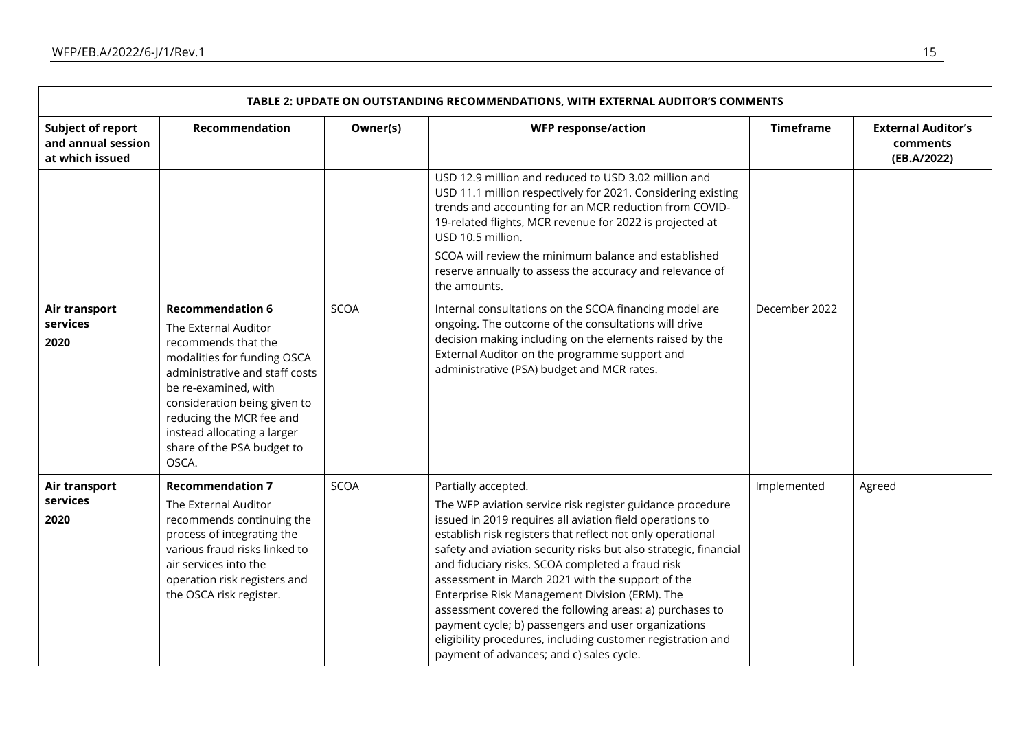| TABLE 2: UPDATE ON OUTSTANDING RECOMMENDATIONS, WITH EXTERNAL AUDITOR'S COMMENTS |                                                                                                                                                                                                                                                                                                   |             |                                                                                                                                                                                                                                                                                                                                                                                                                                                                                                                                                                                                                                                                       |                  |                                                      |  |  |  |
|----------------------------------------------------------------------------------|---------------------------------------------------------------------------------------------------------------------------------------------------------------------------------------------------------------------------------------------------------------------------------------------------|-------------|-----------------------------------------------------------------------------------------------------------------------------------------------------------------------------------------------------------------------------------------------------------------------------------------------------------------------------------------------------------------------------------------------------------------------------------------------------------------------------------------------------------------------------------------------------------------------------------------------------------------------------------------------------------------------|------------------|------------------------------------------------------|--|--|--|
| <b>Subject of report</b><br>and annual session<br>at which issued                | <b>Recommendation</b>                                                                                                                                                                                                                                                                             | Owner(s)    | <b>WFP response/action</b>                                                                                                                                                                                                                                                                                                                                                                                                                                                                                                                                                                                                                                            | <b>Timeframe</b> | <b>External Auditor's</b><br>comments<br>(EB.A/2022) |  |  |  |
|                                                                                  |                                                                                                                                                                                                                                                                                                   |             | USD 12.9 million and reduced to USD 3.02 million and<br>USD 11.1 million respectively for 2021. Considering existing<br>trends and accounting for an MCR reduction from COVID-<br>19-related flights, MCR revenue for 2022 is projected at<br>USD 10.5 million.<br>SCOA will review the minimum balance and established<br>reserve annually to assess the accuracy and relevance of<br>the amounts.                                                                                                                                                                                                                                                                   |                  |                                                      |  |  |  |
| Air transport<br>services<br>2020                                                | <b>Recommendation 6</b><br>The External Auditor<br>recommends that the<br>modalities for funding OSCA<br>administrative and staff costs<br>be re-examined, with<br>consideration being given to<br>reducing the MCR fee and<br>instead allocating a larger<br>share of the PSA budget to<br>OSCA. | <b>SCOA</b> | Internal consultations on the SCOA financing model are<br>ongoing. The outcome of the consultations will drive<br>decision making including on the elements raised by the<br>External Auditor on the programme support and<br>administrative (PSA) budget and MCR rates.                                                                                                                                                                                                                                                                                                                                                                                              | December 2022    |                                                      |  |  |  |
| Air transport<br>services<br>2020                                                | <b>Recommendation 7</b><br>The External Auditor<br>recommends continuing the<br>process of integrating the<br>various fraud risks linked to<br>air services into the<br>operation risk registers and<br>the OSCA risk register.                                                                   | <b>SCOA</b> | Partially accepted.<br>The WFP aviation service risk register guidance procedure<br>issued in 2019 requires all aviation field operations to<br>establish risk registers that reflect not only operational<br>safety and aviation security risks but also strategic, financial<br>and fiduciary risks. SCOA completed a fraud risk<br>assessment in March 2021 with the support of the<br>Enterprise Risk Management Division (ERM). The<br>assessment covered the following areas: a) purchases to<br>payment cycle; b) passengers and user organizations<br>eligibility procedures, including customer registration and<br>payment of advances; and c) sales cycle. | Implemented      | Agreed                                               |  |  |  |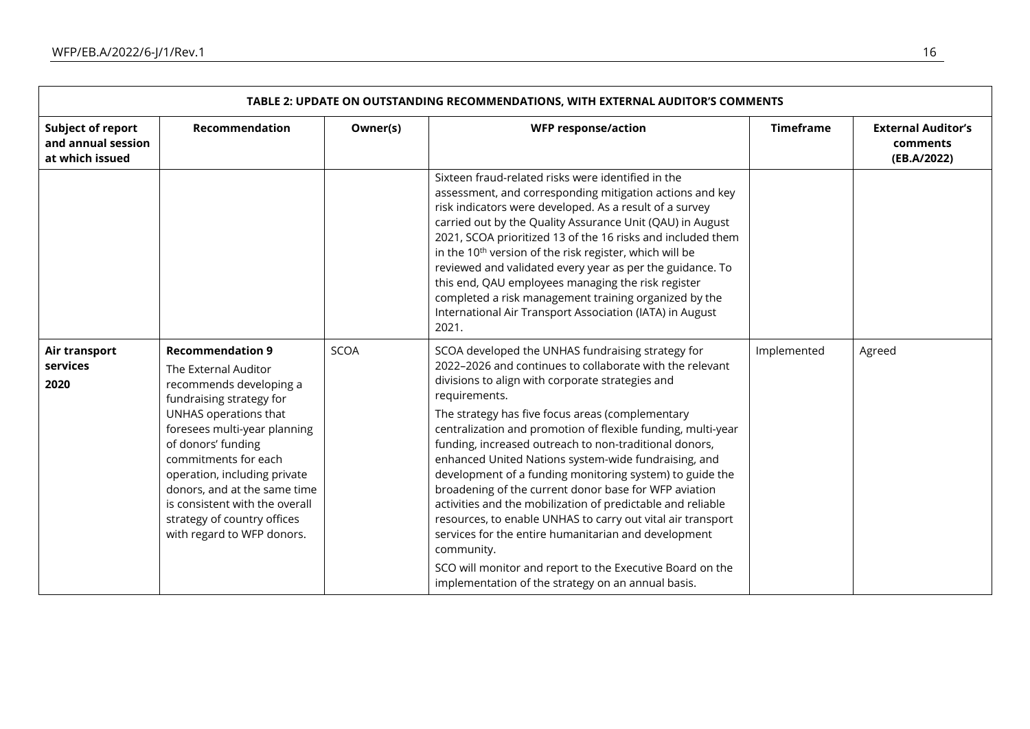| TABLE 2: UPDATE ON OUTSTANDING RECOMMENDATIONS, WITH EXTERNAL AUDITOR'S COMMENTS |                                                                                                                                                                                                                                                                                                                                                                              |             |                                                                                                                                                                                                                                                                                                                                                                                                                                                                                                                                                                                                                                                                                                                                                                                                                                                                      |                  |                                                      |  |  |  |
|----------------------------------------------------------------------------------|------------------------------------------------------------------------------------------------------------------------------------------------------------------------------------------------------------------------------------------------------------------------------------------------------------------------------------------------------------------------------|-------------|----------------------------------------------------------------------------------------------------------------------------------------------------------------------------------------------------------------------------------------------------------------------------------------------------------------------------------------------------------------------------------------------------------------------------------------------------------------------------------------------------------------------------------------------------------------------------------------------------------------------------------------------------------------------------------------------------------------------------------------------------------------------------------------------------------------------------------------------------------------------|------------------|------------------------------------------------------|--|--|--|
| <b>Subject of report</b><br>and annual session<br>at which issued                | <b>Recommendation</b>                                                                                                                                                                                                                                                                                                                                                        | Owner(s)    | <b>WFP response/action</b>                                                                                                                                                                                                                                                                                                                                                                                                                                                                                                                                                                                                                                                                                                                                                                                                                                           | <b>Timeframe</b> | <b>External Auditor's</b><br>comments<br>(EB.A/2022) |  |  |  |
|                                                                                  |                                                                                                                                                                                                                                                                                                                                                                              |             | Sixteen fraud-related risks were identified in the<br>assessment, and corresponding mitigation actions and key<br>risk indicators were developed. As a result of a survey<br>carried out by the Quality Assurance Unit (QAU) in August<br>2021, SCOA prioritized 13 of the 16 risks and included them<br>in the 10 <sup>th</sup> version of the risk register, which will be<br>reviewed and validated every year as per the guidance. To<br>this end, QAU employees managing the risk register<br>completed a risk management training organized by the<br>International Air Transport Association (IATA) in August<br>2021.                                                                                                                                                                                                                                        |                  |                                                      |  |  |  |
| Air transport<br>services<br>2020                                                | <b>Recommendation 9</b><br>The External Auditor<br>recommends developing a<br>fundraising strategy for<br>UNHAS operations that<br>foresees multi-year planning<br>of donors' funding<br>commitments for each<br>operation, including private<br>donors, and at the same time<br>is consistent with the overall<br>strategy of country offices<br>with regard to WFP donors. | <b>SCOA</b> | SCOA developed the UNHAS fundraising strategy for<br>2022-2026 and continues to collaborate with the relevant<br>divisions to align with corporate strategies and<br>requirements.<br>The strategy has five focus areas (complementary<br>centralization and promotion of flexible funding, multi-year<br>funding, increased outreach to non-traditional donors,<br>enhanced United Nations system-wide fundraising, and<br>development of a funding monitoring system) to guide the<br>broadening of the current donor base for WFP aviation<br>activities and the mobilization of predictable and reliable<br>resources, to enable UNHAS to carry out vital air transport<br>services for the entire humanitarian and development<br>community.<br>SCO will monitor and report to the Executive Board on the<br>implementation of the strategy on an annual basis. | Implemented      | Agreed                                               |  |  |  |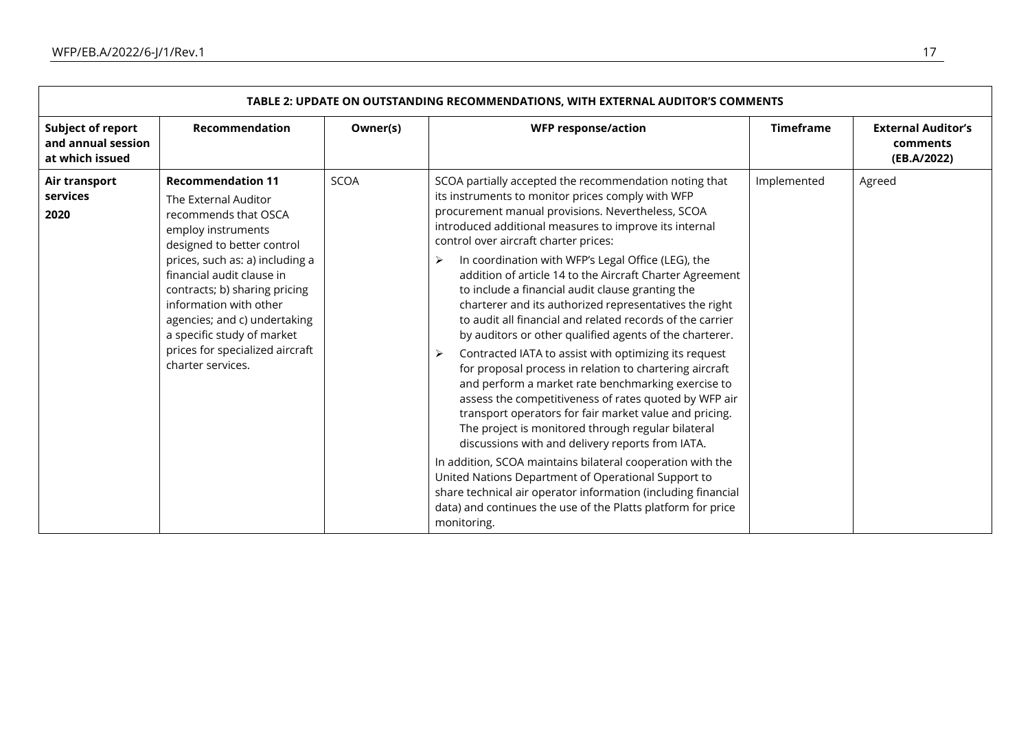| TABLE 2: UPDATE ON OUTSTANDING RECOMMENDATIONS, WITH EXTERNAL AUDITOR'S COMMENTS |                                                                                                                                                                                                                                                                                                                                                                               |             |                                                                                                                                                                                                                                                                                                                                                                                                                                                                                                                                                                                                                                                                                                                                                                                                                                                                                                                                                                                                                                                                                                                                                                                                                                                                                                                   |                  |                                                      |  |  |  |
|----------------------------------------------------------------------------------|-------------------------------------------------------------------------------------------------------------------------------------------------------------------------------------------------------------------------------------------------------------------------------------------------------------------------------------------------------------------------------|-------------|-------------------------------------------------------------------------------------------------------------------------------------------------------------------------------------------------------------------------------------------------------------------------------------------------------------------------------------------------------------------------------------------------------------------------------------------------------------------------------------------------------------------------------------------------------------------------------------------------------------------------------------------------------------------------------------------------------------------------------------------------------------------------------------------------------------------------------------------------------------------------------------------------------------------------------------------------------------------------------------------------------------------------------------------------------------------------------------------------------------------------------------------------------------------------------------------------------------------------------------------------------------------------------------------------------------------|------------------|------------------------------------------------------|--|--|--|
| <b>Subject of report</b><br>and annual session<br>at which issued                | Recommendation                                                                                                                                                                                                                                                                                                                                                                | Owner(s)    | <b>WFP response/action</b>                                                                                                                                                                                                                                                                                                                                                                                                                                                                                                                                                                                                                                                                                                                                                                                                                                                                                                                                                                                                                                                                                                                                                                                                                                                                                        | <b>Timeframe</b> | <b>External Auditor's</b><br>comments<br>(EB.A/2022) |  |  |  |
| Air transport<br>services<br>2020                                                | <b>Recommendation 11</b><br>The External Auditor<br>recommends that OSCA<br>employ instruments<br>designed to better control<br>prices, such as: a) including a<br>financial audit clause in<br>contracts; b) sharing pricing<br>information with other<br>agencies; and c) undertaking<br>a specific study of market<br>prices for specialized aircraft<br>charter services. | <b>SCOA</b> | SCOA partially accepted the recommendation noting that<br>its instruments to monitor prices comply with WFP<br>procurement manual provisions. Nevertheless, SCOA<br>introduced additional measures to improve its internal<br>control over aircraft charter prices:<br>In coordination with WFP's Legal Office (LEG), the<br>➤<br>addition of article 14 to the Aircraft Charter Agreement<br>to include a financial audit clause granting the<br>charterer and its authorized representatives the right<br>to audit all financial and related records of the carrier<br>by auditors or other qualified agents of the charterer.<br>Contracted IATA to assist with optimizing its request<br>➤<br>for proposal process in relation to chartering aircraft<br>and perform a market rate benchmarking exercise to<br>assess the competitiveness of rates quoted by WFP air<br>transport operators for fair market value and pricing.<br>The project is monitored through regular bilateral<br>discussions with and delivery reports from IATA.<br>In addition, SCOA maintains bilateral cooperation with the<br>United Nations Department of Operational Support to<br>share technical air operator information (including financial<br>data) and continues the use of the Platts platform for price<br>monitoring. | Implemented      | Agreed                                               |  |  |  |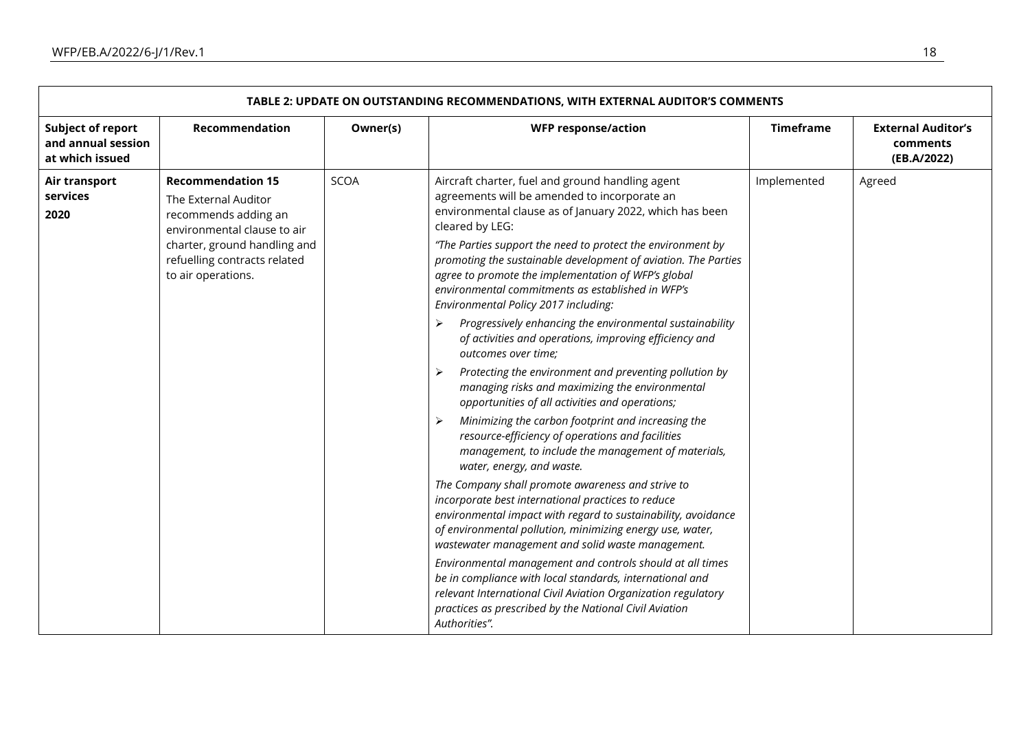| TABLE 2: UPDATE ON OUTSTANDING RECOMMENDATIONS, WITH EXTERNAL AUDITOR'S COMMENTS |                                                                                                                                                                                               |             |                                                                                                                                                                                                                                                                                                                                                                                                                                                                                                                                                                                                                                                                                                                                                                                                                                                                                                                                                                                                                                                                                                                                                                                                                                                                                                                                                                                                                                                                                                                                                             |                  |                                                      |  |  |  |
|----------------------------------------------------------------------------------|-----------------------------------------------------------------------------------------------------------------------------------------------------------------------------------------------|-------------|-------------------------------------------------------------------------------------------------------------------------------------------------------------------------------------------------------------------------------------------------------------------------------------------------------------------------------------------------------------------------------------------------------------------------------------------------------------------------------------------------------------------------------------------------------------------------------------------------------------------------------------------------------------------------------------------------------------------------------------------------------------------------------------------------------------------------------------------------------------------------------------------------------------------------------------------------------------------------------------------------------------------------------------------------------------------------------------------------------------------------------------------------------------------------------------------------------------------------------------------------------------------------------------------------------------------------------------------------------------------------------------------------------------------------------------------------------------------------------------------------------------------------------------------------------------|------------------|------------------------------------------------------|--|--|--|
| <b>Subject of report</b><br>and annual session<br>at which issued                | Recommendation                                                                                                                                                                                | Owner(s)    | <b>WFP response/action</b>                                                                                                                                                                                                                                                                                                                                                                                                                                                                                                                                                                                                                                                                                                                                                                                                                                                                                                                                                                                                                                                                                                                                                                                                                                                                                                                                                                                                                                                                                                                                  | <b>Timeframe</b> | <b>External Auditor's</b><br>comments<br>(EB.A/2022) |  |  |  |
| Air transport<br>services<br>2020                                                | <b>Recommendation 15</b><br>The External Auditor<br>recommends adding an<br>environmental clause to air<br>charter, ground handling and<br>refuelling contracts related<br>to air operations. | <b>SCOA</b> | Aircraft charter, fuel and ground handling agent<br>agreements will be amended to incorporate an<br>environmental clause as of January 2022, which has been<br>cleared by LEG:<br>"The Parties support the need to protect the environment by<br>promoting the sustainable development of aviation. The Parties<br>agree to promote the implementation of WFP's global<br>environmental commitments as established in WFP's<br>Environmental Policy 2017 including:<br>Progressively enhancing the environmental sustainability<br>➤<br>of activities and operations, improving efficiency and<br>outcomes over time;<br>Protecting the environment and preventing pollution by<br>managing risks and maximizing the environmental<br>opportunities of all activities and operations;<br>Minimizing the carbon footprint and increasing the<br>≻<br>resource-efficiency of operations and facilities<br>management, to include the management of materials,<br>water, energy, and waste.<br>The Company shall promote awareness and strive to<br>incorporate best international practices to reduce<br>environmental impact with regard to sustainability, avoidance<br>of environmental pollution, minimizing energy use, water,<br>wastewater management and solid waste management.<br>Environmental management and controls should at all times<br>be in compliance with local standards, international and<br>relevant International Civil Aviation Organization regulatory<br>practices as prescribed by the National Civil Aviation<br>Authorities". | Implemented      | Agreed                                               |  |  |  |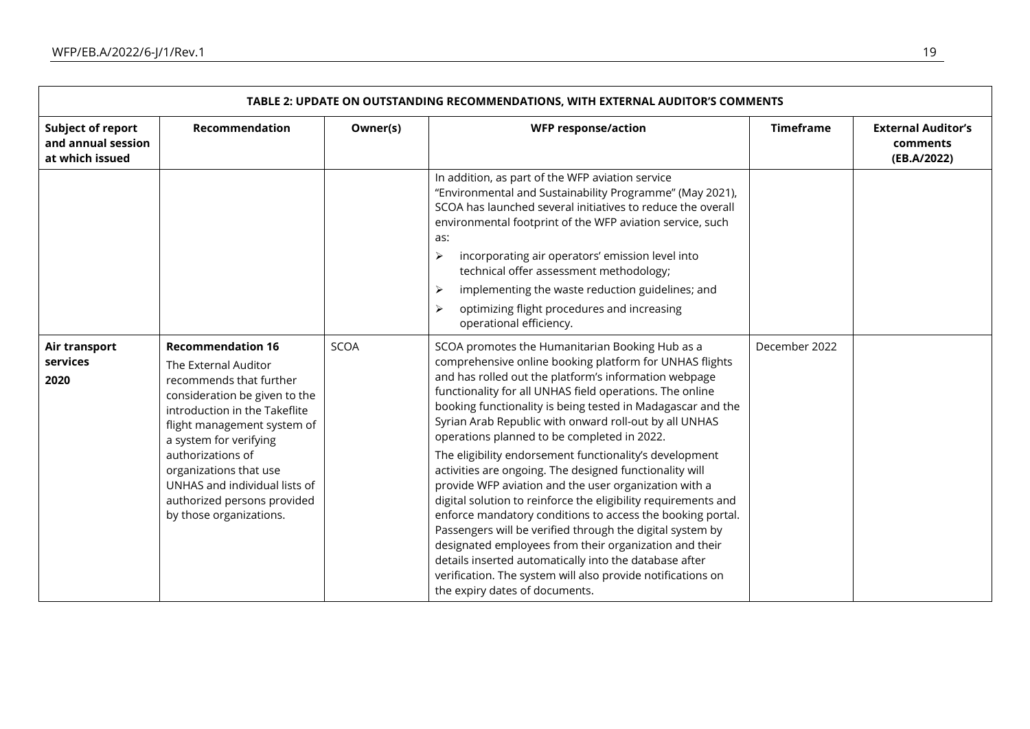| TABLE 2: UPDATE ON OUTSTANDING RECOMMENDATIONS, WITH EXTERNAL AUDITOR'S COMMENTS |                                                                                                                                                                                                                                                                                                                                                  |             |                                                                                                                                                                                                                                                                                                                                                                                                                                                                                                                                                                                                                                                                                                                                                                                                                                                                                                                                                                                                          |                  |                                                      |  |  |  |
|----------------------------------------------------------------------------------|--------------------------------------------------------------------------------------------------------------------------------------------------------------------------------------------------------------------------------------------------------------------------------------------------------------------------------------------------|-------------|----------------------------------------------------------------------------------------------------------------------------------------------------------------------------------------------------------------------------------------------------------------------------------------------------------------------------------------------------------------------------------------------------------------------------------------------------------------------------------------------------------------------------------------------------------------------------------------------------------------------------------------------------------------------------------------------------------------------------------------------------------------------------------------------------------------------------------------------------------------------------------------------------------------------------------------------------------------------------------------------------------|------------------|------------------------------------------------------|--|--|--|
| <b>Subject of report</b><br>and annual session<br>at which issued                | Recommendation                                                                                                                                                                                                                                                                                                                                   | Owner(s)    | <b>WFP response/action</b>                                                                                                                                                                                                                                                                                                                                                                                                                                                                                                                                                                                                                                                                                                                                                                                                                                                                                                                                                                               | <b>Timeframe</b> | <b>External Auditor's</b><br>comments<br>(EB.A/2022) |  |  |  |
|                                                                                  |                                                                                                                                                                                                                                                                                                                                                  |             | In addition, as part of the WFP aviation service<br>"Environmental and Sustainability Programme" (May 2021),<br>SCOA has launched several initiatives to reduce the overall<br>environmental footprint of the WFP aviation service, such<br>as:<br>$\blacktriangleright$<br>incorporating air operators' emission level into<br>technical offer assessment methodology;<br>implementing the waste reduction guidelines; and<br>⋗<br>optimizing flight procedures and increasing<br>$\blacktriangleright$<br>operational efficiency.                                                                                                                                                                                                                                                                                                                                                                                                                                                                      |                  |                                                      |  |  |  |
| Air transport<br>services<br>2020                                                | <b>Recommendation 16</b><br>The External Auditor<br>recommends that further<br>consideration be given to the<br>introduction in the Takeflite<br>flight management system of<br>a system for verifying<br>authorizations of<br>organizations that use<br>UNHAS and individual lists of<br>authorized persons provided<br>by those organizations. | <b>SCOA</b> | SCOA promotes the Humanitarian Booking Hub as a<br>comprehensive online booking platform for UNHAS flights<br>and has rolled out the platform's information webpage<br>functionality for all UNHAS field operations. The online<br>booking functionality is being tested in Madagascar and the<br>Syrian Arab Republic with onward roll-out by all UNHAS<br>operations planned to be completed in 2022.<br>The eligibility endorsement functionality's development<br>activities are ongoing. The designed functionality will<br>provide WFP aviation and the user organization with a<br>digital solution to reinforce the eligibility requirements and<br>enforce mandatory conditions to access the booking portal.<br>Passengers will be verified through the digital system by<br>designated employees from their organization and their<br>details inserted automatically into the database after<br>verification. The system will also provide notifications on<br>the expiry dates of documents. | December 2022    |                                                      |  |  |  |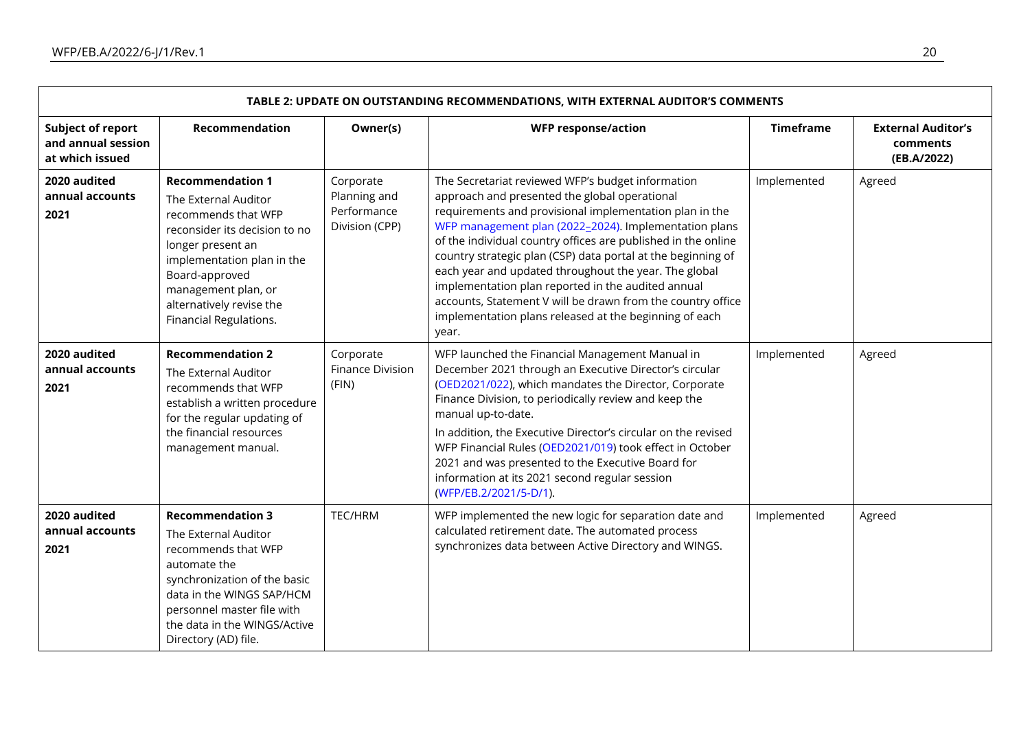| TABLE 2: UPDATE ON OUTSTANDING RECOMMENDATIONS, WITH EXTERNAL AUDITOR'S COMMENTS |                                                                                                                                                                                                                                                           |                                                            |                                                                                                                                                                                                                                                                                                                                                                                                                                                                                                                                                                                                          |                  |                                                      |  |  |
|----------------------------------------------------------------------------------|-----------------------------------------------------------------------------------------------------------------------------------------------------------------------------------------------------------------------------------------------------------|------------------------------------------------------------|----------------------------------------------------------------------------------------------------------------------------------------------------------------------------------------------------------------------------------------------------------------------------------------------------------------------------------------------------------------------------------------------------------------------------------------------------------------------------------------------------------------------------------------------------------------------------------------------------------|------------------|------------------------------------------------------|--|--|
| <b>Subject of report</b><br>and annual session<br>at which issued                | Recommendation                                                                                                                                                                                                                                            | Owner(s)                                                   | <b>WFP response/action</b>                                                                                                                                                                                                                                                                                                                                                                                                                                                                                                                                                                               | <b>Timeframe</b> | <b>External Auditor's</b><br>comments<br>(EB.A/2022) |  |  |
| 2020 audited<br>annual accounts<br>2021                                          | <b>Recommendation 1</b><br>The External Auditor<br>recommends that WFP<br>reconsider its decision to no<br>longer present an<br>implementation plan in the<br>Board-approved<br>management plan, or<br>alternatively revise the<br>Financial Regulations. | Corporate<br>Planning and<br>Performance<br>Division (CPP) | The Secretariat reviewed WFP's budget information<br>approach and presented the global operational<br>requirements and provisional implementation plan in the<br>WFP management plan (2022-2024). Implementation plans<br>of the individual country offices are published in the online<br>country strategic plan (CSP) data portal at the beginning of<br>each year and updated throughout the year. The global<br>implementation plan reported in the audited annual<br>accounts, Statement V will be drawn from the country office<br>implementation plans released at the beginning of each<br>year. | Implemented      | Agreed                                               |  |  |
| 2020 audited<br>annual accounts<br>2021                                          | <b>Recommendation 2</b><br>The External Auditor<br>recommends that WFP<br>establish a written procedure<br>for the regular updating of<br>the financial resources<br>management manual.                                                                   | Corporate<br><b>Finance Division</b><br>(FIN)              | WFP launched the Financial Management Manual in<br>December 2021 through an Executive Director's circular<br>(OED2021/022), which mandates the Director, Corporate<br>Finance Division, to periodically review and keep the<br>manual up-to-date.<br>In addition, the Executive Director's circular on the revised<br>WFP Financial Rules (OED2021/019) took effect in October<br>2021 and was presented to the Executive Board for<br>information at its 2021 second regular session<br>(WFP/EB.2/2021/5-D/1).                                                                                          | Implemented      | Agreed                                               |  |  |
| 2020 audited<br>annual accounts<br>2021                                          | <b>Recommendation 3</b><br>The External Auditor<br>recommends that WFP<br>automate the<br>synchronization of the basic<br>data in the WINGS SAP/HCM<br>personnel master file with<br>the data in the WINGS/Active<br>Directory (AD) file.                 | TEC/HRM                                                    | WFP implemented the new logic for separation date and<br>calculated retirement date. The automated process<br>synchronizes data between Active Directory and WINGS.                                                                                                                                                                                                                                                                                                                                                                                                                                      | Implemented      | Agreed                                               |  |  |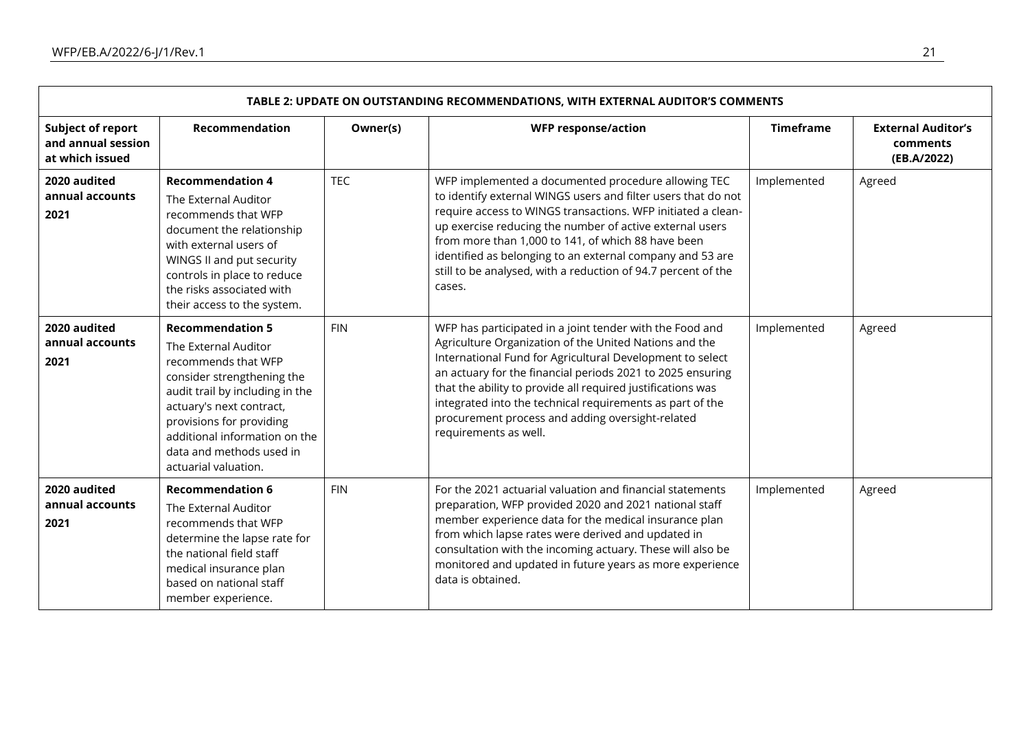| TABLE 2: UPDATE ON OUTSTANDING RECOMMENDATIONS, WITH EXTERNAL AUDITOR'S COMMENTS |                                                                                                                                                                                                                                                                                      |            |                                                                                                                                                                                                                                                                                                                                                                                                                                                        |                  |                                                      |  |  |
|----------------------------------------------------------------------------------|--------------------------------------------------------------------------------------------------------------------------------------------------------------------------------------------------------------------------------------------------------------------------------------|------------|--------------------------------------------------------------------------------------------------------------------------------------------------------------------------------------------------------------------------------------------------------------------------------------------------------------------------------------------------------------------------------------------------------------------------------------------------------|------------------|------------------------------------------------------|--|--|
| <b>Subject of report</b><br>and annual session<br>at which issued                | <b>Recommendation</b>                                                                                                                                                                                                                                                                | Owner(s)   | <b>WFP response/action</b>                                                                                                                                                                                                                                                                                                                                                                                                                             | <b>Timeframe</b> | <b>External Auditor's</b><br>comments<br>(EB.A/2022) |  |  |
| 2020 audited<br>annual accounts<br>2021                                          | <b>Recommendation 4</b><br>The External Auditor<br>recommends that WFP<br>document the relationship<br>with external users of<br>WINGS II and put security<br>controls in place to reduce<br>the risks associated with<br>their access to the system.                                | <b>TEC</b> | WFP implemented a documented procedure allowing TEC<br>to identify external WINGS users and filter users that do not<br>require access to WINGS transactions. WFP initiated a clean-<br>up exercise reducing the number of active external users<br>from more than 1,000 to 141, of which 88 have been<br>identified as belonging to an external company and 53 are<br>still to be analysed, with a reduction of 94.7 percent of the<br>cases.         | Implemented      | Agreed                                               |  |  |
| 2020 audited<br>annual accounts<br>2021                                          | <b>Recommendation 5</b><br>The External Auditor<br>recommends that WFP<br>consider strengthening the<br>audit trail by including in the<br>actuary's next contract,<br>provisions for providing<br>additional information on the<br>data and methods used in<br>actuarial valuation. | <b>FIN</b> | WFP has participated in a joint tender with the Food and<br>Agriculture Organization of the United Nations and the<br>International Fund for Agricultural Development to select<br>an actuary for the financial periods 2021 to 2025 ensuring<br>that the ability to provide all required justifications was<br>integrated into the technical requirements as part of the<br>procurement process and adding oversight-related<br>requirements as well. | Implemented      | Agreed                                               |  |  |
| 2020 audited<br>annual accounts<br>2021                                          | <b>Recommendation 6</b><br>The External Auditor<br>recommends that WFP<br>determine the lapse rate for<br>the national field staff<br>medical insurance plan<br>based on national staff<br>member experience.                                                                        | <b>FIN</b> | For the 2021 actuarial valuation and financial statements<br>preparation, WFP provided 2020 and 2021 national staff<br>member experience data for the medical insurance plan<br>from which lapse rates were derived and updated in<br>consultation with the incoming actuary. These will also be<br>monitored and updated in future years as more experience<br>data is obtained.                                                                      | Implemented      | Agreed                                               |  |  |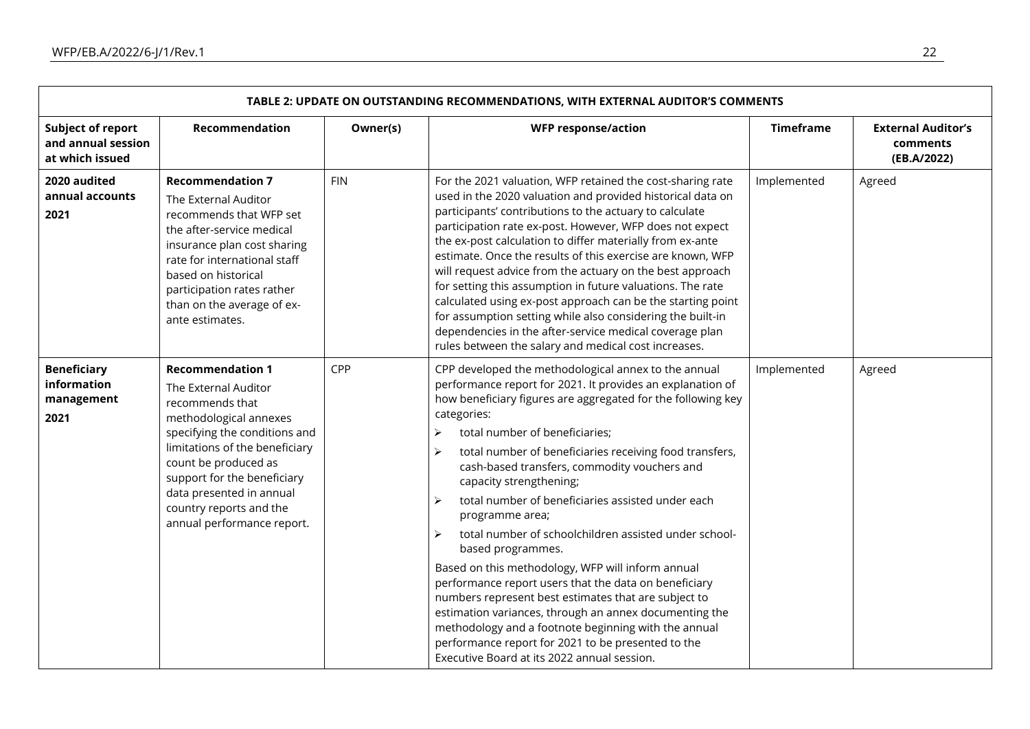| TABLE 2: UPDATE ON OUTSTANDING RECOMMENDATIONS, WITH EXTERNAL AUDITOR'S COMMENTS |                                                                                                                                                                                                                                                                                                             |            |                                                                                                                                                                                                                                                                                                                                                                                                                                                                                                                                                                                                                                                                                                                                                                                                                                                                                                                                                                      |                  |                                                      |  |  |  |
|----------------------------------------------------------------------------------|-------------------------------------------------------------------------------------------------------------------------------------------------------------------------------------------------------------------------------------------------------------------------------------------------------------|------------|----------------------------------------------------------------------------------------------------------------------------------------------------------------------------------------------------------------------------------------------------------------------------------------------------------------------------------------------------------------------------------------------------------------------------------------------------------------------------------------------------------------------------------------------------------------------------------------------------------------------------------------------------------------------------------------------------------------------------------------------------------------------------------------------------------------------------------------------------------------------------------------------------------------------------------------------------------------------|------------------|------------------------------------------------------|--|--|--|
| <b>Subject of report</b><br>and annual session<br>at which issued                | Recommendation                                                                                                                                                                                                                                                                                              | Owner(s)   | <b>WFP response/action</b>                                                                                                                                                                                                                                                                                                                                                                                                                                                                                                                                                                                                                                                                                                                                                                                                                                                                                                                                           | <b>Timeframe</b> | <b>External Auditor's</b><br>comments<br>(EB.A/2022) |  |  |  |
| 2020 audited<br>annual accounts<br>2021                                          | <b>Recommendation 7</b><br>The External Auditor<br>recommends that WFP set<br>the after-service medical<br>insurance plan cost sharing<br>rate for international staff<br>based on historical<br>participation rates rather<br>than on the average of ex-<br>ante estimates.                                | <b>FIN</b> | For the 2021 valuation, WFP retained the cost-sharing rate<br>used in the 2020 valuation and provided historical data on<br>participants' contributions to the actuary to calculate<br>participation rate ex-post. However, WFP does not expect<br>the ex-post calculation to differ materially from ex-ante<br>estimate. Once the results of this exercise are known, WFP<br>will request advice from the actuary on the best approach<br>for setting this assumption in future valuations. The rate<br>calculated using ex-post approach can be the starting point<br>for assumption setting while also considering the built-in<br>dependencies in the after-service medical coverage plan<br>rules between the salary and medical cost increases.                                                                                                                                                                                                                | Implemented      | Agreed                                               |  |  |  |
| <b>Beneficiary</b><br>information<br>management<br>2021                          | <b>Recommendation 1</b><br>The External Auditor<br>recommends that<br>methodological annexes<br>specifying the conditions and<br>limitations of the beneficiary<br>count be produced as<br>support for the beneficiary<br>data presented in annual<br>country reports and the<br>annual performance report. | CPP        | CPP developed the methodological annex to the annual<br>performance report for 2021. It provides an explanation of<br>how beneficiary figures are aggregated for the following key<br>categories:<br>total number of beneficiaries;<br>➤<br>total number of beneficiaries receiving food transfers,<br>➤<br>cash-based transfers, commodity vouchers and<br>capacity strengthening;<br>total number of beneficiaries assisted under each<br>➤<br>programme area;<br>total number of schoolchildren assisted under school-<br>$\blacktriangleright$<br>based programmes.<br>Based on this methodology, WFP will inform annual<br>performance report users that the data on beneficiary<br>numbers represent best estimates that are subject to<br>estimation variances, through an annex documenting the<br>methodology and a footnote beginning with the annual<br>performance report for 2021 to be presented to the<br>Executive Board at its 2022 annual session. | Implemented      | Agreed                                               |  |  |  |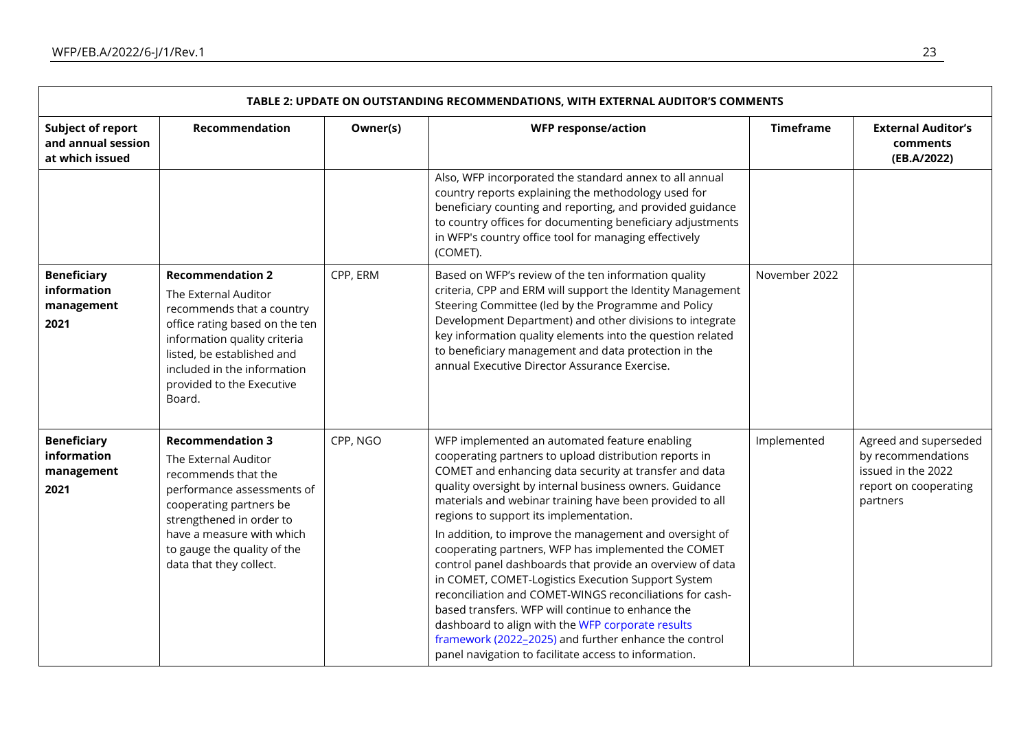| TABLE 2: UPDATE ON OUTSTANDING RECOMMENDATIONS, WITH EXTERNAL AUDITOR'S COMMENTS |                                                                                                                                                                                                                                                    |          |                                                                                                                                                                                                                                                                                                                                                                                                                                                                                                                                                                                                                                                                                                                                                                                                                                                                 |                  |                                                                                                        |  |  |  |
|----------------------------------------------------------------------------------|----------------------------------------------------------------------------------------------------------------------------------------------------------------------------------------------------------------------------------------------------|----------|-----------------------------------------------------------------------------------------------------------------------------------------------------------------------------------------------------------------------------------------------------------------------------------------------------------------------------------------------------------------------------------------------------------------------------------------------------------------------------------------------------------------------------------------------------------------------------------------------------------------------------------------------------------------------------------------------------------------------------------------------------------------------------------------------------------------------------------------------------------------|------------------|--------------------------------------------------------------------------------------------------------|--|--|--|
| <b>Subject of report</b><br>and annual session<br>at which issued                | Recommendation                                                                                                                                                                                                                                     | Owner(s) | <b>WFP response/action</b>                                                                                                                                                                                                                                                                                                                                                                                                                                                                                                                                                                                                                                                                                                                                                                                                                                      | <b>Timeframe</b> | <b>External Auditor's</b><br>comments<br>(EB.A/2022)                                                   |  |  |  |
|                                                                                  |                                                                                                                                                                                                                                                    |          | Also, WFP incorporated the standard annex to all annual<br>country reports explaining the methodology used for<br>beneficiary counting and reporting, and provided guidance<br>to country offices for documenting beneficiary adjustments<br>in WFP's country office tool for managing effectively<br>(COMET).                                                                                                                                                                                                                                                                                                                                                                                                                                                                                                                                                  |                  |                                                                                                        |  |  |  |
| <b>Beneficiary</b><br>information<br>management<br>2021                          | <b>Recommendation 2</b><br>The External Auditor<br>recommends that a country<br>office rating based on the ten<br>information quality criteria<br>listed, be established and<br>included in the information<br>provided to the Executive<br>Board. | CPP, ERM | Based on WFP's review of the ten information quality<br>criteria, CPP and ERM will support the Identity Management<br>Steering Committee (led by the Programme and Policy<br>Development Department) and other divisions to integrate<br>key information quality elements into the question related<br>to beneficiary management and data protection in the<br>annual Executive Director Assurance Exercise.                                                                                                                                                                                                                                                                                                                                                                                                                                                    | November 2022    |                                                                                                        |  |  |  |
| <b>Beneficiary</b><br>information<br>management<br>2021                          | <b>Recommendation 3</b><br>The External Auditor<br>recommends that the<br>performance assessments of<br>cooperating partners be<br>strengthened in order to<br>have a measure with which<br>to gauge the quality of the<br>data that they collect. | CPP, NGO | WFP implemented an automated feature enabling<br>cooperating partners to upload distribution reports in<br>COMET and enhancing data security at transfer and data<br>quality oversight by internal business owners. Guidance<br>materials and webinar training have been provided to all<br>regions to support its implementation.<br>In addition, to improve the management and oversight of<br>cooperating partners, WFP has implemented the COMET<br>control panel dashboards that provide an overview of data<br>in COMET, COMET-Logistics Execution Support System<br>reconciliation and COMET-WINGS reconciliations for cash-<br>based transfers. WFP will continue to enhance the<br>dashboard to align with the WFP corporate results<br>framework (2022-2025) and further enhance the control<br>panel navigation to facilitate access to information. | Implemented      | Agreed and superseded<br>by recommendations<br>issued in the 2022<br>report on cooperating<br>partners |  |  |  |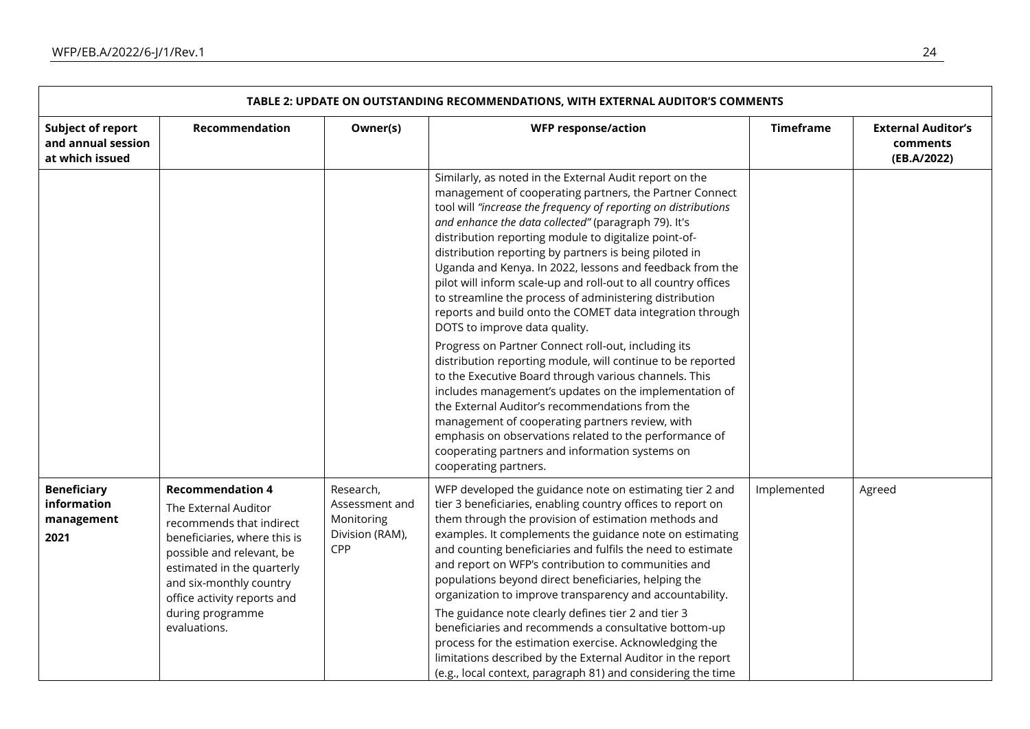| TABLE 2: UPDATE ON OUTSTANDING RECOMMENDATIONS, WITH EXTERNAL AUDITOR'S COMMENTS |                                                                                                                                                                                                                                                                      |                                                                     |                                                                                                                                                                                                                                                                                                                                                                                                                                                                                                                                                                                                                                                                                                                                                                                                                                                                                                                                                                                                                                                                                                                                              |                  |                                                      |  |  |  |
|----------------------------------------------------------------------------------|----------------------------------------------------------------------------------------------------------------------------------------------------------------------------------------------------------------------------------------------------------------------|---------------------------------------------------------------------|----------------------------------------------------------------------------------------------------------------------------------------------------------------------------------------------------------------------------------------------------------------------------------------------------------------------------------------------------------------------------------------------------------------------------------------------------------------------------------------------------------------------------------------------------------------------------------------------------------------------------------------------------------------------------------------------------------------------------------------------------------------------------------------------------------------------------------------------------------------------------------------------------------------------------------------------------------------------------------------------------------------------------------------------------------------------------------------------------------------------------------------------|------------------|------------------------------------------------------|--|--|--|
| Subject of report<br>and annual session<br>at which issued                       | Recommendation                                                                                                                                                                                                                                                       | Owner(s)                                                            | <b>WFP response/action</b>                                                                                                                                                                                                                                                                                                                                                                                                                                                                                                                                                                                                                                                                                                                                                                                                                                                                                                                                                                                                                                                                                                                   | <b>Timeframe</b> | <b>External Auditor's</b><br>comments<br>(EB.A/2022) |  |  |  |
|                                                                                  |                                                                                                                                                                                                                                                                      |                                                                     | Similarly, as noted in the External Audit report on the<br>management of cooperating partners, the Partner Connect<br>tool will "increase the frequency of reporting on distributions<br>and enhance the data collected" (paragraph 79). It's<br>distribution reporting module to digitalize point-of-<br>distribution reporting by partners is being piloted in<br>Uganda and Kenya. In 2022, lessons and feedback from the<br>pilot will inform scale-up and roll-out to all country offices<br>to streamline the process of administering distribution<br>reports and build onto the COMET data integration through<br>DOTS to improve data quality.<br>Progress on Partner Connect roll-out, including its<br>distribution reporting module, will continue to be reported<br>to the Executive Board through various channels. This<br>includes management's updates on the implementation of<br>the External Auditor's recommendations from the<br>management of cooperating partners review, with<br>emphasis on observations related to the performance of<br>cooperating partners and information systems on<br>cooperating partners. |                  |                                                      |  |  |  |
| <b>Beneficiary</b><br>information<br>management<br>2021                          | <b>Recommendation 4</b><br>The External Auditor<br>recommends that indirect<br>beneficiaries, where this is<br>possible and relevant, be<br>estimated in the quarterly<br>and six-monthly country<br>office activity reports and<br>during programme<br>evaluations. | Research,<br>Assessment and<br>Monitoring<br>Division (RAM),<br>CPP | WFP developed the guidance note on estimating tier 2 and<br>tier 3 beneficiaries, enabling country offices to report on<br>them through the provision of estimation methods and<br>examples. It complements the guidance note on estimating<br>and counting beneficiaries and fulfils the need to estimate<br>and report on WFP's contribution to communities and<br>populations beyond direct beneficiaries, helping the<br>organization to improve transparency and accountability.<br>The guidance note clearly defines tier 2 and tier 3<br>beneficiaries and recommends a consultative bottom-up<br>process for the estimation exercise. Acknowledging the<br>limitations described by the External Auditor in the report<br>(e.g., local context, paragraph 81) and considering the time                                                                                                                                                                                                                                                                                                                                               | Implemented      | Agreed                                               |  |  |  |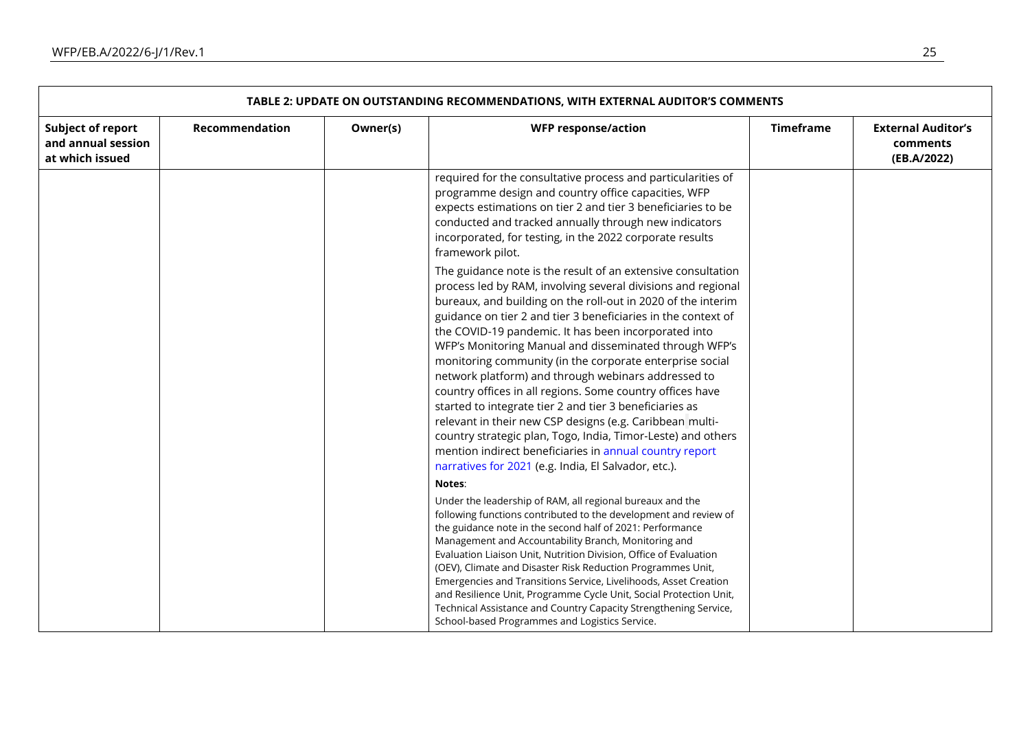| TABLE 2: UPDATE ON OUTSTANDING RECOMMENDATIONS, WITH EXTERNAL AUDITOR'S COMMENTS |                |          |                                                                                                                                                                                                                                                                                                                                                                                                                                                                                                                                                                                                                                                                                                                                                                                                                                                                           |                  |                                                      |  |  |  |
|----------------------------------------------------------------------------------|----------------|----------|---------------------------------------------------------------------------------------------------------------------------------------------------------------------------------------------------------------------------------------------------------------------------------------------------------------------------------------------------------------------------------------------------------------------------------------------------------------------------------------------------------------------------------------------------------------------------------------------------------------------------------------------------------------------------------------------------------------------------------------------------------------------------------------------------------------------------------------------------------------------------|------------------|------------------------------------------------------|--|--|--|
| <b>Subject of report</b><br>and annual session<br>at which issued                | Recommendation | Owner(s) | <b>WFP response/action</b>                                                                                                                                                                                                                                                                                                                                                                                                                                                                                                                                                                                                                                                                                                                                                                                                                                                | <b>Timeframe</b> | <b>External Auditor's</b><br>comments<br>(EB.A/2022) |  |  |  |
|                                                                                  |                |          | required for the consultative process and particularities of<br>programme design and country office capacities, WFP<br>expects estimations on tier 2 and tier 3 beneficiaries to be<br>conducted and tracked annually through new indicators<br>incorporated, for testing, in the 2022 corporate results<br>framework pilot.                                                                                                                                                                                                                                                                                                                                                                                                                                                                                                                                              |                  |                                                      |  |  |  |
|                                                                                  |                |          | The guidance note is the result of an extensive consultation<br>process led by RAM, involving several divisions and regional<br>bureaux, and building on the roll-out in 2020 of the interim<br>guidance on tier 2 and tier 3 beneficiaries in the context of<br>the COVID-19 pandemic. It has been incorporated into<br>WFP's Monitoring Manual and disseminated through WFP's<br>monitoring community (in the corporate enterprise social<br>network platform) and through webinars addressed to<br>country offices in all regions. Some country offices have<br>started to integrate tier 2 and tier 3 beneficiaries as<br>relevant in their new CSP designs (e.g. Caribbean multi-<br>country strategic plan, Togo, India, Timor-Leste) and others<br>mention indirect beneficiaries in annual country report<br>narratives for 2021 (e.g. India, El Salvador, etc.). |                  |                                                      |  |  |  |
|                                                                                  |                |          | Notes:                                                                                                                                                                                                                                                                                                                                                                                                                                                                                                                                                                                                                                                                                                                                                                                                                                                                    |                  |                                                      |  |  |  |
|                                                                                  |                |          | Under the leadership of RAM, all regional bureaux and the<br>following functions contributed to the development and review of<br>the guidance note in the second half of 2021: Performance<br>Management and Accountability Branch, Monitoring and<br>Evaluation Liaison Unit, Nutrition Division, Office of Evaluation<br>(OEV), Climate and Disaster Risk Reduction Programmes Unit,<br>Emergencies and Transitions Service, Livelihoods, Asset Creation<br>and Resilience Unit, Programme Cycle Unit, Social Protection Unit,<br>Technical Assistance and Country Capacity Strengthening Service,<br>School-based Programmes and Logistics Service.                                                                                                                                                                                                                    |                  |                                                      |  |  |  |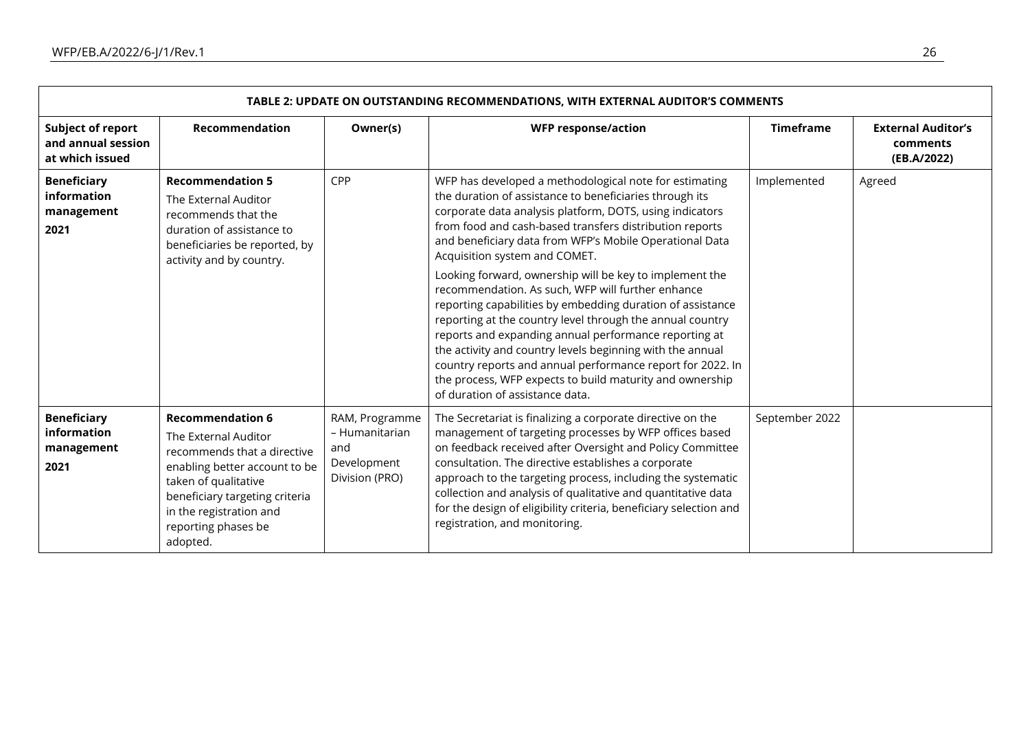| TABLE 2: UPDATE ON OUTSTANDING RECOMMENDATIONS, WITH EXTERNAL AUDITOR'S COMMENTS |                                                                                                                                                                                                                                         |                                                                          |                                                                                                                                                                                                                                                                                                                                                                                                                                                                                                                                                                                                                                                                                                                                                                                                                                                                    |                  |                                                      |  |  |  |
|----------------------------------------------------------------------------------|-----------------------------------------------------------------------------------------------------------------------------------------------------------------------------------------------------------------------------------------|--------------------------------------------------------------------------|--------------------------------------------------------------------------------------------------------------------------------------------------------------------------------------------------------------------------------------------------------------------------------------------------------------------------------------------------------------------------------------------------------------------------------------------------------------------------------------------------------------------------------------------------------------------------------------------------------------------------------------------------------------------------------------------------------------------------------------------------------------------------------------------------------------------------------------------------------------------|------------------|------------------------------------------------------|--|--|--|
| <b>Subject of report</b><br>and annual session<br>at which issued                | Recommendation                                                                                                                                                                                                                          | Owner(s)                                                                 | <b>WFP response/action</b>                                                                                                                                                                                                                                                                                                                                                                                                                                                                                                                                                                                                                                                                                                                                                                                                                                         | <b>Timeframe</b> | <b>External Auditor's</b><br>comments<br>(EB.A/2022) |  |  |  |
| <b>Beneficiary</b><br>information<br>management<br>2021                          | <b>Recommendation 5</b><br>The External Auditor<br>recommends that the<br>duration of assistance to<br>beneficiaries be reported, by<br>activity and by country.                                                                        | CPP                                                                      | WFP has developed a methodological note for estimating<br>the duration of assistance to beneficiaries through its<br>corporate data analysis platform, DOTS, using indicators<br>from food and cash-based transfers distribution reports<br>and beneficiary data from WFP's Mobile Operational Data<br>Acquisition system and COMET.<br>Looking forward, ownership will be key to implement the<br>recommendation. As such, WFP will further enhance<br>reporting capabilities by embedding duration of assistance<br>reporting at the country level through the annual country<br>reports and expanding annual performance reporting at<br>the activity and country levels beginning with the annual<br>country reports and annual performance report for 2022. In<br>the process, WFP expects to build maturity and ownership<br>of duration of assistance data. | Implemented      | Agreed                                               |  |  |  |
| <b>Beneficiary</b><br>information<br>management<br>2021                          | <b>Recommendation 6</b><br>The External Auditor<br>recommends that a directive<br>enabling better account to be<br>taken of qualitative<br>beneficiary targeting criteria<br>in the registration and<br>reporting phases be<br>adopted. | RAM, Programme<br>- Humanitarian<br>and<br>Development<br>Division (PRO) | The Secretariat is finalizing a corporate directive on the<br>management of targeting processes by WFP offices based<br>on feedback received after Oversight and Policy Committee<br>consultation. The directive establishes a corporate<br>approach to the targeting process, including the systematic<br>collection and analysis of qualitative and quantitative data<br>for the design of eligibility criteria, beneficiary selection and<br>registration, and monitoring.                                                                                                                                                                                                                                                                                                                                                                                      | September 2022   |                                                      |  |  |  |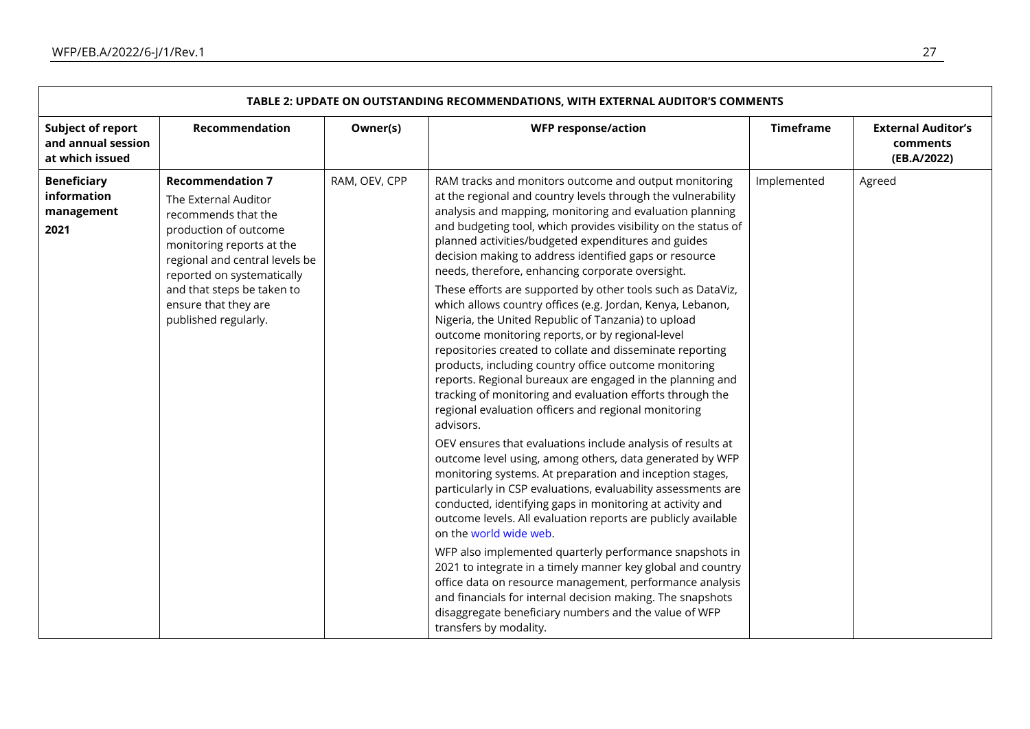| <b>Subject of report</b><br>Recommendation<br><b>Timeframe</b><br>Owner(s)<br><b>WFP response/action</b><br><b>External Auditor's</b><br>and annual session<br>comments<br>at which issued<br>(EB.A/2022)<br>RAM, OEV, CPP<br><b>Beneficiary</b><br><b>Recommendation 7</b><br>RAM tracks and monitors outcome and output monitoring<br>Implemented<br>Agreed<br>information<br>at the regional and country levels through the vulnerability<br>The External Auditor<br>analysis and mapping, monitoring and evaluation planning<br>management<br>recommends that the<br>and budgeting tool, which provides visibility on the status of<br>2021<br>production of outcome<br>planned activities/budgeted expenditures and guides<br>monitoring reports at the<br>decision making to address identified gaps or resource<br>regional and central levels be<br>needs, therefore, enhancing corporate oversight.<br>reported on systematically<br>These efforts are supported by other tools such as DataViz,<br>and that steps be taken to<br>which allows country offices (e.g. Jordan, Kenya, Lebanon,<br>ensure that they are<br>published regularly.<br>Nigeria, the United Republic of Tanzania) to upload<br>outcome monitoring reports, or by regional-level<br>repositories created to collate and disseminate reporting | TABLE 2: UPDATE ON OUTSTANDING RECOMMENDATIONS, WITH EXTERNAL AUDITOR'S COMMENTS |  |                                                       |  |  |  |  |  |
|-------------------------------------------------------------------------------------------------------------------------------------------------------------------------------------------------------------------------------------------------------------------------------------------------------------------------------------------------------------------------------------------------------------------------------------------------------------------------------------------------------------------------------------------------------------------------------------------------------------------------------------------------------------------------------------------------------------------------------------------------------------------------------------------------------------------------------------------------------------------------------------------------------------------------------------------------------------------------------------------------------------------------------------------------------------------------------------------------------------------------------------------------------------------------------------------------------------------------------------------------------------------------------------------------------------------------------|----------------------------------------------------------------------------------|--|-------------------------------------------------------|--|--|--|--|--|
|                                                                                                                                                                                                                                                                                                                                                                                                                                                                                                                                                                                                                                                                                                                                                                                                                                                                                                                                                                                                                                                                                                                                                                                                                                                                                                                               |                                                                                  |  |                                                       |  |  |  |  |  |
| reports. Regional bureaux are engaged in the planning and<br>tracking of monitoring and evaluation efforts through the<br>regional evaluation officers and regional monitoring<br>advisors.<br>OEV ensures that evaluations include analysis of results at<br>outcome level using, among others, data generated by WFP<br>monitoring systems. At preparation and inception stages,<br>particularly in CSP evaluations, evaluability assessments are<br>conducted, identifying gaps in monitoring at activity and<br>outcome levels. All evaluation reports are publicly available<br>on the world wide web.<br>WFP also implemented quarterly performance snapshots in<br>2021 to integrate in a timely manner key global and country<br>office data on resource management, performance analysis<br>and financials for internal decision making. The snapshots<br>disaggregate beneficiary numbers and the value of WFP<br>transfers by modality.                                                                                                                                                                                                                                                                                                                                                                            |                                                                                  |  | products, including country office outcome monitoring |  |  |  |  |  |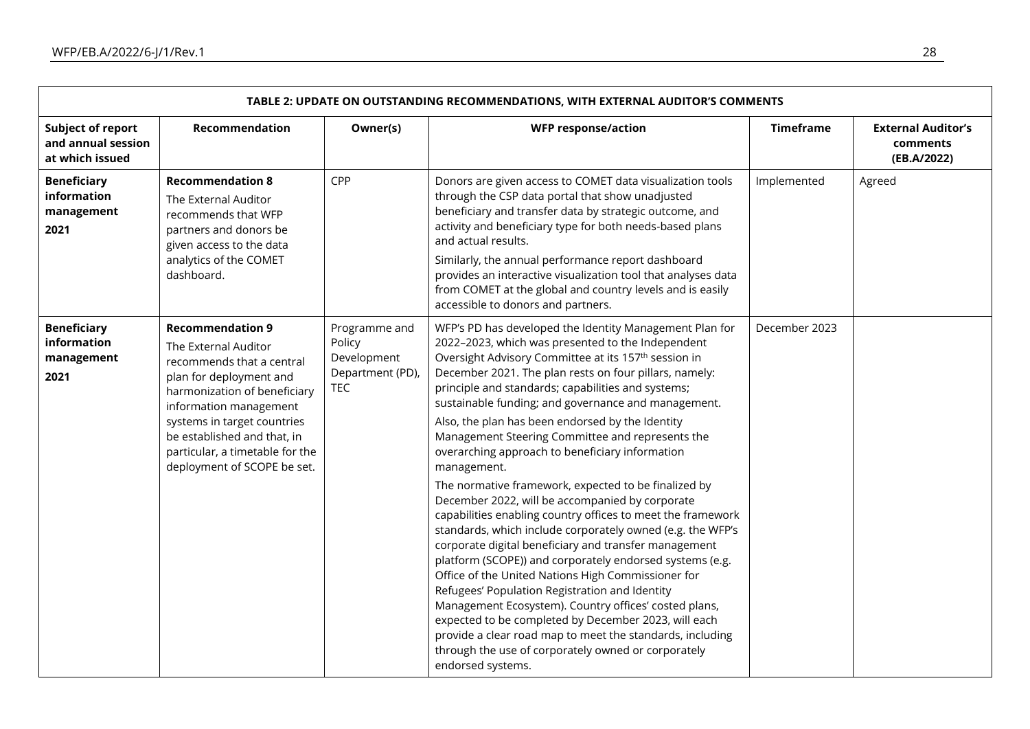| TABLE 2: UPDATE ON OUTSTANDING RECOMMENDATIONS, WITH EXTERNAL AUDITOR'S COMMENTS |                                                                                                                                                                                                                                                                                                   |                                                                   |                                                                                                                                                                                                                                                                                                                                                                                                                                                                                                                                                                                                                                                                                                                             |                  |                                                      |  |
|----------------------------------------------------------------------------------|---------------------------------------------------------------------------------------------------------------------------------------------------------------------------------------------------------------------------------------------------------------------------------------------------|-------------------------------------------------------------------|-----------------------------------------------------------------------------------------------------------------------------------------------------------------------------------------------------------------------------------------------------------------------------------------------------------------------------------------------------------------------------------------------------------------------------------------------------------------------------------------------------------------------------------------------------------------------------------------------------------------------------------------------------------------------------------------------------------------------------|------------------|------------------------------------------------------|--|
| <b>Subject of report</b><br>and annual session<br>at which issued                | Recommendation                                                                                                                                                                                                                                                                                    | Owner(s)                                                          | <b>WFP response/action</b>                                                                                                                                                                                                                                                                                                                                                                                                                                                                                                                                                                                                                                                                                                  | <b>Timeframe</b> | <b>External Auditor's</b><br>comments<br>(EB.A/2022) |  |
| <b>Beneficiary</b><br>information<br>management<br>2021                          | <b>Recommendation 8</b><br>The External Auditor<br>recommends that WFP<br>partners and donors be<br>given access to the data<br>analytics of the COMET<br>dashboard.                                                                                                                              | CPP                                                               | Donors are given access to COMET data visualization tools<br>through the CSP data portal that show unadjusted<br>beneficiary and transfer data by strategic outcome, and<br>activity and beneficiary type for both needs-based plans<br>and actual results.<br>Similarly, the annual performance report dashboard<br>provides an interactive visualization tool that analyses data<br>from COMET at the global and country levels and is easily<br>accessible to donors and partners.                                                                                                                                                                                                                                       | Implemented      | Agreed                                               |  |
| <b>Beneficiary</b><br>information<br>management<br>2021                          | <b>Recommendation 9</b><br>The External Auditor<br>recommends that a central<br>plan for deployment and<br>harmonization of beneficiary<br>information management<br>systems in target countries<br>be established and that, in<br>particular, a timetable for the<br>deployment of SCOPE be set. | Programme and<br>Policy<br>Development<br>Department (PD),<br>TEC | WFP's PD has developed the Identity Management Plan for<br>2022-2023, which was presented to the Independent<br>Oversight Advisory Committee at its 157 <sup>th</sup> session in<br>December 2021. The plan rests on four pillars, namely:<br>principle and standards; capabilities and systems;<br>sustainable funding; and governance and management.<br>Also, the plan has been endorsed by the Identity<br>Management Steering Committee and represents the<br>overarching approach to beneficiary information<br>management.                                                                                                                                                                                           | December 2023    |                                                      |  |
|                                                                                  |                                                                                                                                                                                                                                                                                                   |                                                                   | The normative framework, expected to be finalized by<br>December 2022, will be accompanied by corporate<br>capabilities enabling country offices to meet the framework<br>standards, which include corporately owned (e.g. the WFP's<br>corporate digital beneficiary and transfer management<br>platform (SCOPE)) and corporately endorsed systems (e.g.<br>Office of the United Nations High Commissioner for<br>Refugees' Population Registration and Identity<br>Management Ecosystem). Country offices' costed plans,<br>expected to be completed by December 2023, will each<br>provide a clear road map to meet the standards, including<br>through the use of corporately owned or corporately<br>endorsed systems. |                  |                                                      |  |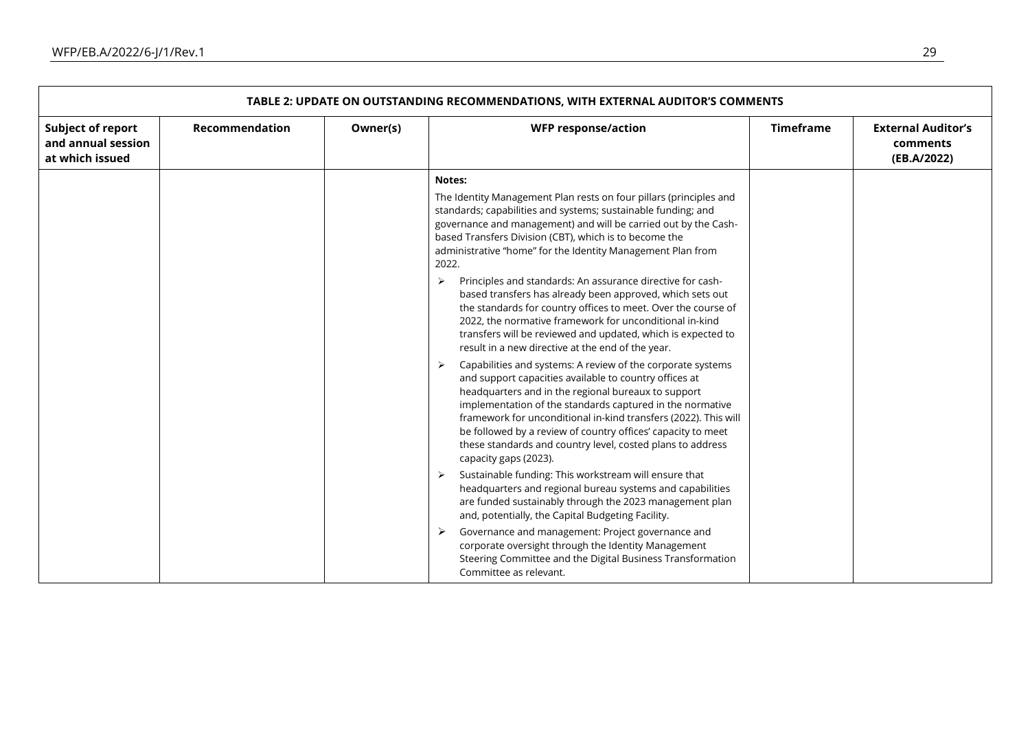|                                                            | TABLE 2: UPDATE ON OUTSTANDING RECOMMENDATIONS, WITH EXTERNAL AUDITOR'S COMMENTS |          |                                                                                                                                                                                                                                                                                                                                                                                                                                                                                                                                                                                                                                                                                                                                                                                                                                                                                                                                                                                                                                                                                                                                                                                                                                                           |                  |                                                      |  |  |  |
|------------------------------------------------------------|----------------------------------------------------------------------------------|----------|-----------------------------------------------------------------------------------------------------------------------------------------------------------------------------------------------------------------------------------------------------------------------------------------------------------------------------------------------------------------------------------------------------------------------------------------------------------------------------------------------------------------------------------------------------------------------------------------------------------------------------------------------------------------------------------------------------------------------------------------------------------------------------------------------------------------------------------------------------------------------------------------------------------------------------------------------------------------------------------------------------------------------------------------------------------------------------------------------------------------------------------------------------------------------------------------------------------------------------------------------------------|------------------|------------------------------------------------------|--|--|--|
| Subject of report<br>and annual session<br>at which issued | Recommendation                                                                   | Owner(s) | <b>WFP response/action</b>                                                                                                                                                                                                                                                                                                                                                                                                                                                                                                                                                                                                                                                                                                                                                                                                                                                                                                                                                                                                                                                                                                                                                                                                                                | <b>Timeframe</b> | <b>External Auditor's</b><br>comments<br>(EB.A/2022) |  |  |  |
|                                                            |                                                                                  |          | Notes:                                                                                                                                                                                                                                                                                                                                                                                                                                                                                                                                                                                                                                                                                                                                                                                                                                                                                                                                                                                                                                                                                                                                                                                                                                                    |                  |                                                      |  |  |  |
|                                                            |                                                                                  |          | The Identity Management Plan rests on four pillars (principles and<br>standards; capabilities and systems; sustainable funding; and<br>governance and management) and will be carried out by the Cash-<br>based Transfers Division (CBT), which is to become the<br>administrative "home" for the Identity Management Plan from<br>2022.<br>Principles and standards: An assurance directive for cash-<br>⋗<br>based transfers has already been approved, which sets out<br>the standards for country offices to meet. Over the course of<br>2022, the normative framework for unconditional in-kind<br>transfers will be reviewed and updated, which is expected to<br>result in a new directive at the end of the year.<br>Capabilities and systems: A review of the corporate systems<br>and support capacities available to country offices at<br>headquarters and in the regional bureaux to support<br>implementation of the standards captured in the normative<br>framework for unconditional in-kind transfers (2022). This will<br>be followed by a review of country offices' capacity to meet<br>these standards and country level, costed plans to address<br>capacity gaps (2023).<br>Sustainable funding: This workstream will ensure that |                  |                                                      |  |  |  |
|                                                            |                                                                                  |          | headquarters and regional bureau systems and capabilities<br>are funded sustainably through the 2023 management plan<br>and, potentially, the Capital Budgeting Facility.                                                                                                                                                                                                                                                                                                                                                                                                                                                                                                                                                                                                                                                                                                                                                                                                                                                                                                                                                                                                                                                                                 |                  |                                                      |  |  |  |
|                                                            |                                                                                  |          | Governance and management: Project governance and<br>corporate oversight through the Identity Management<br>Steering Committee and the Digital Business Transformation<br>Committee as relevant.                                                                                                                                                                                                                                                                                                                                                                                                                                                                                                                                                                                                                                                                                                                                                                                                                                                                                                                                                                                                                                                          |                  |                                                      |  |  |  |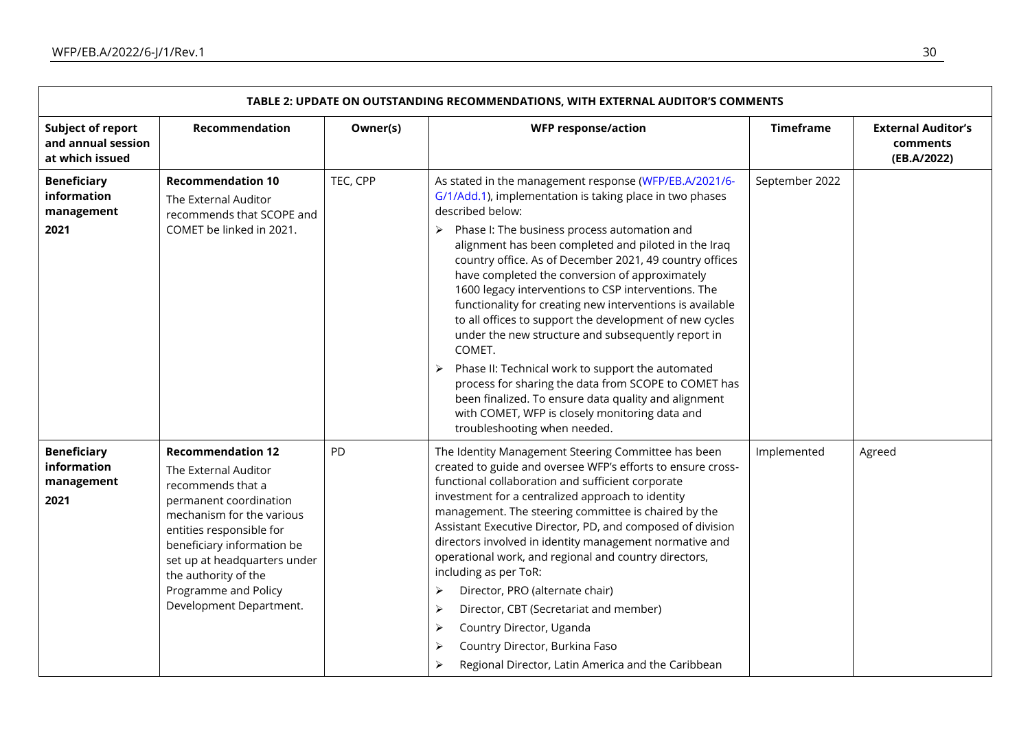| TABLE 2: UPDATE ON OUTSTANDING RECOMMENDATIONS, WITH EXTERNAL AUDITOR'S COMMENTS |                                                                                                                                                                                                                                                                                                   |          |                                                                                                                                                                                                                                                                                                                                                                                                                                                                                                                                                                                                                                                                                                                                                                                                                                                                                                                     |                  |                                                      |  |
|----------------------------------------------------------------------------------|---------------------------------------------------------------------------------------------------------------------------------------------------------------------------------------------------------------------------------------------------------------------------------------------------|----------|---------------------------------------------------------------------------------------------------------------------------------------------------------------------------------------------------------------------------------------------------------------------------------------------------------------------------------------------------------------------------------------------------------------------------------------------------------------------------------------------------------------------------------------------------------------------------------------------------------------------------------------------------------------------------------------------------------------------------------------------------------------------------------------------------------------------------------------------------------------------------------------------------------------------|------------------|------------------------------------------------------|--|
| <b>Subject of report</b><br>and annual session<br>at which issued                | Recommendation                                                                                                                                                                                                                                                                                    | Owner(s) | <b>WFP response/action</b>                                                                                                                                                                                                                                                                                                                                                                                                                                                                                                                                                                                                                                                                                                                                                                                                                                                                                          | <b>Timeframe</b> | <b>External Auditor's</b><br>comments<br>(EB.A/2022) |  |
| <b>Beneficiary</b><br>information<br>management<br>2021                          | <b>Recommendation 10</b><br>The External Auditor<br>recommends that SCOPE and<br>COMET be linked in 2021.                                                                                                                                                                                         | TEC, CPP | As stated in the management response (WFP/EB.A/2021/6-<br>G/1/Add.1), implementation is taking place in two phases<br>described below:<br>Phase I: The business process automation and<br>$\blacktriangleright$<br>alignment has been completed and piloted in the Iraq<br>country office. As of December 2021, 49 country offices<br>have completed the conversion of approximately<br>1600 legacy interventions to CSP interventions. The<br>functionality for creating new interventions is available<br>to all offices to support the development of new cycles<br>under the new structure and subsequently report in<br>COMET.<br>Phase II: Technical work to support the automated<br>$\blacktriangleright$<br>process for sharing the data from SCOPE to COMET has<br>been finalized. To ensure data quality and alignment<br>with COMET, WFP is closely monitoring data and<br>troubleshooting when needed. | September 2022   |                                                      |  |
| <b>Beneficiary</b><br>information<br>management<br>2021                          | <b>Recommendation 12</b><br>The External Auditor<br>recommends that a<br>permanent coordination<br>mechanism for the various<br>entities responsible for<br>beneficiary information be<br>set up at headquarters under<br>the authority of the<br>Programme and Policy<br>Development Department. | PD       | The Identity Management Steering Committee has been<br>created to guide and oversee WFP's efforts to ensure cross-<br>functional collaboration and sufficient corporate<br>investment for a centralized approach to identity<br>management. The steering committee is chaired by the<br>Assistant Executive Director, PD, and composed of division<br>directors involved in identity management normative and<br>operational work, and regional and country directors,<br>including as per ToR:<br>Director, PRO (alternate chair)<br>➤<br>Director, CBT (Secretariat and member)<br>≻<br>Country Director, Uganda<br>≻<br>Country Director, Burkina Faso<br>≻<br>Regional Director, Latin America and the Caribbean<br>≻                                                                                                                                                                                           | Implemented      | Agreed                                               |  |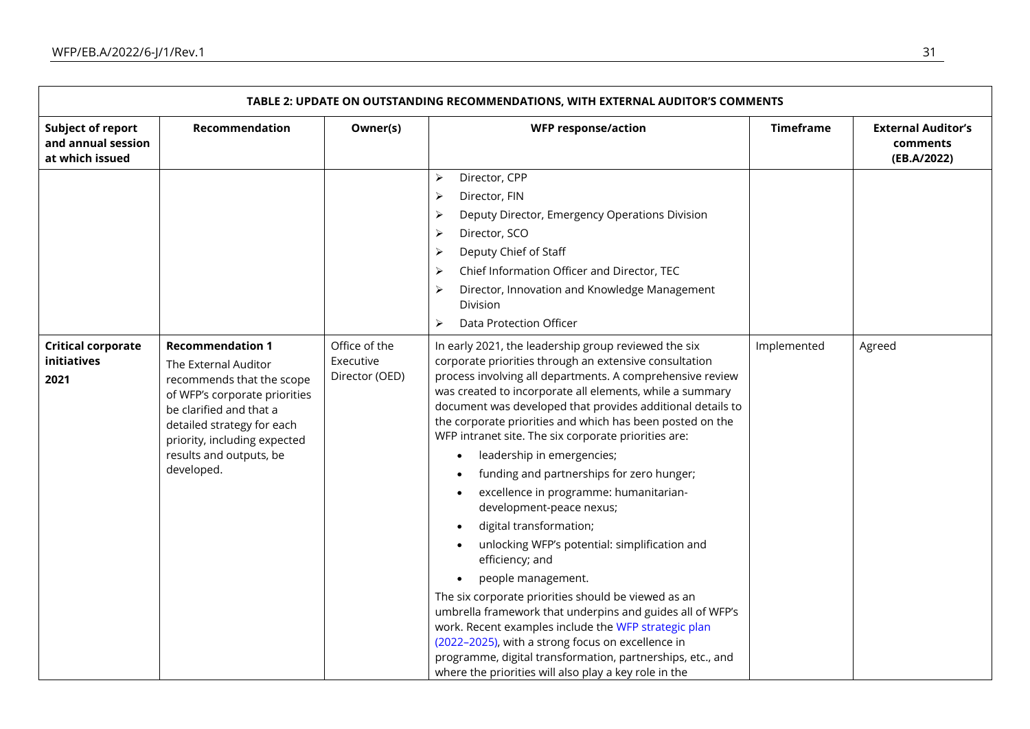| TABLE 2: UPDATE ON OUTSTANDING RECOMMENDATIONS, WITH EXTERNAL AUDITOR'S COMMENTS |                                                                                                                                                                                                                                                 |                                              |                                                                                                                                                                                                                                                                                                                                                                                                                                                                                                                                                                                                                                                                                                                                                                                                                                                                                                                                                                                                                                                          |                  |                                                      |  |  |
|----------------------------------------------------------------------------------|-------------------------------------------------------------------------------------------------------------------------------------------------------------------------------------------------------------------------------------------------|----------------------------------------------|----------------------------------------------------------------------------------------------------------------------------------------------------------------------------------------------------------------------------------------------------------------------------------------------------------------------------------------------------------------------------------------------------------------------------------------------------------------------------------------------------------------------------------------------------------------------------------------------------------------------------------------------------------------------------------------------------------------------------------------------------------------------------------------------------------------------------------------------------------------------------------------------------------------------------------------------------------------------------------------------------------------------------------------------------------|------------------|------------------------------------------------------|--|--|
| <b>Subject of report</b><br>and annual session<br>at which issued                | Recommendation                                                                                                                                                                                                                                  | Owner(s)                                     | <b>WFP response/action</b>                                                                                                                                                                                                                                                                                                                                                                                                                                                                                                                                                                                                                                                                                                                                                                                                                                                                                                                                                                                                                               | <b>Timeframe</b> | <b>External Auditor's</b><br>comments<br>(EB.A/2022) |  |  |
|                                                                                  |                                                                                                                                                                                                                                                 |                                              | Director, CPP<br>$\blacktriangleright$<br>Director, FIN<br>≻<br>Deputy Director, Emergency Operations Division<br>$\blacktriangleright$<br>Director, SCO<br>≻<br>Deputy Chief of Staff<br>$\blacktriangleright$<br>Chief Information Officer and Director, TEC<br>$\blacktriangleright$<br>Director, Innovation and Knowledge Management<br>≻<br><b>Division</b><br><b>Data Protection Officer</b><br>$\blacktriangleright$                                                                                                                                                                                                                                                                                                                                                                                                                                                                                                                                                                                                                              |                  |                                                      |  |  |
| <b>Critical corporate</b><br>initiatives<br>2021                                 | <b>Recommendation 1</b><br>The External Auditor<br>recommends that the scope<br>of WFP's corporate priorities<br>be clarified and that a<br>detailed strategy for each<br>priority, including expected<br>results and outputs, be<br>developed. | Office of the<br>Executive<br>Director (OED) | In early 2021, the leadership group reviewed the six<br>corporate priorities through an extensive consultation<br>process involving all departments. A comprehensive review<br>was created to incorporate all elements, while a summary<br>document was developed that provides additional details to<br>the corporate priorities and which has been posted on the<br>WFP intranet site. The six corporate priorities are:<br>leadership in emergencies;<br>funding and partnerships for zero hunger;<br>excellence in programme: humanitarian-<br>development-peace nexus;<br>digital transformation;<br>unlocking WFP's potential: simplification and<br>efficiency; and<br>people management.<br>The six corporate priorities should be viewed as an<br>umbrella framework that underpins and guides all of WFP's<br>work. Recent examples include the WFP strategic plan<br>(2022-2025), with a strong focus on excellence in<br>programme, digital transformation, partnerships, etc., and<br>where the priorities will also play a key role in the | Implemented      | Agreed                                               |  |  |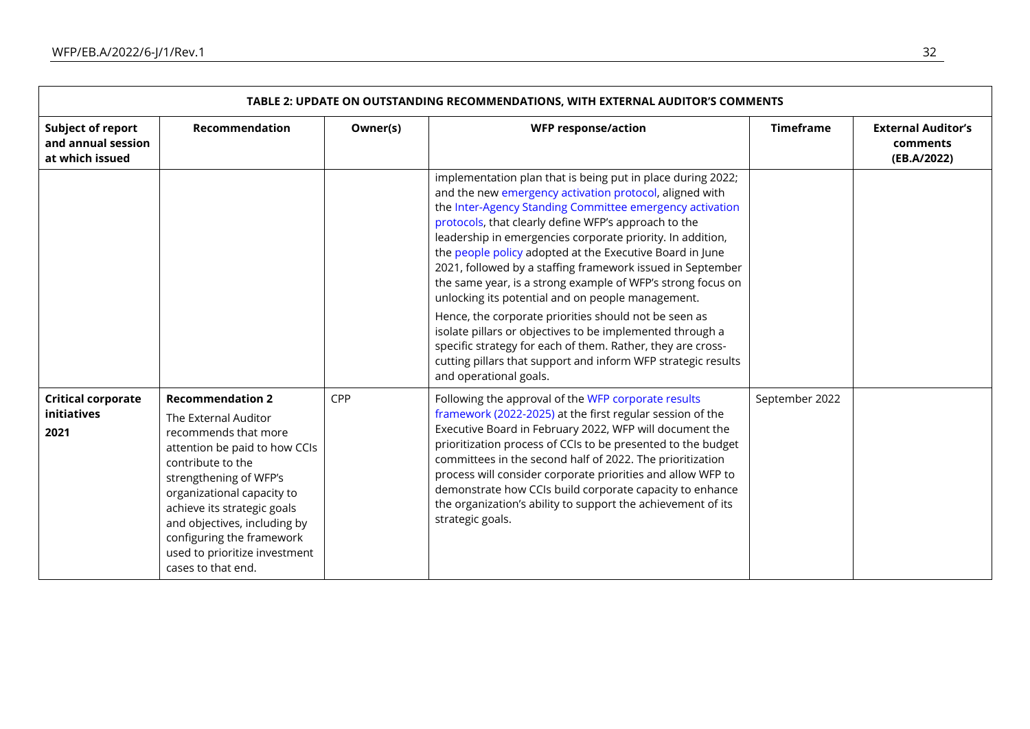| TABLE 2: UPDATE ON OUTSTANDING RECOMMENDATIONS, WITH EXTERNAL AUDITOR'S COMMENTS |                                                                                                                                                                                                                                                                                                                                          |          |                                                                                                                                                                                                                                                                                                                                                                                                                                                                                                                                                                                                                                                                                                                                                                                                                                        |                  |                                                      |  |  |  |  |
|----------------------------------------------------------------------------------|------------------------------------------------------------------------------------------------------------------------------------------------------------------------------------------------------------------------------------------------------------------------------------------------------------------------------------------|----------|----------------------------------------------------------------------------------------------------------------------------------------------------------------------------------------------------------------------------------------------------------------------------------------------------------------------------------------------------------------------------------------------------------------------------------------------------------------------------------------------------------------------------------------------------------------------------------------------------------------------------------------------------------------------------------------------------------------------------------------------------------------------------------------------------------------------------------------|------------------|------------------------------------------------------|--|--|--|--|
| Subject of report<br>and annual session<br>at which issued                       | Recommendation                                                                                                                                                                                                                                                                                                                           | Owner(s) | <b>WFP response/action</b>                                                                                                                                                                                                                                                                                                                                                                                                                                                                                                                                                                                                                                                                                                                                                                                                             | <b>Timeframe</b> | <b>External Auditor's</b><br>comments<br>(EB.A/2022) |  |  |  |  |
|                                                                                  |                                                                                                                                                                                                                                                                                                                                          |          | implementation plan that is being put in place during 2022;<br>and the new emergency activation protocol, aligned with<br>the Inter-Agency Standing Committee emergency activation<br>protocols, that clearly define WFP's approach to the<br>leadership in emergencies corporate priority. In addition,<br>the people policy adopted at the Executive Board in June<br>2021, followed by a staffing framework issued in September<br>the same year, is a strong example of WFP's strong focus on<br>unlocking its potential and on people management.<br>Hence, the corporate priorities should not be seen as<br>isolate pillars or objectives to be implemented through a<br>specific strategy for each of them. Rather, they are cross-<br>cutting pillars that support and inform WFP strategic results<br>and operational goals. |                  |                                                      |  |  |  |  |
| <b>Critical corporate</b><br>initiatives<br>2021                                 | <b>Recommendation 2</b><br>The External Auditor<br>recommends that more<br>attention be paid to how CCIs<br>contribute to the<br>strengthening of WFP's<br>organizational capacity to<br>achieve its strategic goals<br>and objectives, including by<br>configuring the framework<br>used to prioritize investment<br>cases to that end. | CPP      | Following the approval of the WFP corporate results<br>framework (2022-2025) at the first regular session of the<br>Executive Board in February 2022, WFP will document the<br>prioritization process of CCIs to be presented to the budget<br>committees in the second half of 2022. The prioritization<br>process will consider corporate priorities and allow WFP to<br>demonstrate how CCIs build corporate capacity to enhance<br>the organization's ability to support the achievement of its<br>strategic goals.                                                                                                                                                                                                                                                                                                                | September 2022   |                                                      |  |  |  |  |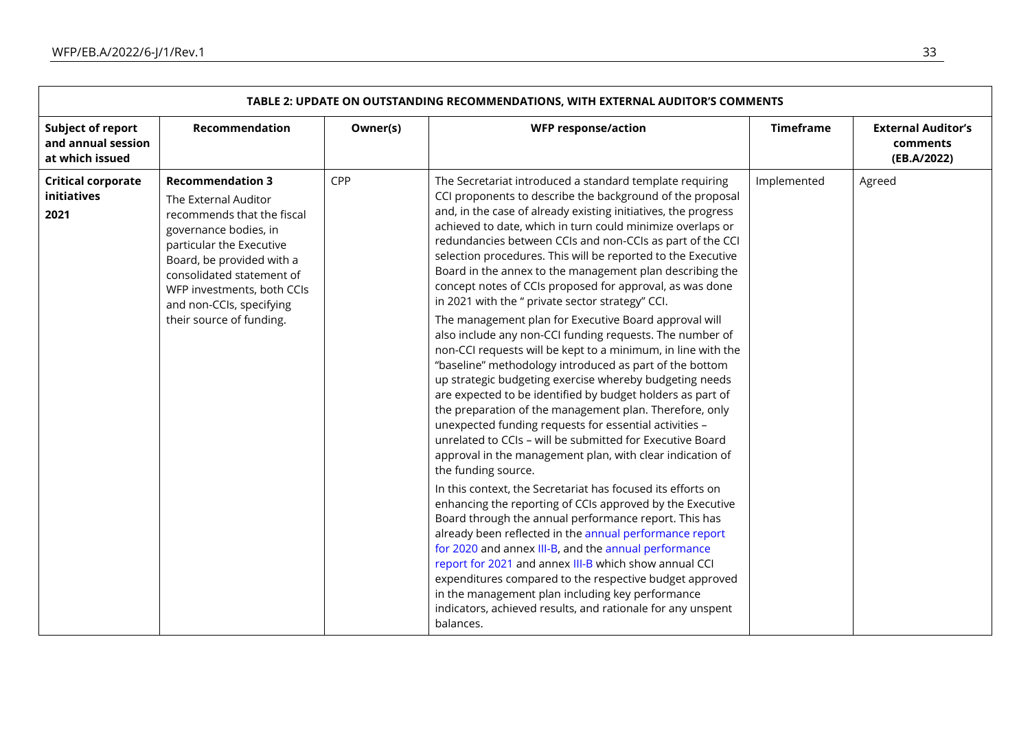| TABLE 2: UPDATE ON OUTSTANDING RECOMMENDATIONS, WITH EXTERNAL AUDITOR'S COMMENTS |                                                                                                                                                                                                                                                                                    |          |                                                                                                                                                                                                                                                                                                                                                                                                                                                                                                                                                                                                                                                                                                                                                                                                                                                                                                                                                                                                                                                                                                                                                                                                                                                                                                                                                                                                                                                                                                                                                                                                                                                                                                                                                                           |                  |                                                      |  |  |
|----------------------------------------------------------------------------------|------------------------------------------------------------------------------------------------------------------------------------------------------------------------------------------------------------------------------------------------------------------------------------|----------|---------------------------------------------------------------------------------------------------------------------------------------------------------------------------------------------------------------------------------------------------------------------------------------------------------------------------------------------------------------------------------------------------------------------------------------------------------------------------------------------------------------------------------------------------------------------------------------------------------------------------------------------------------------------------------------------------------------------------------------------------------------------------------------------------------------------------------------------------------------------------------------------------------------------------------------------------------------------------------------------------------------------------------------------------------------------------------------------------------------------------------------------------------------------------------------------------------------------------------------------------------------------------------------------------------------------------------------------------------------------------------------------------------------------------------------------------------------------------------------------------------------------------------------------------------------------------------------------------------------------------------------------------------------------------------------------------------------------------------------------------------------------------|------------------|------------------------------------------------------|--|--|
| <b>Subject of report</b><br>and annual session<br>at which issued                | <b>Recommendation</b>                                                                                                                                                                                                                                                              | Owner(s) | <b>WFP response/action</b>                                                                                                                                                                                                                                                                                                                                                                                                                                                                                                                                                                                                                                                                                                                                                                                                                                                                                                                                                                                                                                                                                                                                                                                                                                                                                                                                                                                                                                                                                                                                                                                                                                                                                                                                                | <b>Timeframe</b> | <b>External Auditor's</b><br>comments<br>(EB.A/2022) |  |  |
| <b>Critical corporate</b><br>initiatives<br>2021                                 | <b>Recommendation 3</b><br>The External Auditor<br>recommends that the fiscal<br>governance bodies, in<br>particular the Executive<br>Board, be provided with a<br>consolidated statement of<br>WFP investments, both CCIs<br>and non-CCIs, specifying<br>their source of funding. | CPP      | The Secretariat introduced a standard template requiring<br>CCI proponents to describe the background of the proposal<br>and, in the case of already existing initiatives, the progress<br>achieved to date, which in turn could minimize overlaps or<br>redundancies between CCIs and non-CCIs as part of the CCI<br>selection procedures. This will be reported to the Executive<br>Board in the annex to the management plan describing the<br>concept notes of CCIs proposed for approval, as was done<br>in 2021 with the " private sector strategy" CCI.<br>The management plan for Executive Board approval will<br>also include any non-CCI funding requests. The number of<br>non-CCI requests will be kept to a minimum, in line with the<br>"baseline" methodology introduced as part of the bottom<br>up strategic budgeting exercise whereby budgeting needs<br>are expected to be identified by budget holders as part of<br>the preparation of the management plan. Therefore, only<br>unexpected funding requests for essential activities -<br>unrelated to CCIs - will be submitted for Executive Board<br>approval in the management plan, with clear indication of<br>the funding source.<br>In this context, the Secretariat has focused its efforts on<br>enhancing the reporting of CCIs approved by the Executive<br>Board through the annual performance report. This has<br>already been reflected in the annual performance report<br>for 2020 and annex III-B, and the annual performance<br>report for 2021 and annex III-B which show annual CCI<br>expenditures compared to the respective budget approved<br>in the management plan including key performance<br>indicators, achieved results, and rationale for any unspent<br>balances. | Implemented      | Agreed                                               |  |  |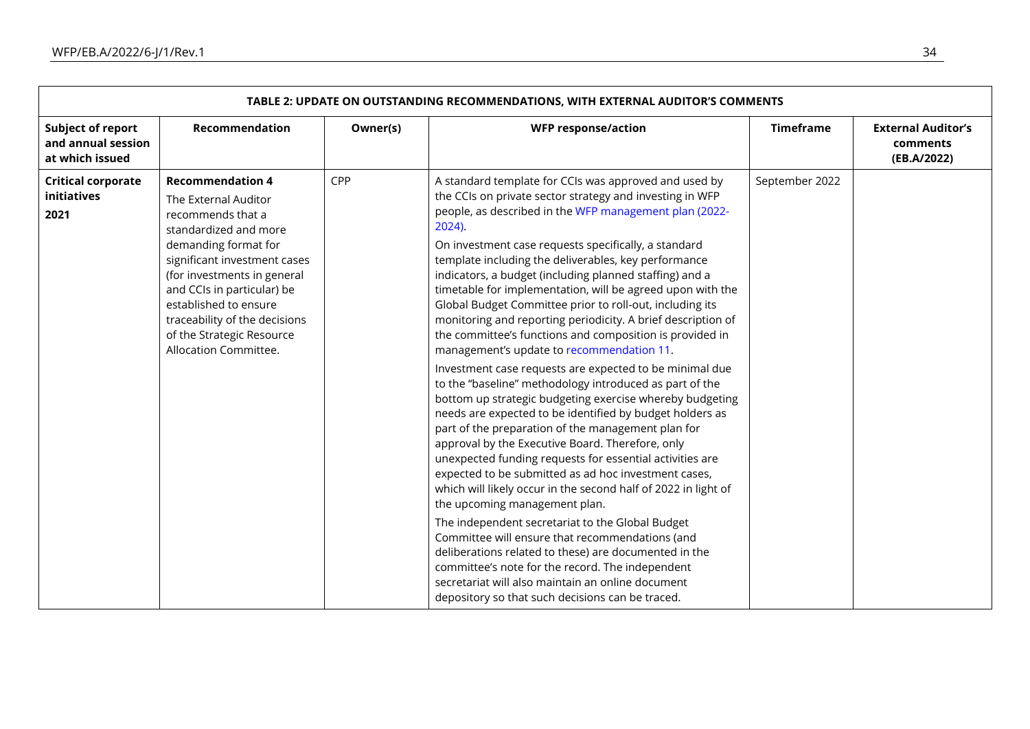| TABLE 2: UPDATE ON OUTSTANDING RECOMMENDATIONS, WITH EXTERNAL AUDITOR'S COMMENTS |                                                                                                                                                                                                                                                                                                                                    |          |                                                                                                                                                                                                                                                                                                                                                                                                                                                                                                                                                                                                                                                                                                                                                                                                                                                                                                                                                                                                                                                                                                                                                                                                                                                                                                                                                                                                                                                                                                                                                                                    |                  |                                                      |  |  |
|----------------------------------------------------------------------------------|------------------------------------------------------------------------------------------------------------------------------------------------------------------------------------------------------------------------------------------------------------------------------------------------------------------------------------|----------|------------------------------------------------------------------------------------------------------------------------------------------------------------------------------------------------------------------------------------------------------------------------------------------------------------------------------------------------------------------------------------------------------------------------------------------------------------------------------------------------------------------------------------------------------------------------------------------------------------------------------------------------------------------------------------------------------------------------------------------------------------------------------------------------------------------------------------------------------------------------------------------------------------------------------------------------------------------------------------------------------------------------------------------------------------------------------------------------------------------------------------------------------------------------------------------------------------------------------------------------------------------------------------------------------------------------------------------------------------------------------------------------------------------------------------------------------------------------------------------------------------------------------------------------------------------------------------|------------------|------------------------------------------------------|--|--|
| <b>Subject of report</b><br>and annual session<br>at which issued                | Recommendation                                                                                                                                                                                                                                                                                                                     | Owner(s) | <b>WFP response/action</b>                                                                                                                                                                                                                                                                                                                                                                                                                                                                                                                                                                                                                                                                                                                                                                                                                                                                                                                                                                                                                                                                                                                                                                                                                                                                                                                                                                                                                                                                                                                                                         | <b>Timeframe</b> | <b>External Auditor's</b><br>comments<br>(EB.A/2022) |  |  |
| <b>Critical corporate</b><br>initiatives<br>2021                                 | <b>Recommendation 4</b><br>The External Auditor<br>recommends that a<br>standardized and more<br>demanding format for<br>significant investment cases<br>(for investments in general<br>and CCIs in particular) be<br>established to ensure<br>traceability of the decisions<br>of the Strategic Resource<br>Allocation Committee. | CPP      | A standard template for CCIs was approved and used by<br>the CCIs on private sector strategy and investing in WFP<br>people, as described in the WFP management plan (2022-<br>$2024$ ).<br>On investment case requests specifically, a standard<br>template including the deliverables, key performance<br>indicators, a budget (including planned staffing) and a<br>timetable for implementation, will be agreed upon with the<br>Global Budget Committee prior to roll-out, including its<br>monitoring and reporting periodicity. A brief description of<br>the committee's functions and composition is provided in<br>management's update to recommendation 11.<br>Investment case requests are expected to be minimal due<br>to the "baseline" methodology introduced as part of the<br>bottom up strategic budgeting exercise whereby budgeting<br>needs are expected to be identified by budget holders as<br>part of the preparation of the management plan for<br>approval by the Executive Board. Therefore, only<br>unexpected funding requests for essential activities are<br>expected to be submitted as ad hoc investment cases,<br>which will likely occur in the second half of 2022 in light of<br>the upcoming management plan.<br>The independent secretariat to the Global Budget<br>Committee will ensure that recommendations (and<br>deliberations related to these) are documented in the<br>committee's note for the record. The independent<br>secretariat will also maintain an online document<br>depository so that such decisions can be traced. | September 2022   |                                                      |  |  |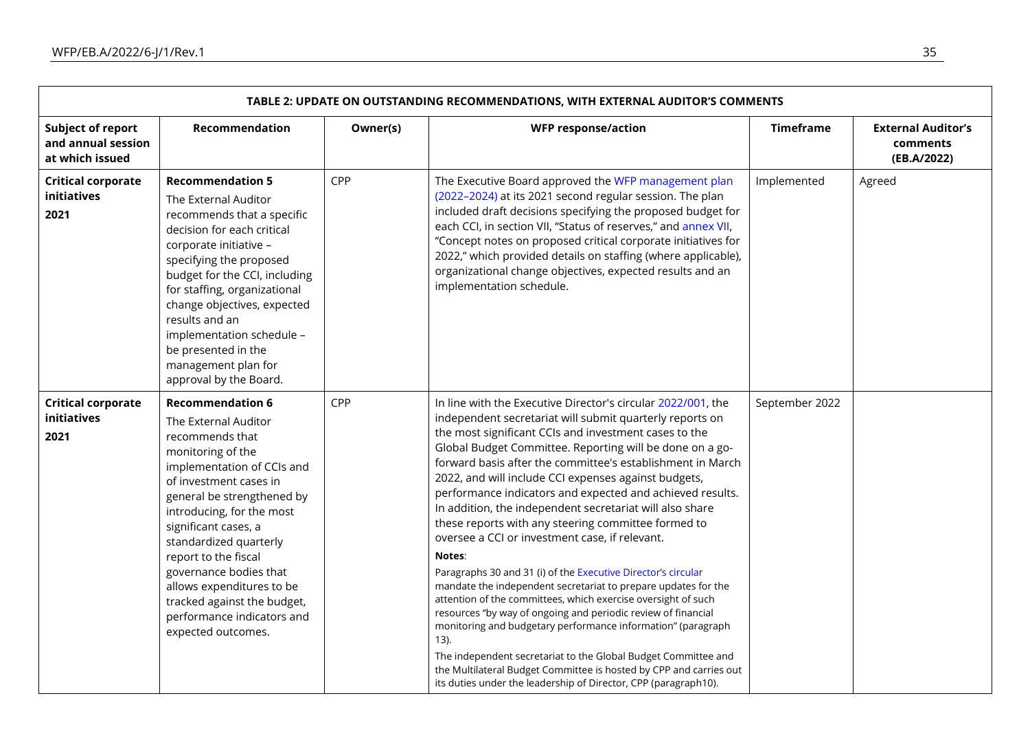|                                                                   | TABLE 2: UPDATE ON OUTSTANDING RECOMMENDATIONS, WITH EXTERNAL AUDITOR'S COMMENTS                                                                                                                                                                                                                                                                                                                                               |          |                                                                                                                                                                                                                                                                                                                                                                                                                                                                                                                                                                                                                                                                                                                                                                                                                                                                                                                                                                                                                                                                                                                                                                            |                  |                                                      |
|-------------------------------------------------------------------|--------------------------------------------------------------------------------------------------------------------------------------------------------------------------------------------------------------------------------------------------------------------------------------------------------------------------------------------------------------------------------------------------------------------------------|----------|----------------------------------------------------------------------------------------------------------------------------------------------------------------------------------------------------------------------------------------------------------------------------------------------------------------------------------------------------------------------------------------------------------------------------------------------------------------------------------------------------------------------------------------------------------------------------------------------------------------------------------------------------------------------------------------------------------------------------------------------------------------------------------------------------------------------------------------------------------------------------------------------------------------------------------------------------------------------------------------------------------------------------------------------------------------------------------------------------------------------------------------------------------------------------|------------------|------------------------------------------------------|
| <b>Subject of report</b><br>and annual session<br>at which issued | Recommendation                                                                                                                                                                                                                                                                                                                                                                                                                 | Owner(s) | <b>WFP response/action</b>                                                                                                                                                                                                                                                                                                                                                                                                                                                                                                                                                                                                                                                                                                                                                                                                                                                                                                                                                                                                                                                                                                                                                 | <b>Timeframe</b> | <b>External Auditor's</b><br>comments<br>(EB.A/2022) |
| <b>Critical corporate</b><br>initiatives<br>2021                  | <b>Recommendation 5</b><br>The External Auditor<br>recommends that a specific<br>decision for each critical<br>corporate initiative -<br>specifying the proposed<br>budget for the CCI, including<br>for staffing, organizational<br>change objectives, expected<br>results and an<br>implementation schedule -<br>be presented in the<br>management plan for<br>approval by the Board.                                        | CPP      | The Executive Board approved the WFP management plan<br>(2022-2024) at its 2021 second regular session. The plan<br>included draft decisions specifying the proposed budget for<br>each CCI, in section VII, "Status of reserves," and annex VII,<br>"Concept notes on proposed critical corporate initiatives for<br>2022," which provided details on staffing (where applicable),<br>organizational change objectives, expected results and an<br>implementation schedule.                                                                                                                                                                                                                                                                                                                                                                                                                                                                                                                                                                                                                                                                                               | Implemented      | Agreed                                               |
| <b>Critical corporate</b><br>initiatives<br>2021                  | <b>Recommendation 6</b><br>The External Auditor<br>recommends that<br>monitoring of the<br>implementation of CCIs and<br>of investment cases in<br>general be strengthened by<br>introducing, for the most<br>significant cases, a<br>standardized quarterly<br>report to the fiscal<br>governance bodies that<br>allows expenditures to be<br>tracked against the budget,<br>performance indicators and<br>expected outcomes. | CPP      | In line with the Executive Director's circular 2022/001, the<br>independent secretariat will submit quarterly reports on<br>the most significant CCIs and investment cases to the<br>Global Budget Committee. Reporting will be done on a go-<br>forward basis after the committee's establishment in March<br>2022, and will include CCI expenses against budgets,<br>performance indicators and expected and achieved results.<br>In addition, the independent secretariat will also share<br>these reports with any steering committee formed to<br>oversee a CCI or investment case, if relevant.<br>Notes:<br>Paragraphs 30 and 31 (i) of the Executive Director's circular<br>mandate the independent secretariat to prepare updates for the<br>attention of the committees, which exercise oversight of such<br>resources "by way of ongoing and periodic review of financial<br>monitoring and budgetary performance information" (paragraph<br>$13$ ).<br>The independent secretariat to the Global Budget Committee and<br>the Multilateral Budget Committee is hosted by CPP and carries out<br>its duties under the leadership of Director, CPP (paragraph10). | September 2022   |                                                      |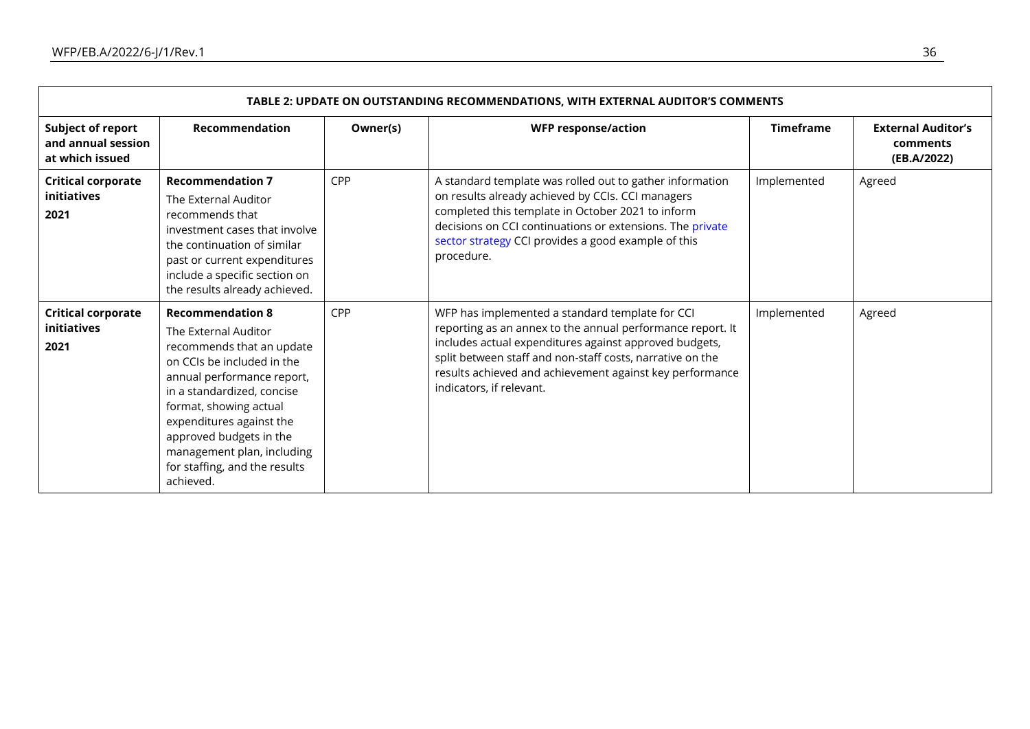| TABLE 2: UPDATE ON OUTSTANDING RECOMMENDATIONS, WITH EXTERNAL AUDITOR'S COMMENTS |                                                                                                                                                                                                                                                                                                                                     |          |                                                                                                                                                                                                                                                                                                                              |                  |                                                      |  |  |  |
|----------------------------------------------------------------------------------|-------------------------------------------------------------------------------------------------------------------------------------------------------------------------------------------------------------------------------------------------------------------------------------------------------------------------------------|----------|------------------------------------------------------------------------------------------------------------------------------------------------------------------------------------------------------------------------------------------------------------------------------------------------------------------------------|------------------|------------------------------------------------------|--|--|--|
| <b>Subject of report</b><br>and annual session<br>at which issued                | Recommendation                                                                                                                                                                                                                                                                                                                      | Owner(s) | <b>WFP response/action</b>                                                                                                                                                                                                                                                                                                   | <b>Timeframe</b> | <b>External Auditor's</b><br>comments<br>(EB.A/2022) |  |  |  |
| <b>Critical corporate</b><br><i>initiatives</i><br>2021                          | <b>Recommendation 7</b><br>The External Auditor<br>recommends that<br>investment cases that involve<br>the continuation of similar<br>past or current expenditures<br>include a specific section on<br>the results already achieved.                                                                                                | CPP      | A standard template was rolled out to gather information<br>on results already achieved by CCIs. CCI managers<br>completed this template in October 2021 to inform<br>decisions on CCI continuations or extensions. The private<br>sector strategy CCI provides a good example of this<br>procedure.                         | Implemented      | Agreed                                               |  |  |  |
| <b>Critical corporate</b><br><b>initiatives</b><br>2021                          | <b>Recommendation 8</b><br>The External Auditor<br>recommends that an update<br>on CCIs be included in the<br>annual performance report,<br>in a standardized, concise<br>format, showing actual<br>expenditures against the<br>approved budgets in the<br>management plan, including<br>for staffing, and the results<br>achieved. | CPP      | WFP has implemented a standard template for CCI<br>reporting as an annex to the annual performance report. It<br>includes actual expenditures against approved budgets,<br>split between staff and non-staff costs, narrative on the<br>results achieved and achievement against key performance<br>indicators, if relevant. | Implemented      | Agreed                                               |  |  |  |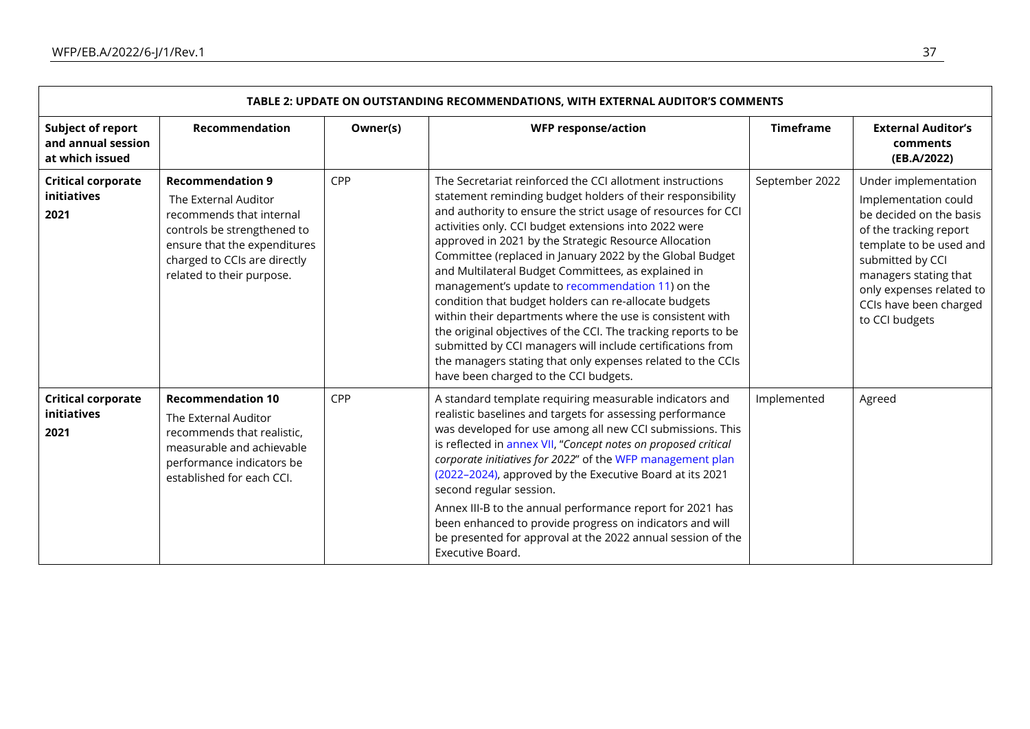|                                                            | TABLE 2: UPDATE ON OUTSTANDING RECOMMENDATIONS, WITH EXTERNAL AUDITOR'S COMMENTS                                                                                                                        |          |                                                                                                                                                                                                                                                                                                                                                                                                                                                                                                                                                                                                                                                                                                                                                                                                                                                 |                  |                                                                                                                                                                                                                                                   |  |  |  |
|------------------------------------------------------------|---------------------------------------------------------------------------------------------------------------------------------------------------------------------------------------------------------|----------|-------------------------------------------------------------------------------------------------------------------------------------------------------------------------------------------------------------------------------------------------------------------------------------------------------------------------------------------------------------------------------------------------------------------------------------------------------------------------------------------------------------------------------------------------------------------------------------------------------------------------------------------------------------------------------------------------------------------------------------------------------------------------------------------------------------------------------------------------|------------------|---------------------------------------------------------------------------------------------------------------------------------------------------------------------------------------------------------------------------------------------------|--|--|--|
| Subject of report<br>and annual session<br>at which issued | Recommendation                                                                                                                                                                                          | Owner(s) | <b>WFP response/action</b>                                                                                                                                                                                                                                                                                                                                                                                                                                                                                                                                                                                                                                                                                                                                                                                                                      | <b>Timeframe</b> | <b>External Auditor's</b><br>comments<br>(EB.A/2022)                                                                                                                                                                                              |  |  |  |
| <b>Critical corporate</b><br>initiatives<br>2021           | <b>Recommendation 9</b><br>The External Auditor<br>recommends that internal<br>controls be strengthened to<br>ensure that the expenditures<br>charged to CCIs are directly<br>related to their purpose. | CPP      | The Secretariat reinforced the CCI allotment instructions<br>statement reminding budget holders of their responsibility<br>and authority to ensure the strict usage of resources for CCI<br>activities only. CCI budget extensions into 2022 were<br>approved in 2021 by the Strategic Resource Allocation<br>Committee (replaced in January 2022 by the Global Budget<br>and Multilateral Budget Committees, as explained in<br>management's update to recommendation 11) on the<br>condition that budget holders can re-allocate budgets<br>within their departments where the use is consistent with<br>the original objectives of the CCI. The tracking reports to be<br>submitted by CCI managers will include certifications from<br>the managers stating that only expenses related to the CCIs<br>have been charged to the CCI budgets. | September 2022   | Under implementation<br>Implementation could<br>be decided on the basis<br>of the tracking report<br>template to be used and<br>submitted by CCI<br>managers stating that<br>only expenses related to<br>CCIs have been charged<br>to CCI budgets |  |  |  |
| <b>Critical corporate</b><br>initiatives<br>2021           | <b>Recommendation 10</b><br>The External Auditor<br>recommends that realistic,<br>measurable and achievable<br>performance indicators be<br>established for each CCI.                                   | CPP      | A standard template requiring measurable indicators and<br>realistic baselines and targets for assessing performance<br>was developed for use among all new CCI submissions. This<br>is reflected in annex VII, "Concept notes on proposed critical<br>corporate initiatives for 2022" of the WFP management plan<br>(2022-2024), approved by the Executive Board at its 2021<br>second regular session.<br>Annex III-B to the annual performance report for 2021 has<br>been enhanced to provide progress on indicators and will<br>be presented for approval at the 2022 annual session of the<br>Executive Board.                                                                                                                                                                                                                            | Implemented      | Agreed                                                                                                                                                                                                                                            |  |  |  |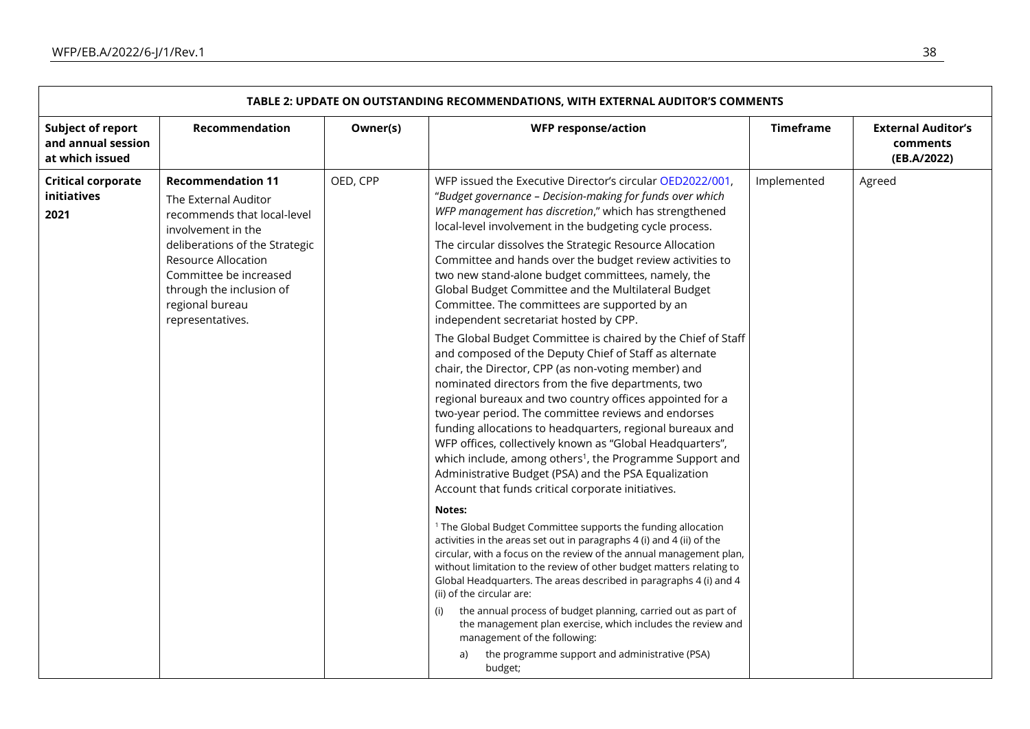<span id="page-37-0"></span>

| TABLE 2: UPDATE ON OUTSTANDING RECOMMENDATIONS, WITH EXTERNAL AUDITOR'S COMMENTS |                                                                                                                                                                                                                                                             |          |                                                                                                                                                                                                                                                                                                                                                                                                                                                                                                                                                                                                                                                                                                                                                                                                                                                                                                                                                                                                                                                                                                                                                                                                                                                                                                                                                                                                                                                                                                                                                                                                                                                                                                                                                                                                                                                                                                                  |                  |                                                      |
|----------------------------------------------------------------------------------|-------------------------------------------------------------------------------------------------------------------------------------------------------------------------------------------------------------------------------------------------------------|----------|------------------------------------------------------------------------------------------------------------------------------------------------------------------------------------------------------------------------------------------------------------------------------------------------------------------------------------------------------------------------------------------------------------------------------------------------------------------------------------------------------------------------------------------------------------------------------------------------------------------------------------------------------------------------------------------------------------------------------------------------------------------------------------------------------------------------------------------------------------------------------------------------------------------------------------------------------------------------------------------------------------------------------------------------------------------------------------------------------------------------------------------------------------------------------------------------------------------------------------------------------------------------------------------------------------------------------------------------------------------------------------------------------------------------------------------------------------------------------------------------------------------------------------------------------------------------------------------------------------------------------------------------------------------------------------------------------------------------------------------------------------------------------------------------------------------------------------------------------------------------------------------------------------------|------------------|------------------------------------------------------|
| <b>Subject of report</b><br>and annual session<br>at which issued                | Recommendation                                                                                                                                                                                                                                              | Owner(s) | <b>WFP response/action</b>                                                                                                                                                                                                                                                                                                                                                                                                                                                                                                                                                                                                                                                                                                                                                                                                                                                                                                                                                                                                                                                                                                                                                                                                                                                                                                                                                                                                                                                                                                                                                                                                                                                                                                                                                                                                                                                                                       | <b>Timeframe</b> | <b>External Auditor's</b><br>comments<br>(EB.A/2022) |
| <b>Critical corporate</b><br>initiatives<br>2021                                 | <b>Recommendation 11</b><br>The External Auditor<br>recommends that local-level<br>involvement in the<br>deliberations of the Strategic<br>Resource Allocation<br>Committee be increased<br>through the inclusion of<br>regional bureau<br>representatives. | OED, CPP | WFP issued the Executive Director's circular OED2022/001,<br>"Budget governance - Decision-making for funds over which<br>WFP management has discretion," which has strengthened<br>local-level involvement in the budgeting cycle process.<br>The circular dissolves the Strategic Resource Allocation<br>Committee and hands over the budget review activities to<br>two new stand-alone budget committees, namely, the<br>Global Budget Committee and the Multilateral Budget<br>Committee. The committees are supported by an<br>independent secretariat hosted by CPP.<br>The Global Budget Committee is chaired by the Chief of Staff<br>and composed of the Deputy Chief of Staff as alternate<br>chair, the Director, CPP (as non-voting member) and<br>nominated directors from the five departments, two<br>regional bureaux and two country offices appointed for a<br>two-year period. The committee reviews and endorses<br>funding allocations to headquarters, regional bureaux and<br>WFP offices, collectively known as "Global Headquarters",<br>which include, among others <sup>1</sup> , the Programme Support and<br>Administrative Budget (PSA) and the PSA Equalization<br>Account that funds critical corporate initiatives.<br>Notes:<br><sup>1</sup> The Global Budget Committee supports the funding allocation<br>activities in the areas set out in paragraphs 4 (i) and 4 (ii) of the<br>circular, with a focus on the review of the annual management plan,<br>without limitation to the review of other budget matters relating to<br>Global Headquarters. The areas described in paragraphs 4 (i) and 4<br>(ii) of the circular are:<br>the annual process of budget planning, carried out as part of<br>(i)<br>the management plan exercise, which includes the review and<br>management of the following:<br>the programme support and administrative (PSA)<br>a)<br>budget; | Implemented      | Agreed                                               |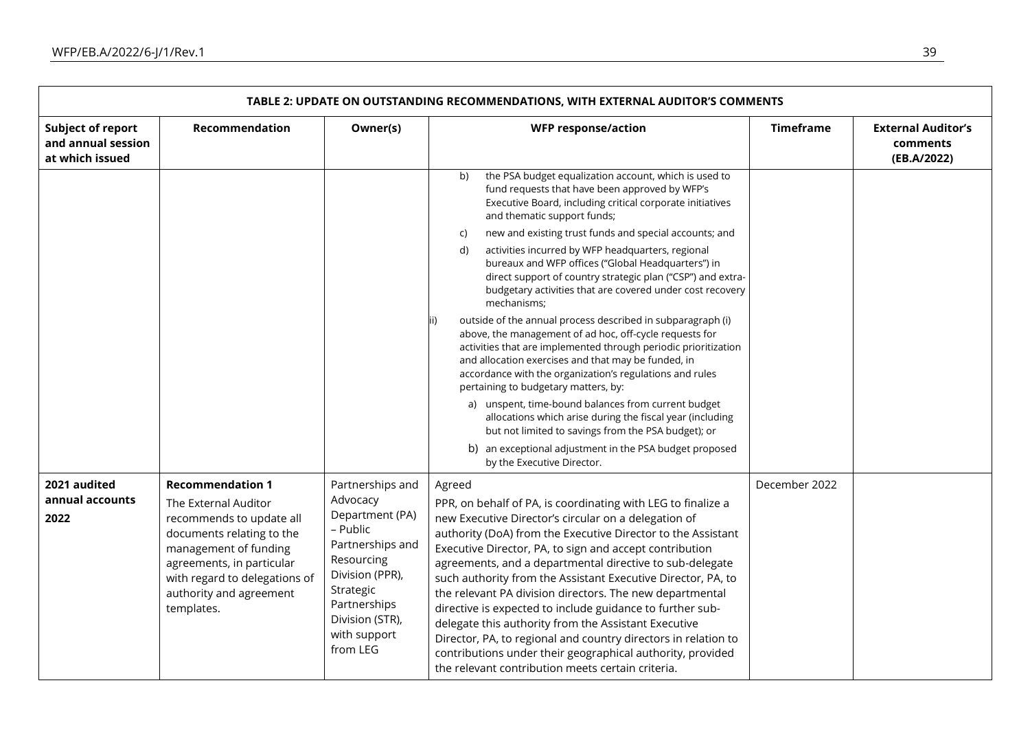| TABLE 2: UPDATE ON OUTSTANDING RECOMMENDATIONS, WITH EXTERNAL AUDITOR'S COMMENTS |                                                                                                                                                                                                                                          |                                                                                                                                                                                              |                                                                                                                                                                                                                                                                                                                                                                                                                                                                                                                                                                                                                                                                                                                                                                                                                                                                                                                                                                                                                                                                                                                                                                   |                  |                                                      |
|----------------------------------------------------------------------------------|------------------------------------------------------------------------------------------------------------------------------------------------------------------------------------------------------------------------------------------|----------------------------------------------------------------------------------------------------------------------------------------------------------------------------------------------|-------------------------------------------------------------------------------------------------------------------------------------------------------------------------------------------------------------------------------------------------------------------------------------------------------------------------------------------------------------------------------------------------------------------------------------------------------------------------------------------------------------------------------------------------------------------------------------------------------------------------------------------------------------------------------------------------------------------------------------------------------------------------------------------------------------------------------------------------------------------------------------------------------------------------------------------------------------------------------------------------------------------------------------------------------------------------------------------------------------------------------------------------------------------|------------------|------------------------------------------------------|
| <b>Subject of report</b><br>and annual session<br>at which issued                | Recommendation                                                                                                                                                                                                                           | Owner(s)                                                                                                                                                                                     | <b>WFP response/action</b>                                                                                                                                                                                                                                                                                                                                                                                                                                                                                                                                                                                                                                                                                                                                                                                                                                                                                                                                                                                                                                                                                                                                        | <b>Timeframe</b> | <b>External Auditor's</b><br>comments<br>(EB.A/2022) |
|                                                                                  |                                                                                                                                                                                                                                          |                                                                                                                                                                                              | the PSA budget equalization account, which is used to<br>b)<br>fund requests that have been approved by WFP's<br>Executive Board, including critical corporate initiatives<br>and thematic support funds;<br>new and existing trust funds and special accounts; and<br>C)<br>activities incurred by WFP headquarters, regional<br>d)<br>bureaux and WFP offices ("Global Headquarters") in<br>direct support of country strategic plan ("CSP") and extra-<br>budgetary activities that are covered under cost recovery<br>mechanisms;<br>outside of the annual process described in subparagraph (i)<br>above, the management of ad hoc, off-cycle requests for<br>activities that are implemented through periodic prioritization<br>and allocation exercises and that may be funded, in<br>accordance with the organization's regulations and rules<br>pertaining to budgetary matters, by:<br>a) unspent, time-bound balances from current budget<br>allocations which arise during the fiscal year (including<br>but not limited to savings from the PSA budget); or<br>b) an exceptional adjustment in the PSA budget proposed<br>by the Executive Director. |                  |                                                      |
| 2021 audited<br>annual accounts<br>2022                                          | <b>Recommendation 1</b><br>The External Auditor<br>recommends to update all<br>documents relating to the<br>management of funding<br>agreements, in particular<br>with regard to delegations of<br>authority and agreement<br>templates. | Partnerships and<br>Advocacy<br>Department (PA)<br>- Public<br>Partnerships and<br>Resourcing<br>Division (PPR),<br>Strategic<br>Partnerships<br>Division (STR),<br>with support<br>from LEG | Agreed<br>PPR, on behalf of PA, is coordinating with LEG to finalize a<br>new Executive Director's circular on a delegation of<br>authority (DoA) from the Executive Director to the Assistant<br>Executive Director, PA, to sign and accept contribution<br>agreements, and a departmental directive to sub-delegate<br>such authority from the Assistant Executive Director, PA, to<br>the relevant PA division directors. The new departmental<br>directive is expected to include guidance to further sub-<br>delegate this authority from the Assistant Executive<br>Director, PA, to regional and country directors in relation to<br>contributions under their geographical authority, provided<br>the relevant contribution meets certain criteria.                                                                                                                                                                                                                                                                                                                                                                                                       | December 2022    |                                                      |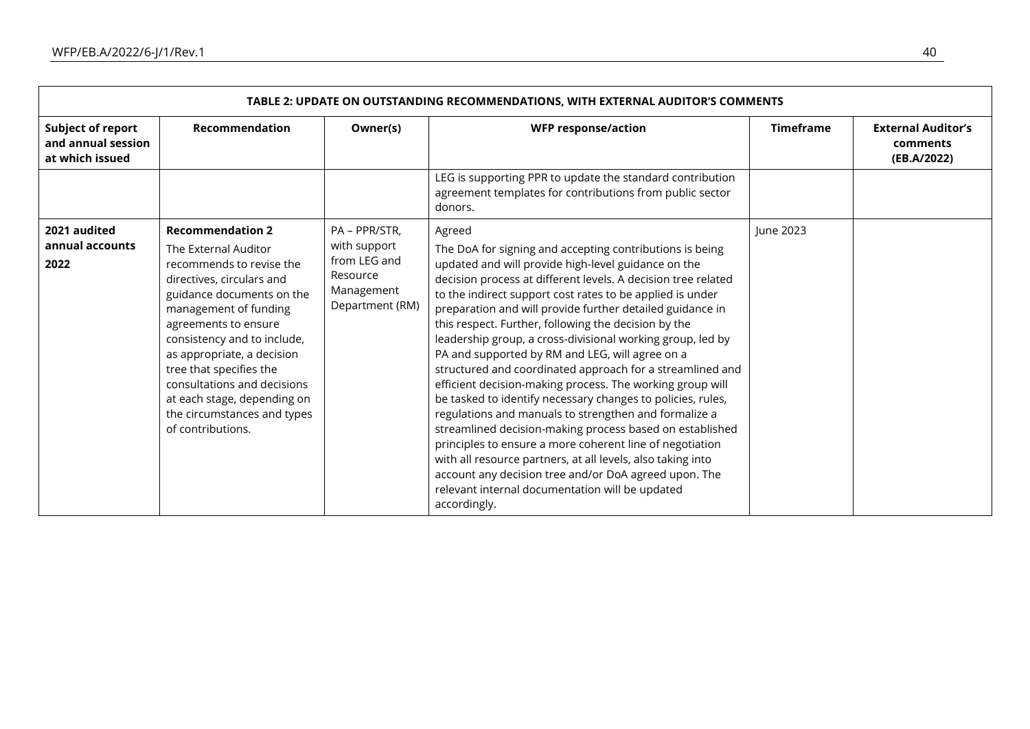| TABLE 2: UPDATE ON OUTSTANDING RECOMMENDATIONS, WITH EXTERNAL AUDITOR'S COMMENTS |                                                                                                                                                                                                                                                                                                                                                                                                  |                                                                                            |                                                                                                                                                                                                                                                                                                                                                                                                                                                                                                                                                                                                                                                                                                                                                                                                                                                                                                                                                                                                                                                                    |                  |                                                      |
|----------------------------------------------------------------------------------|--------------------------------------------------------------------------------------------------------------------------------------------------------------------------------------------------------------------------------------------------------------------------------------------------------------------------------------------------------------------------------------------------|--------------------------------------------------------------------------------------------|--------------------------------------------------------------------------------------------------------------------------------------------------------------------------------------------------------------------------------------------------------------------------------------------------------------------------------------------------------------------------------------------------------------------------------------------------------------------------------------------------------------------------------------------------------------------------------------------------------------------------------------------------------------------------------------------------------------------------------------------------------------------------------------------------------------------------------------------------------------------------------------------------------------------------------------------------------------------------------------------------------------------------------------------------------------------|------------------|------------------------------------------------------|
| <b>Subject of report</b><br>and annual session<br>at which issued                | <b>Recommendation</b>                                                                                                                                                                                                                                                                                                                                                                            | Owner(s)                                                                                   | <b>WFP response/action</b>                                                                                                                                                                                                                                                                                                                                                                                                                                                                                                                                                                                                                                                                                                                                                                                                                                                                                                                                                                                                                                         | <b>Timeframe</b> | <b>External Auditor's</b><br>comments<br>(EB.A/2022) |
|                                                                                  |                                                                                                                                                                                                                                                                                                                                                                                                  |                                                                                            | LEG is supporting PPR to update the standard contribution<br>agreement templates for contributions from public sector<br>donors.                                                                                                                                                                                                                                                                                                                                                                                                                                                                                                                                                                                                                                                                                                                                                                                                                                                                                                                                   |                  |                                                      |
| 2021 audited<br>annual accounts<br>2022                                          | <b>Recommendation 2</b><br>The External Auditor<br>recommends to revise the<br>directives, circulars and<br>guidance documents on the<br>management of funding<br>agreements to ensure<br>consistency and to include,<br>as appropriate, a decision<br>tree that specifies the<br>consultations and decisions<br>at each stage, depending on<br>the circumstances and types<br>of contributions. | PA - PPR/STR,<br>with support<br>from LEG and<br>Resource<br>Management<br>Department (RM) | Agreed<br>The DoA for signing and accepting contributions is being<br>updated and will provide high-level guidance on the<br>decision process at different levels. A decision tree related<br>to the indirect support cost rates to be applied is under<br>preparation and will provide further detailed guidance in<br>this respect. Further, following the decision by the<br>leadership group, a cross-divisional working group, led by<br>PA and supported by RM and LEG, will agree on a<br>structured and coordinated approach for a streamlined and<br>efficient decision-making process. The working group will<br>be tasked to identify necessary changes to policies, rules,<br>regulations and manuals to strengthen and formalize a<br>streamlined decision-making process based on established<br>principles to ensure a more coherent line of negotiation<br>with all resource partners, at all levels, also taking into<br>account any decision tree and/or DoA agreed upon. The<br>relevant internal documentation will be updated<br>accordingly. | June 2023        |                                                      |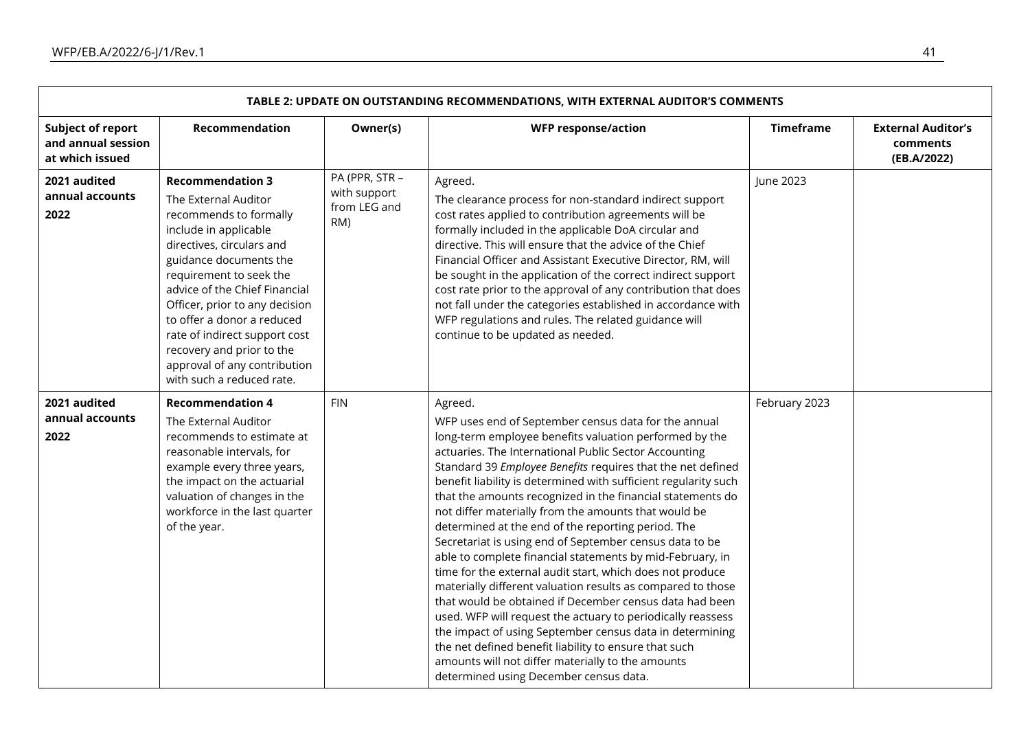| TABLE 2: UPDATE ON OUTSTANDING RECOMMENDATIONS, WITH EXTERNAL AUDITOR'S COMMENTS |                                                                                                                                                                                                                                                                                                                                                                                                                  |                                                       |                                                                                                                                                                                                                                                                                                                                                                                                                                                                                                                                                                                                                                                                                                                                                                                                                                                                                                                                                                                                                                                                                                    |                  |                                                      |
|----------------------------------------------------------------------------------|------------------------------------------------------------------------------------------------------------------------------------------------------------------------------------------------------------------------------------------------------------------------------------------------------------------------------------------------------------------------------------------------------------------|-------------------------------------------------------|----------------------------------------------------------------------------------------------------------------------------------------------------------------------------------------------------------------------------------------------------------------------------------------------------------------------------------------------------------------------------------------------------------------------------------------------------------------------------------------------------------------------------------------------------------------------------------------------------------------------------------------------------------------------------------------------------------------------------------------------------------------------------------------------------------------------------------------------------------------------------------------------------------------------------------------------------------------------------------------------------------------------------------------------------------------------------------------------------|------------------|------------------------------------------------------|
| <b>Subject of report</b><br>and annual session<br>at which issued                | <b>Recommendation</b>                                                                                                                                                                                                                                                                                                                                                                                            | Owner(s)                                              | <b>WFP response/action</b>                                                                                                                                                                                                                                                                                                                                                                                                                                                                                                                                                                                                                                                                                                                                                                                                                                                                                                                                                                                                                                                                         | <b>Timeframe</b> | <b>External Auditor's</b><br>comments<br>(EB.A/2022) |
| 2021 audited<br>annual accounts<br>2022                                          | <b>Recommendation 3</b><br>The External Auditor<br>recommends to formally<br>include in applicable<br>directives, circulars and<br>guidance documents the<br>requirement to seek the<br>advice of the Chief Financial<br>Officer, prior to any decision<br>to offer a donor a reduced<br>rate of indirect support cost<br>recovery and prior to the<br>approval of any contribution<br>with such a reduced rate. | PA (PPR, STR -<br>with support<br>from LEG and<br>RM) | Agreed.<br>The clearance process for non-standard indirect support<br>cost rates applied to contribution agreements will be<br>formally included in the applicable DoA circular and<br>directive. This will ensure that the advice of the Chief<br>Financial Officer and Assistant Executive Director, RM, will<br>be sought in the application of the correct indirect support<br>cost rate prior to the approval of any contribution that does<br>not fall under the categories established in accordance with<br>WFP regulations and rules. The related guidance will<br>continue to be updated as needed.                                                                                                                                                                                                                                                                                                                                                                                                                                                                                      | June 2023        |                                                      |
| 2021 audited<br>annual accounts<br>2022                                          | <b>Recommendation 4</b><br>The External Auditor<br>recommends to estimate at<br>reasonable intervals, for<br>example every three years,<br>the impact on the actuarial<br>valuation of changes in the<br>workforce in the last quarter<br>of the year.                                                                                                                                                           | <b>FIN</b>                                            | Agreed.<br>WFP uses end of September census data for the annual<br>long-term employee benefits valuation performed by the<br>actuaries. The International Public Sector Accounting<br>Standard 39 Employee Benefits requires that the net defined<br>benefit liability is determined with sufficient regularity such<br>that the amounts recognized in the financial statements do<br>not differ materially from the amounts that would be<br>determined at the end of the reporting period. The<br>Secretariat is using end of September census data to be<br>able to complete financial statements by mid-February, in<br>time for the external audit start, which does not produce<br>materially different valuation results as compared to those<br>that would be obtained if December census data had been<br>used. WFP will request the actuary to periodically reassess<br>the impact of using September census data in determining<br>the net defined benefit liability to ensure that such<br>amounts will not differ materially to the amounts<br>determined using December census data. | February 2023    |                                                      |